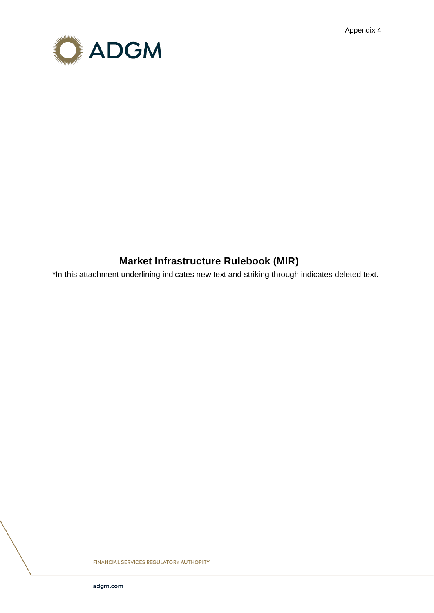Appendix 4



# **Market Infrastructure Rulebook (MIR)**

\*In this attachment underlining indicates new text and striking through indicates deleted text.

FINANCIAL SERVICES REGULATORY AUTHORITY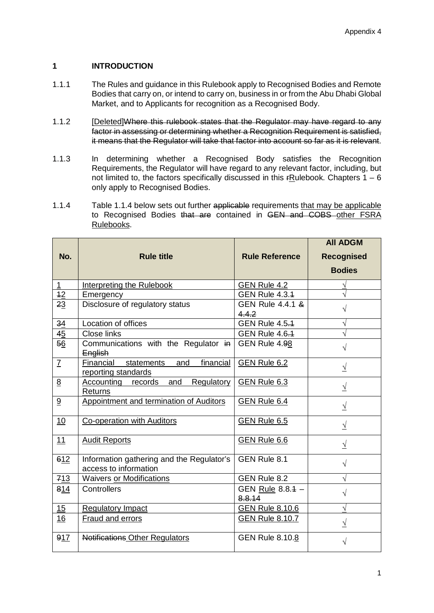# **1 INTRODUCTION**

- 1.1.1 The Rules and guidance in this Rulebook apply to Recognised Bodies and Remote Bodies that carry on, or intend to carry on, business in or from the Abu Dhabi Global Market, and to Applicants for recognition as a Recognised Body.
- 1.1.2 [Deleted]Where this rulebook states that the Regulator may have regard to any factor in assessing or determining whether a Recognition Requirement is satisfied, it means that the Regulator will take that factor into account so far as it is relevant.
- 1.1.3 In determining whether a Recognised Body satisfies the Recognition Requirements, the Regulator will have regard to any relevant factor, including, but not limited to, the factors specifically discussed in this  $rR$ ulebook. Chapters  $1 - 6$ only apply to Recognised Bodies.
- 1.1.4 Table 1.1.4 below sets out further applicable requirements that may be applicable to Recognised Bodies that are contained in GEN and COBS other FSRA Rulebooks.

| No.             | <b>Rule title</b>                                                  | <b>Rule Reference</b>      | <b>AII ADGM</b><br><b>Recognised</b> |
|-----------------|--------------------------------------------------------------------|----------------------------|--------------------------------------|
|                 |                                                                    |                            | <b>Bodies</b>                        |
| $\mathbf{1}$    | Interpreting the Rulebook                                          | GEN Rule 4.2               | V                                    |
| 42              | Emergency                                                          | GEN Rule 4.3.4             |                                      |
| 23              | Disclosure of regulatory status                                    | GEN Rule 4.4.1 &<br>4.4.2  | $\sqrt{}$                            |
| 34              | Location of offices                                                | <b>GEN Rule 4.5.4</b>      | $\sqrt{}$                            |
| 45              | <b>Close links</b>                                                 | <b>GEN Rule 4.6.4</b>      | $\sqrt{}$                            |
| 56              | Communications with the Regulator in<br>English                    | GEN Rule 4.98              | $\sqrt{ }$                           |
| $\underline{7}$ | financial<br>Financial<br>statements<br>and<br>reporting standards | GEN Rule 6.2               | $\sqrt{ }$                           |
| 8               | Accounting records<br>and<br>Regulatory<br>Returns                 | GEN Rule 6.3               | $\sqrt{ }$                           |
| 9               | Appointment and termination of Auditors                            | GEN Rule 6.4               | $\sqrt{ }$                           |
| 10              | <b>Co-operation with Auditors</b>                                  | GEN Rule 6.5               | $\sqrt{ }$                           |
| 11              | <b>Audit Reports</b>                                               | GEN Rule 6.6               | $\sqrt{ }$                           |
| 612             | Information gathering and the Regulator's<br>access to information | GEN Rule 8.1               | $\sqrt{ }$                           |
| 713             | <b>Waivers or Modifications</b>                                    | GEN Rule 8.2               | $\sqrt{}$                            |
| 814             | Controllers                                                        | GEN Rule 8.8.4 -<br>8.8.14 | $\sqrt{}$                            |
| 15              | <b>Regulatory Impact</b>                                           | <b>GEN Rule 8.10.6</b>     | $\sqrt{}$                            |
| 16              | <b>Fraud and errors</b>                                            | <b>GEN Rule 8.10.7</b>     | $\sqrt{ }$                           |
| 917             | <b>Notifications Other Regulators</b>                              | <b>GEN Rule 8.10.8</b>     | $\sqrt{}$                            |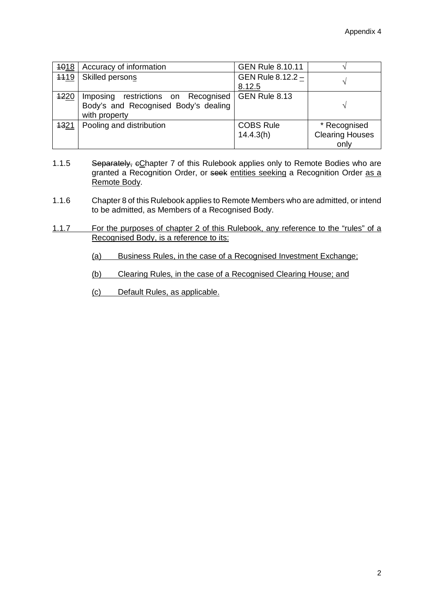| 1018        | Accuracy of information              | <b>GEN Rule 8.10.11</b> |                        |
|-------------|--------------------------------------|-------------------------|------------------------|
| 4419        | Skilled persons                      | GEN Rule 8.12.2 -       |                        |
|             |                                      | 8.12.5                  |                        |
| <b>1220</b> | Imposing restrictions on Recognised  | GEN Rule 8.13           |                        |
|             | Body's and Recognised Body's dealing |                         |                        |
|             | with property                        |                         |                        |
| 1321        | Pooling and distribution             | <b>COBS Rule</b>        | * Recognised           |
|             |                                      | 14.4.3(h)               | <b>Clearing Houses</b> |
|             |                                      |                         | only                   |

- 1.1.5 Separately, eChapter 7 of this Rulebook applies only to Remote Bodies who are granted a Recognition Order, or seek entities seeking a Recognition Order as a Remote Body.
- 1.1.6 Chapter 8 of this Rulebook applies to Remote Members who are admitted, or intend to be admitted, as Members of a Recognised Body.
- 1.1.7 For the purposes of chapter 2 of this Rulebook, any reference to the "rules" of a Recognised Body, is a reference to its:
	- (a) Business Rules, in the case of a Recognised Investment Exchange;
	- (b) Clearing Rules, in the case of a Recognised Clearing House; and
	- (c) Default Rules, as applicable.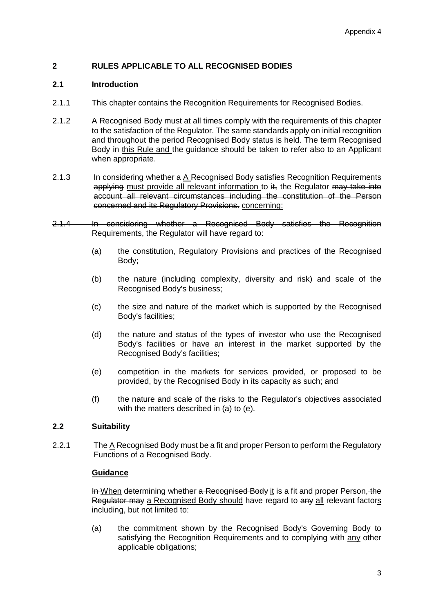# **2 RULES APPLICABLE TO ALL RECOGNISED BODIES**

# **2.1 Introduction**

- 2.1.1 This chapter contains the Recognition Requirements for Recognised Bodies.
- 2.1.2 A Recognised Body must at all times comply with the requirements of this chapter to the satisfaction of the Regulator. The same standards apply on initial recognition and throughout the period Recognised Body status is held. The term Recognised Body in this Rule and the guidance should be taken to refer also to an Applicant when appropriate.
- 2.1.3 In considering whether a A Recognised Body satisfies Recognition Requirements applying must provide all relevant information to it, the Regulator may take into account all relevant circumstances including the constitution of the Person concerned and its Regulatory Provisions. concerning:
- 2.1.4 In considering whether a Recognised Body satisfies the Recognition Requirements, the Regulator will have regard to:
	- (a) the constitution, Regulatory Provisions and practices of the Recognised Body;
	- (b) the nature (including complexity, diversity and risk) and scale of the Recognised Body's business;
	- (c) the size and nature of the market which is supported by the Recognised Body's facilities;
	- (d) the nature and status of the types of investor who use the Recognised Body's facilities or have an interest in the market supported by the Recognised Body's facilities;
	- (e) competition in the markets for services provided, or proposed to be provided, by the Recognised Body in its capacity as such; and
	- (f) the nature and scale of the risks to the Regulator's objectives associated with the matters described in (a) to (e).

# **2.2 Suitability**

2.2.1 The A Recognised Body must be a fit and proper Person to perform the Regulatory Functions of a Recognised Body.

# **Guidance**

In When determining whether a Recognised Body it is a fit and proper Person, the Regulator may a Recognised Body should have regard to any all relevant factors including, but not limited to:

(a) the commitment shown by the Recognised Body's Governing Body to satisfying the Recognition Requirements and to complying with any other applicable obligations;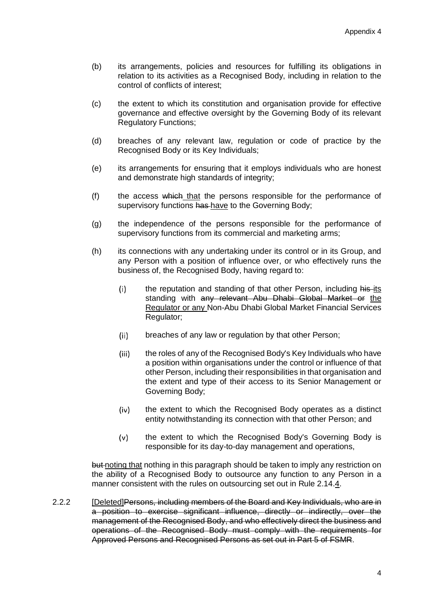- (b) its arrangements, policies and resources for fulfilling its obligations in relation to its activities as a Recognised Body, including in relation to the control of conflicts of interest;
- (c) the extent to which its constitution and organisation provide for effective governance and effective oversight by the Governing Body of its relevant Regulatory Functions;
- (d) breaches of any relevant law, regulation or code of practice by the Recognised Body or its Key Individuals;
- (e) its arrangements for ensuring that it employs individuals who are honest and demonstrate high standards of integrity;
- (f) the access which that the persons responsible for the performance of supervisory functions has have to the Governing Body;
- (g) the independence of the persons responsible for the performance of supervisory functions from its commercial and marketing arms;
- (h) its connections with any undertaking under its control or in its Group, and any Person with a position of influence over, or who effectively runs the business of, the Recognised Body, having regard to:
	- $(i)$ the reputation and standing of that other Person, including his-its standing with any relevant Abu Dhabi Global Market or the Regulator or any Non-Abu Dhabi Global Market Financial Services Regulator;
	- $(ii)$ breaches of any law or regulation by that other Person;
	- $(iii)$ the roles of any of the Recognised Body's Key Individuals who have a position within organisations under the control or influence of that other Person, including their responsibilities in that organisation and the extent and type of their access to its Senior Management or Governing Body;
	- $(iv)$ the extent to which the Recognised Body operates as a distinct entity notwithstanding its connection with that other Person; and
	- $(v)$ the extent to which the Recognised Body's Governing Body is responsible for its day-to-day management and operations,

but noting that nothing in this paragraph should be taken to imply any restriction on the ability of a Recognised Body to outsource any function to any Person in a manner consistent with the rules on outsourcing set out in Rule 2.14.4.

2.2.2 [Deleted]Persons, including members of the Board and Key Individuals, who are in a position to exercise significant influence, directly or indirectly, over the management of the Recognised Body, and who effectively direct the business and operations of the Recognised Body must comply with the requirements for Approved Persons and Recognised Persons as set out in Part 5 of FSMR.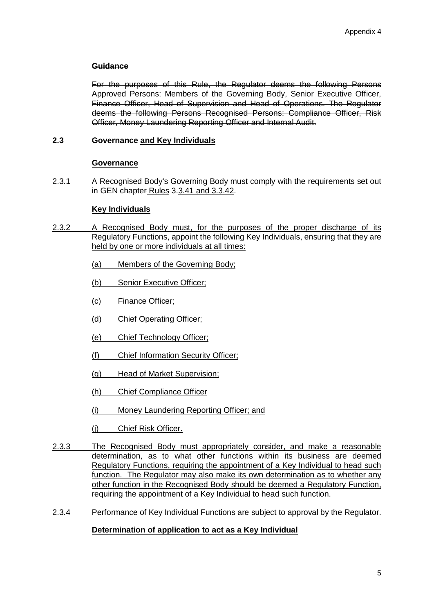# **Guidance**

For the purposes of this Rule, the Regulator deems the following Persons Approved Persons: Members of the Governing Body, Senior Executive Officer, Finance Officer, Head of Supervision and Head of Operations. The Regulator deems the following Persons Recognised Persons: Compliance Officer, Risk Officer, Money Laundering Reporting Officer and Internal Audit.

# **2.3 Governance and Key Individuals**

#### **Governance**

2.3.1 A Recognised Body's Governing Body must comply with the requirements set out in GEN chapter Rules 3.3.41 and 3.3.42.

#### **Key Individuals**

- 2.3.2 A Recognised Body must, for the purposes of the proper discharge of its Regulatory Functions, appoint the following Key Individuals, ensuring that they are held by one or more individuals at all times:
	- (a) Members of the Governing Body;
	- (b) Senior Executive Officer;
	- (c) Finance Officer;
	- (d) Chief Operating Officer;
	- (e) Chief Technology Officer;
	- (f) Chief Information Security Officer;
	- (g) Head of Market Supervision;
	- (h) Chief Compliance Officer
	- (i) Money Laundering Reporting Officer; and
	- (j) Chief Risk Officer.
- 2.3.3 The Recognised Body must appropriately consider, and make a reasonable determination, as to what other functions within its business are deemed Regulatory Functions, requiring the appointment of a Key Individual to head such function. The Regulator may also make its own determination as to whether any other function in the Recognised Body should be deemed a Regulatory Function, requiring the appointment of a Key Individual to head such function.
- 2.3.4 Performance of Key Individual Functions are subject to approval by the Regulator.

# **Determination of application to act as a Key Individual**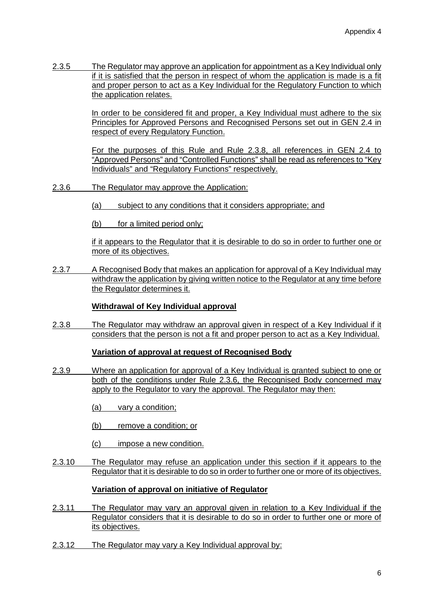2.3.5 The Regulator may approve an application for appointment as a Key Individual only if it is satisfied that the person in respect of whom the application is made is a fit and proper person to act as a Key Individual for the Regulatory Function to which the application relates.

> In order to be considered fit and proper, a Key Individual must adhere to the six Principles for Approved Persons and Recognised Persons set out in GEN 2.4 in respect of every Regulatory Function.

> For the purposes of this Rule and Rule 2.3.8, all references in GEN 2.4 to "Approved Persons" and "Controlled Functions" shall be read as references to "Key Individuals" and "Regulatory Functions" respectively.

- 2.3.6 The Regulator may approve the Application:
	- (a) subject to any conditions that it considers appropriate; and
	- (b) for a limited period only;

if it appears to the Regulator that it is desirable to do so in order to further one or more of its objectives.

2.3.7 A Recognised Body that makes an application for approval of a Key Individual may withdraw the application by giving written notice to the Regulator at any time before the Regulator determines it.

# **Withdrawal of Key Individual approval**

2.3.8 The Regulator may withdraw an approval given in respect of a Key Individual if it considers that the person is not a fit and proper person to act as a Key Individual.

# **Variation of approval at request of Recognised Body**

2.3.9 Where an application for approval of a Key Individual is granted subject to one or both of the conditions under Rule 2.3.6, the Recognised Body concerned may apply to the Regulator to vary the approval. The Regulator may then:

(a) vary a condition;

- (b) remove a condition; or
- (c) impose a new condition.
- 2.3.10 The Regulator may refuse an application under this section if it appears to the Regulator that it is desirable to do so in order to further one or more of its objectives.

# **Variation of approval on initiative of Regulator**

- 2.3.11 The Regulator may vary an approval given in relation to a Key Individual if the Regulator considers that it is desirable to do so in order to further one or more of its objectives.
- 2.3.12 The Regulator may vary a Key Individual approval by: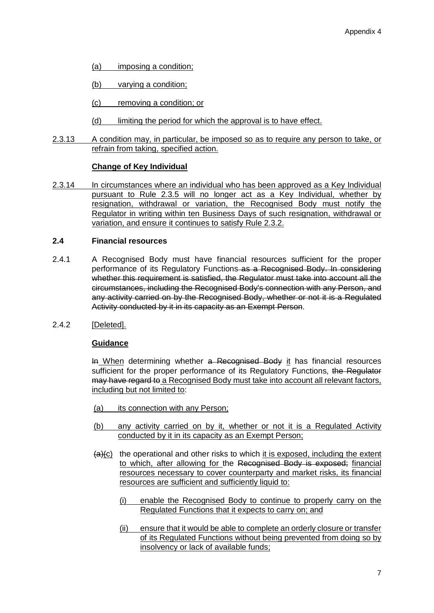- (a) imposing a condition;
- (b) varying a condition;
- (c) removing a condition; or
- (d) limiting the period for which the approval is to have effect.
- 2.3.13 A condition may, in particular, be imposed so as to require any person to take, or refrain from taking, specified action.

# **Change of Key Individual**

2.3.14 In circumstances where an individual who has been approved as a Key Individual pursuant to Rule 2.3.5 will no longer act as a Key Individual, whether by resignation, withdrawal or variation, the Recognised Body must notify the Regulator in writing within ten Business Days of such resignation, withdrawal or variation, and ensure it continues to satisfy Rule 2.3.2.

# **2.4 Financial resources**

- 2.4.1 A Recognised Body must have financial resources sufficient for the proper performance of its Regulatory Functions as a Recognised Body. In considering whether this requirement is satisfied, the Regulator must take into account all the circumstances, including the Recognised Body's connection with any Person, and any activity carried on by the Recognised Body, whether or not it is a Regulated Activity conducted by it in its capacity as an Exempt Person.
- 2.4.2 [Deleted].

# **Guidance**

In When determining whether a Recognised Body it has financial resources sufficient for the proper performance of its Regulatory Functions, the Regulator may have regard to a Recognised Body must take into account all relevant factors, including but not limited to:

- (a) its connection with any Person;
- (b) any activity carried on by it, whether or not it is a Regulated Activity conducted by it in its capacity as an Exempt Person;
- $(a)(c)$  the operational and other risks to which it is exposed, including the extent to which, after allowing for the Recognised Body is exposed; financial resources necessary to cover counterparty and market risks, its financial resources are sufficient and sufficiently liquid to:
	- (i) enable the Recognised Body to continue to properly carry on the Regulated Functions that it expects to carry on; and
	- (ii) ensure that it would be able to complete an orderly closure or transfer of its Regulated Functions without being prevented from doing so by insolvency or lack of available funds;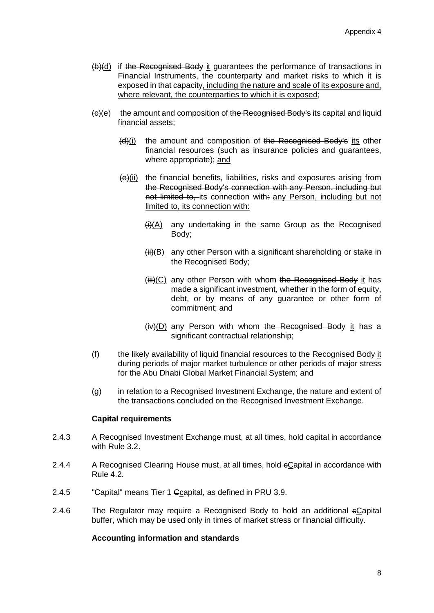- (b)(d) if the Recognised Body it guarantees the performance of transactions in Financial Instruments, the counterparty and market risks to which it is exposed in that capacity, including the nature and scale of its exposure and, where relevant, the counterparties to which it is exposed;
- (c)(e) the amount and composition of the Recognised Body's its capital and liquid financial assets;
	- (d)(i) the amount and composition of the Recognised Body's its other financial resources (such as insurance policies and guarantees, where appropriate); and
	- $\frac{(-1)^{i}}{i}$  the financial benefits, liabilities, risks and exposures arising from the Recognised Body's connection with any Person, including but not limited to, its connection with: any Person, including but not limited to, its connection with:
		- $(H)(A)$  any undertaking in the same Group as the Recognised Body;
		- $(H<sub>i</sub>)(B)$  any other Person with a significant shareholding or stake in the Recognised Body;
		- $(iii)(C)$  any other Person with whom the Recognised Body it has made a significant investment, whether in the form of equity, debt, or by means of any guarantee or other form of commitment; and
		- $(iv)(D)$  any Person with whom the Recognised Body it has a significant contractual relationship;
- (f) the likely availability of liquid financial resources to the Recognised Body it during periods of major market turbulence or other periods of major stress for the Abu Dhabi Global Market Financial System; and
- (g) in relation to a Recognised Investment Exchange, the nature and extent of the transactions concluded on the Recognised Investment Exchange.

# **Capital requirements**

- 2.4.3 A Recognised Investment Exchange must, at all times, hold capital in accordance with Rule 3.2.
- 2.4.4 A Recognised Clearing House must, at all times, hold eCapital in accordance with Rule 4.2.
- 2.4.5 "Capital" means Tier 1 <del>C</del>capital, as defined in PRU 3.9.
- 2.4.6 The Regulator may require a Recognised Body to hold an additional cCapital buffer, which may be used only in times of market stress or financial difficulty.

# **Accounting information and standards**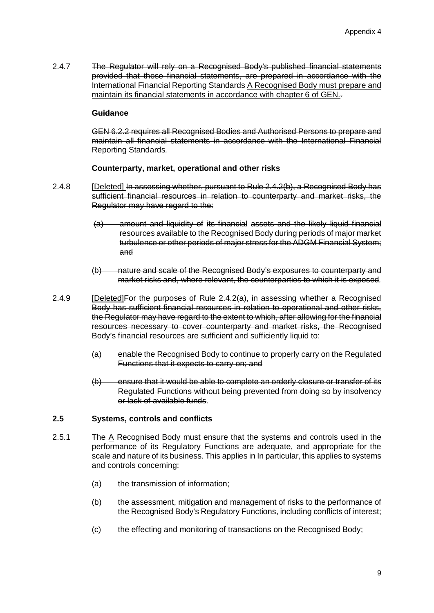2.4.7 The Regulator will rely on a Recognised Body's published financial statements provided that those financial statements, are prepared in accordance with the International Financial Reporting Standards A Recognised Body must prepare and maintain its financial statements in accordance with chapter 6 of GEN..

## **Guidance**

GEN 6.2.2 requires all Recognised Bodies and Authorised Persons to prepare and maintain all financial statements in accordance with the International Financial Reporting Standards*.*

#### **Counterparty, market, operational and other risks**

- 2.4.8 **[Deleted] In assessing whether, pursuant to Rule 2.4.2(b), a Recognised Body has** sufficient financial resources in relation to counterparty and market risks, the Regulator may have regard to the:
	- (a) amount and liquidity of its financial assets and the likely liquid financial resources available to the Recognised Body during periods of major market turbulence or other periods of major stress for the ADGM Financial System; and
	- (b) nature and scale of the Recognised Body's exposures to counterparty and market risks and, where relevant, the counterparties to which it is exposed*.*
- 2.4.9 **[Deleted]For the purposes of Rule 2.4.2(a), in assessing whether a Recognised** Body has sufficient financial resources in relation to operational and other risks, the Regulator may have regard to the extent to which, after allowing for the financial resources necessary to cover counterparty and market risks, the Recognised Body's financial resources are sufficient and sufficiently liquid to:
	- (a) enable the Recognised Body to continue to properly carry on the Regulated Functions that it expects to carry on; and
	- (b) ensure that it would be able to complete an orderly closure or transfer of its Regulated Functions without being prevented from doing so by insolvency or lack of available funds.

# **2.5 Systems, controls and conflicts**

- 2.5.1 The A Recognised Body must ensure that the systems and controls used in the performance of its Regulatory Functions are adequate, and appropriate for the scale and nature of its business. This applies in In particular, this applies to systems and controls concerning:
	- (a) the transmission of information;
	- (b) the assessment, mitigation and management of risks to the performance of the Recognised Body's Regulatory Functions, including conflicts of interest;
	- (c) the effecting and monitoring of transactions on the Recognised Body;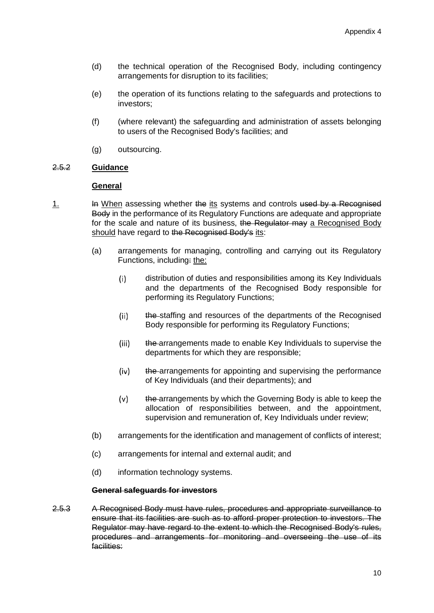- (d) the technical operation of the Recognised Body, including contingency arrangements for disruption to its facilities;
- (e) the operation of its functions relating to the safeguards and protections to investors;
- (f) (where relevant) the safeguarding and administration of assets belonging to users of the Recognised Body's facilities; and
- (g) outsourcing.

# 2.5.2 **Guidance**

# **General**

- 1. In When assessing whether the its systems and controls used by a Recognised Body in the performance of its Regulatory Functions are adequate and appropriate for the scale and nature of its business, the Regulator may a Recognised Body should have regard to the Recognised Body's its:
	- (a) arrangements for managing, controlling and carrying out its Regulatory Functions, including: the:
		- distribution of duties and responsibilities among its Key Individuals  $(i)$ and the departments of the Recognised Body responsible for performing its Regulatory Functions;
		- the staffing and resources of the departments of the Recognised  $(ii)$ Body responsible for performing its Regulatory Functions;
		- $(iii)$ the arrangements made to enable Key Individuals to supervise the departments for which they are responsible;
		- $(iv)$ the arrangements for appointing and supervising the performance of Key Individuals (and their departments); and
		- $(v)$ the arrangements by which the Governing Body is able to keep the allocation of responsibilities between, and the appointment, supervision and remuneration of, Key Individuals under review;
	- (b) arrangements for the identification and management of conflicts of interest;
	- (c) arrangements for internal and external audit; and
	- (d) information technology systems.

#### **General safeguards for investors**

2.5.3 A Recognised Body must have rules, procedures and appropriate surveillance to ensure that its facilities are such as to afford proper protection to investors. The Regulator may have regard to the extent to which the Recognised Body's rules, procedures and arrangements for monitoring and overseeing the use of its facilities: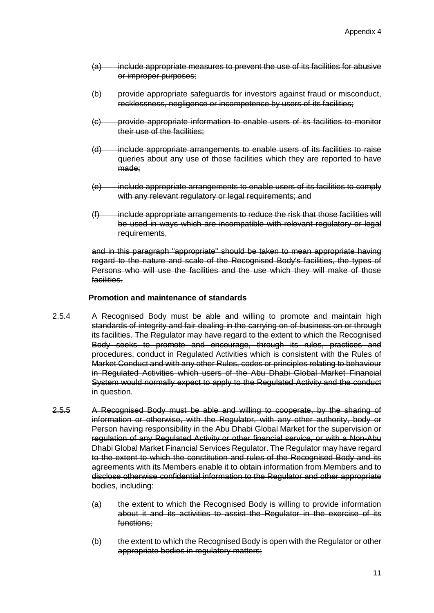- (a) include appropriate measures to prevent the use of its facilities for abusive or improper purposes;
- (b) provide appropriate safeguards for investors against fraud or misconduct, recklessness, negligence or incompetence by users of its facilities;
- (c) provide appropriate information to enable users of its facilities to monitor their use of the facilities;
- (d) include appropriate arrangements to enable users of its facilities to raise queries about any use of those facilities which they are reported to have made;
- (e) include appropriate arrangements to enable users of its facilities to comply with any relevant regulatory or legal requirements; and
- (f) include appropriate arrangements to reduce the risk that those facilities will be used in ways which are incompatible with relevant regulatory or legal requirements,

and in this paragraph "appropriate" should be taken to mean appropriate having regard to the nature and scale of the Recognised Body's facilities, the types of Persons who will use the facilities and the use which they will make of those facilities.

#### **Promotion and maintenance of standards**

- 2.5.4 A Recognised Body must be able and willing to promote and maintain high standards of integrity and fair dealing in the carrying on of business on or through its facilities. The Regulator may have regard to the extent to which the Recognised Body seeks to promote and encourage, through its rules, practices and procedures, conduct in Regulated Activities which is consistent with the Rules of Market Conduct and with any other Rules, codes or principles relating to behaviour in Regulated Activities which users of the Abu Dhabi Global Market Financial System would normally expect to apply to the Regulated Activity and the conduct in question.
- 2.5.5 A Recognised Body must be able and willing to cooperate, by the sharing of information or otherwise, with the Regulator, with any other authority, body or Person having responsibility in the Abu Dhabi Global Market for the supervision or regulation of any Regulated Activity or other financial service, or with a Non-Abu Dhabi Global Market Financial Services Regulator. The Regulator may have regard to the extent to which the constitution and rules of the Recognised Body and its agreements with its Members enable it to obtain information from Members and to disclose otherwise confidential information to the Regulator and other appropriate bodies, including:
	- (a) the extent to which the Recognised Body is willing to provide information about it and its activities to assist the Regulator in the exercise of its functions;
	- (b) the extent to which the Recognised Body is open with the Regulator or other appropriate bodies in regulatory matters;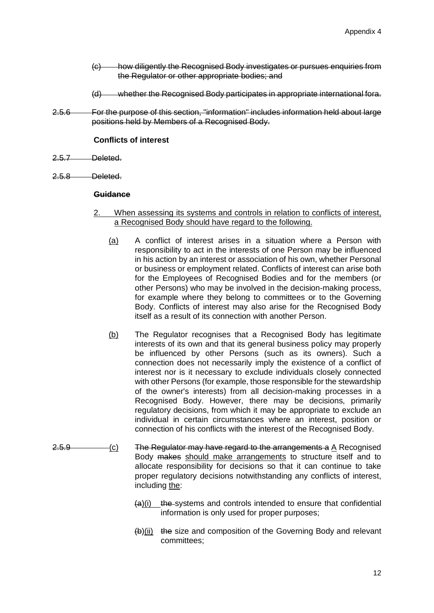- (c) how diligently the Recognised Body investigates or pursues enquiries from the Regulator or other appropriate bodies; and
- (d) whether the Recognised Body participates in appropriate international fora.
- 2.5.6 For the purpose of this section, "information" includes information held about large positions held by Members of a Recognised Body.

#### **Conflicts of interest**

- 2.5.7 Deleted.
- 2.5.8 Deleted.

#### **Guidance**

- 2. When assessing its systems and controls in relation to conflicts of interest, a Recognised Body should have regard to the following.
	- (a) A conflict of interest arises in a situation where a Person with responsibility to act in the interests of one Person may be influenced in his action by an interest or association of his own, whether Personal or business or employment related. Conflicts of interest can arise both for the Employees of Recognised Bodies and for the members (or other Persons) who may be involved in the decision-making process, for example where they belong to committees or to the Governing Body. Conflicts of interest may also arise for the Recognised Body itself as a result of its connection with another Person.
	- (b) The Regulator recognises that a Recognised Body has legitimate interests of its own and that its general business policy may properly be influenced by other Persons (such as its owners). Such a connection does not necessarily imply the existence of a conflict of interest nor is it necessary to exclude individuals closely connected with other Persons (for example, those responsible for the stewardship of the owner's interests) from all decision-making processes in a Recognised Body. However, there may be decisions, primarily regulatory decisions, from which it may be appropriate to exclude an individual in certain circumstances where an interest, position or connection of his conflicts with the interest of the Recognised Body.
- 2.5.9 (c) The Regulator may have regard to the arrangements a A Recognised Body makes should make arrangements to structure itself and to allocate responsibility for decisions so that it can continue to take proper regulatory decisions notwithstanding any conflicts of interest, including the:
	- $(a)(i)$  the systems and controls intended to ensure that confidential information is only used for proper purposes;
	- $(b)(ii)$  the size and composition of the Governing Body and relevant committees;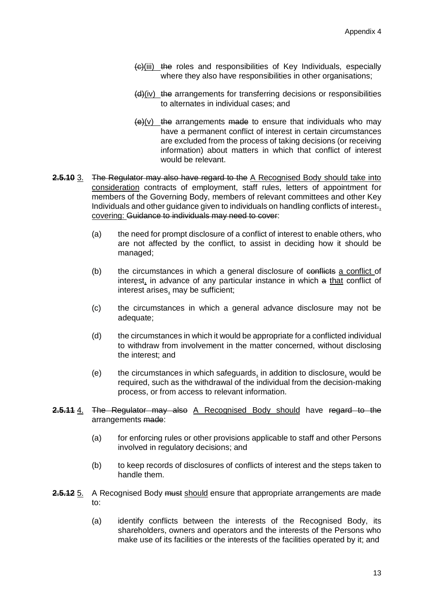- (c)(iii) the roles and responsibilities of Key Individuals, especially where they also have responsibilities in other organisations;
- (d)(iv) the arrangements for transferring decisions or responsibilities to alternates in individual cases; and
- $(e)(v)$  the arrangements made to ensure that individuals who may have a permanent conflict of interest in certain circumstances are excluded from the process of taking decisions (or receiving information) about matters in which that conflict of interest would be relevant.
- **2.5.10** 3. The Regulator may also have regard to the A Recognised Body should take into consideration contracts of employment, staff rules, letters of appointment for members of the Governing Body, members of relevant committees and other Key Individuals and other quidance given to individuals on handling conflicts of interest-, covering: Guidance to individuals may need to cover:
	- (a) the need for prompt disclosure of a conflict of interest to enable others, who are not affected by the conflict, to assist in deciding how it should be managed;
	- (b) the circumstances in which a general disclosure of conflicts a conflict of interest, in advance of any particular instance in which a that conflict of interest arises, may be sufficient;
	- (c) the circumstances in which a general advance disclosure may not be adequate;
	- (d) the circumstances in which it would be appropriate for a conflicted individual to withdraw from involvement in the matter concerned, without disclosing the interest; and
	- (e) the circumstances in which safeguards, in addition to disclosure, would be required, such as the withdrawal of the individual from the decision-making process, or from access to relevant information.
- **2.5.11** 4. The Regulator may also A Recognised Body should have regard to the arrangements made:
	- (a) for enforcing rules or other provisions applicable to staff and other Persons involved in regulatory decisions; and
	- (b) to keep records of disclosures of conflicts of interest and the steps taken to handle them.
- **2.5.12** 5. A Recognised Body must should ensure that appropriate arrangements are made to:
	- (a) identify conflicts between the interests of the Recognised Body, its shareholders, owners and operators and the interests of the Persons who make use of its facilities or the interests of the facilities operated by it; and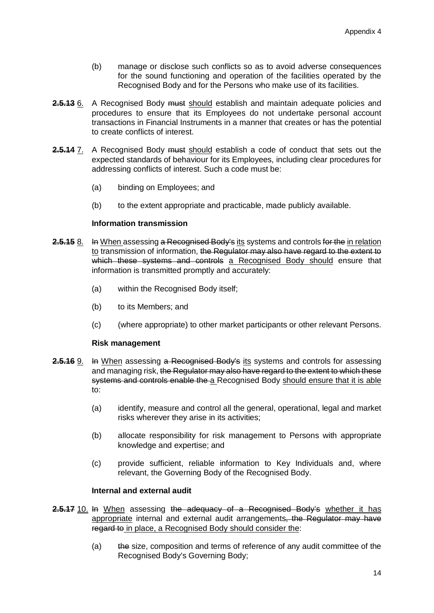- (b) manage or disclose such conflicts so as to avoid adverse consequences for the sound functioning and operation of the facilities operated by the Recognised Body and for the Persons who make use of its facilities.
- **2.5.13** 6. A Recognised Body must should establish and maintain adequate policies and procedures to ensure that its Employees do not undertake personal account transactions in Financial Instruments in a manner that creates or has the potential to create conflicts of interest.
- **2.5.14** 7. A Recognised Body must should establish a code of conduct that sets out the expected standards of behaviour for its Employees, including clear procedures for addressing conflicts of interest. Such a code must be:
	- (a) binding on Employees; and
	- (b) to the extent appropriate and practicable, made publicly available.

#### **Information transmission**

- **2.5.15** 8. In When assessing a Recognised Body's its systems and controls for the in relation to transmission of information, the Regulator may also have regard to the extent to which these systems and controls a Recognised Body should ensure that information is transmitted promptly and accurately:
	- (a) within the Recognised Body itself;
	- (b) to its Members; and
	- (c) (where appropriate) to other market participants or other relevant Persons.

#### **Risk management**

- **2.5.16** 9. In When assessing a Recognised Body's its systems and controls for assessing and managing risk, the Regulator may also have regard to the extent to which these systems and controls enable the a Recognised Body should ensure that it is able to:
	- (a) identify, measure and control all the general, operational, legal and market risks wherever they arise in its activities;
	- (b) allocate responsibility for risk management to Persons with appropriate knowledge and expertise; and
	- (c) provide sufficient, reliable information to Key Individuals and, where relevant, the Governing Body of the Recognised Body.

#### **Internal and external audit**

- **2.5.17** 10. In When assessing the adequacy of a Recognised Body's whether it has appropriate internal and external audit arrangements, the Regulator may have regard to in place, a Recognised Body should consider the:
	- (a) the size, composition and terms of reference of any audit committee of the Recognised Body's Governing Body;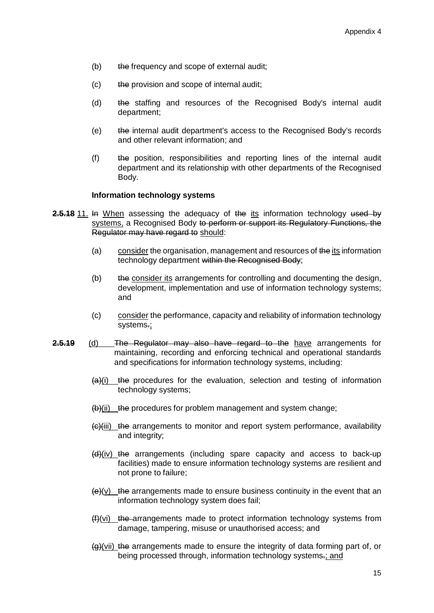- (b) the frequency and scope of external audit;
- (c) the provision and scope of internal audit;
- (d) the staffing and resources of the Recognised Body's internal audit department;
- (e) the internal audit department's access to the Recognised Body's records and other relevant information; and
- (f) the position, responsibilities and reporting lines of the internal audit department and its relationship with other departments of the Recognised Body.

#### **Information technology systems**

- **2.5.18** 11. In When assessing the adequacy of the its information technology used by systems, a Recognised Body to perform or support its Regulatory Functions, the Regulator may have regard to should:
	- (a) consider the organisation, management and resources of the its information technology department within the Recognised Body;
	- (b) the consider its arrangements for controlling and documenting the design, development, implementation and use of information technology systems; and
	- (c) consider the performance, capacity and reliability of information technology systems.;
- **2.5.19** (d) The Regulator may also have regard to the have arrangements for maintaining, recording and enforcing technical and operational standards and specifications for information technology systems, including:
	- $(a)$ (i) the procedures for the evaluation, selection and testing of information technology systems;
	- $(b)(ii)$  the procedures for problem management and system change;
	- (c)(iii) the arrangements to monitor and report system performance, availability and integrity;
	- $(d)$ (iv) the arrangements (including spare capacity and access to back-up facilities) made to ensure information technology systems are resilient and not prone to failure;
	- $\left\langle \Theta \right\rangle$ (v) the arrangements made to ensure business continuity in the event that an information technology system does fail;
	- $(H)(vi)$  the arrangements made to protect information technology systems from damage, tampering, misuse or unauthorised access; and
	- $\left\langle \varphi \right\rangle$ (vii) the arrangements made to ensure the integrity of data forming part of, or being processed through, information technology systems-; and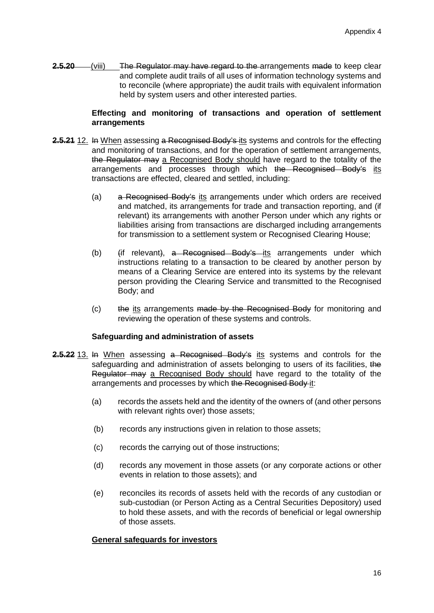**2.5.20** (viii) The Regulator may have regard to the arrangements made to keep clear and complete audit trails of all uses of information technology systems and to reconcile (where appropriate) the audit trails with equivalent information held by system users and other interested parties.

## **Effecting and monitoring of transactions and operation of settlement arrangements**

- **2.5.21** 12. In When assessing a Recognised Body's its systems and controls for the effecting and monitoring of transactions, and for the operation of settlement arrangements, the Regulator may a Recognised Body should have regard to the totality of the arrangements and processes through which the Recognised Body's its transactions are effected, cleared and settled, including:
	- (a) a Recognised Body's its arrangements under which orders are received and matched, its arrangements for trade and transaction reporting, and (if relevant) its arrangements with another Person under which any rights or liabilities arising from transactions are discharged including arrangements for transmission to a settlement system or Recognised Clearing House;
	- (b) (if relevant), a Recognised Body's its arrangements under which instructions relating to a transaction to be cleared by another person by means of a Clearing Service are entered into its systems by the relevant person providing the Clearing Service and transmitted to the Recognised Body; and
	- (c) the its arrangements made by the Recognised Body for monitoring and reviewing the operation of these systems and controls.

# **Safeguarding and administration of assets**

- **2.5.22** 13. In When assessing a Recognised Body's its systems and controls for the safeguarding and administration of assets belonging to users of its facilities, the Regulator may a Recognised Body should have regard to the totality of the arrangements and processes by which the Recognised Body it:
	- (a) records the assets held and the identity of the owners of (and other persons with relevant rights over) those assets;
	- (b) records any instructions given in relation to those assets;
	- (c) records the carrying out of those instructions;
	- (d) records any movement in those assets (or any corporate actions or other events in relation to those assets); and
	- (e) reconciles its records of assets held with the records of any custodian or sub-custodian (or Person Acting as a Central Securities Depository) used to hold these assets, and with the records of beneficial or legal ownership of those assets.

#### **General safeguards for investors**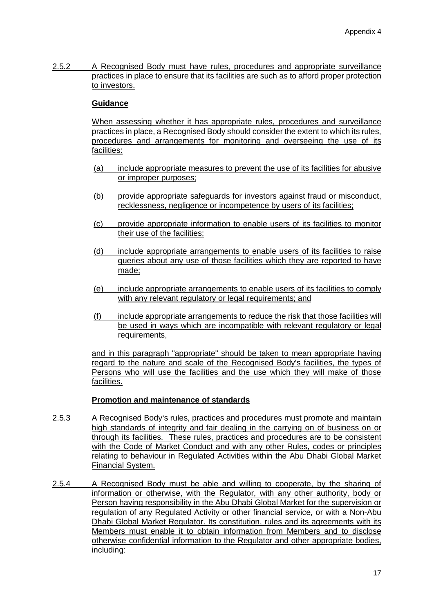2.5.2 A Recognised Body must have rules, procedures and appropriate surveillance practices in place to ensure that its facilities are such as to afford proper protection to investors.

# **Guidance**

When assessing whether it has appropriate rules, procedures and surveillance practices in place, a Recognised Body should consider the extent to which its rules, procedures and arrangements for monitoring and overseeing the use of its facilities:

- (a) include appropriate measures to prevent the use of its facilities for abusive or improper purposes;
- (b) provide appropriate safeguards for investors against fraud or misconduct, recklessness, negligence or incompetence by users of its facilities;
- (c) provide appropriate information to enable users of its facilities to monitor their use of the facilities;
- (d) include appropriate arrangements to enable users of its facilities to raise queries about any use of those facilities which they are reported to have made;
- (e) include appropriate arrangements to enable users of its facilities to comply with any relevant regulatory or legal requirements; and
- (f) include appropriate arrangements to reduce the risk that those facilities will be used in ways which are incompatible with relevant regulatory or legal requirements,

and in this paragraph "appropriate" should be taken to mean appropriate having regard to the nature and scale of the Recognised Body's facilities, the types of Persons who will use the facilities and the use which they will make of those facilities.

# **Promotion and maintenance of standards**

- 2.5.3 A Recognised Body's rules, practices and procedures must promote and maintain high standards of integrity and fair dealing in the carrying on of business on or through its facilities. These rules, practices and procedures are to be consistent with the Code of Market Conduct and with any other Rules, codes or principles relating to behaviour in Regulated Activities within the Abu Dhabi Global Market Financial System.
- 2.5.4 A Recognised Body must be able and willing to cooperate, by the sharing of information or otherwise, with the Regulator, with any other authority, body or Person having responsibility in the Abu Dhabi Global Market for the supervision or regulation of any Regulated Activity or other financial service, or with a Non-Abu Dhabi Global Market Regulator. Its constitution, rules and its agreements with its Members must enable it to obtain information from Members and to disclose otherwise confidential information to the Regulator and other appropriate bodies, including: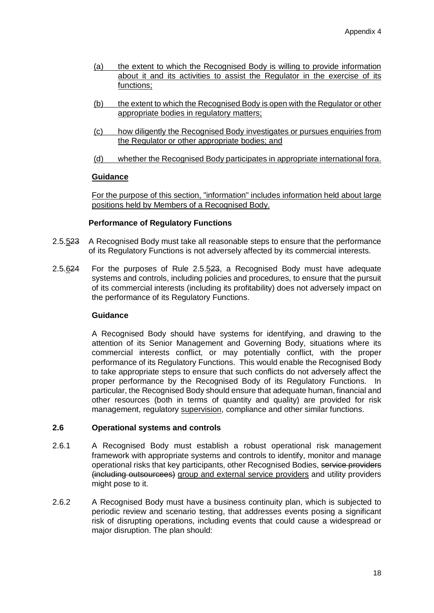- (a) the extent to which the Recognised Body is willing to provide information about it and its activities to assist the Regulator in the exercise of its functions;
- (b) the extent to which the Recognised Body is open with the Regulator or other appropriate bodies in regulatory matters;
- (c) how diligently the Recognised Body investigates or pursues enquiries from the Regulator or other appropriate bodies; and
- (d) whether the Recognised Body participates in appropriate international fora.

#### **Guidance**

For the purpose of this section, "information" includes information held about large positions held by Members of a Recognised Body.

#### **Performance of Regulatory Functions**

- 2.5.523 A Recognised Body must take all reasonable steps to ensure that the performance of its Regulatory Functions is not adversely affected by its commercial interests.
- 2.5.624 For the purposes of Rule 2.5.523, a Recognised Body must have adequate systems and controls, including policies and procedures, to ensure that the pursuit of its commercial interests (including its profitability) does not adversely impact on the performance of its Regulatory Functions.

## **Guidance**

A Recognised Body should have systems for identifying, and drawing to the attention of its Senior Management and Governing Body, situations where its commercial interests conflict, or may potentially conflict, with the proper performance of its Regulatory Functions. This would enable the Recognised Body to take appropriate steps to ensure that such conflicts do not adversely affect the proper performance by the Recognised Body of its Regulatory Functions. In particular, the Recognised Body should ensure that adequate human, financial and other resources (both in terms of quantity and quality) are provided for risk management, regulatory supervision, compliance and other similar functions.

#### **2.6 Operational systems and controls**

- 2.6.1 A Recognised Body must establish a robust operational risk management framework with appropriate systems and controls to identify, monitor and manage operational risks that key participants, other Recognised Bodies, service providers (including outsourcees) group and external service providers and utility providers might pose to it.
- 2.6.2 A Recognised Body must have a business continuity plan, which is subjected to periodic review and scenario testing, that addresses events posing a significant risk of disrupting operations, including events that could cause a widespread or major disruption. The plan should: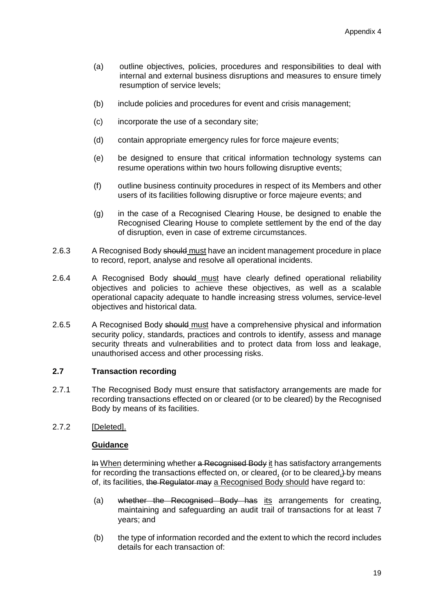- (a) outline objectives, policies, procedures and responsibilities to deal with internal and external business disruptions and measures to ensure timely resumption of service levels;
- (b) include policies and procedures for event and crisis management;
- (c) incorporate the use of a secondary site;
- (d) contain appropriate emergency rules for force majeure events;
- (e) be designed to ensure that critical information technology systems can resume operations within two hours following disruptive events;
- (f) outline business continuity procedures in respect of its Members and other users of its facilities following disruptive or force majeure events; and
- (g) in the case of a Recognised Clearing House, be designed to enable the Recognised Clearing House to complete settlement by the end of the day of disruption, even in case of extreme circumstances.
- 2.6.3 A Recognised Body should must have an incident management procedure in place to record, report, analyse and resolve all operational incidents.
- 2.6.4 A Recognised Body should must have clearly defined operational reliability objectives and policies to achieve these objectives, as well as a scalable operational capacity adequate to handle increasing stress volumes, service-level objectives and historical data.
- 2.6.5 A Recognised Body should must have a comprehensive physical and information security policy, standards, practices and controls to identify, assess and manage security threats and vulnerabilities and to protect data from loss and leakage, unauthorised access and other processing risks.

# **2.7 Transaction recording**

- 2.7.1 The Recognised Body must ensure that satisfactory arrangements are made for recording transactions effected on or cleared (or to be cleared) by the Recognised Body by means of its facilities.
- 2.7.2 [Deleted].

# **Guidance**

In When determining whether a Recognised Body it has satisfactory arrangements for recording the transactions effected on, or cleared, (or to be cleared,) by means of, its facilities, the Regulator may a Recognised Body should have regard to:

- (a) whether the Recognised Body has its arrangements for creating, maintaining and safeguarding an audit trail of transactions for at least 7 years; and
- (b) the type of information recorded and the extent to which the record includes details for each transaction of: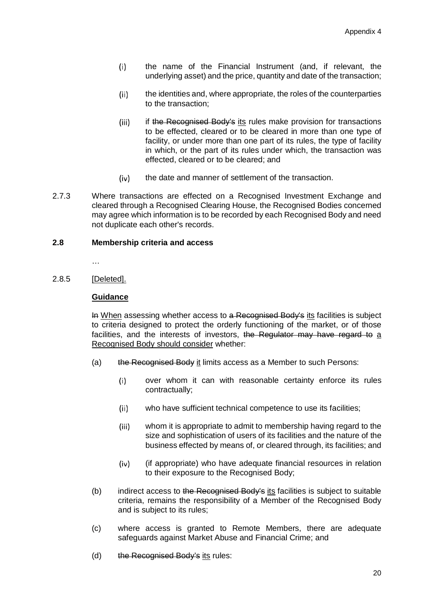- the name of the Financial Instrument (and, if relevant, the  $(i)$ underlying asset) and the price, quantity and date of the transaction;
- the identities and, where appropriate, the roles of the counterparties  $(ii)$ to the transaction;
- if the Recognised Body's its rules make provision for transactions  $(iii)$ to be effected, cleared or to be cleared in more than one type of facility, or under more than one part of its rules, the type of facility in which, or the part of its rules under which, the transaction was effected, cleared or to be cleared; and
- $(iv)$ the date and manner of settlement of the transaction.
- 2.7.3 Where transactions are effected on a Recognised Investment Exchange and cleared through a Recognised Clearing House, the Recognised Bodies concerned may agree which information is to be recorded by each Recognised Body and need not duplicate each other's records.

#### **2.8 Membership criteria and access**

…

#### 2.8.5 [Deleted].

# **Guidance**

In When assessing whether access to a Recognised Body's its facilities is subject to criteria designed to protect the orderly functioning of the market, or of those facilities, and the interests of investors, the Regulator may have regard to a Recognised Body should consider whether:

- (a) the Recognised Body it limits access as a Member to such Persons:
	- over whom it can with reasonable certainty enforce its rules  $(i)$ contractually;
	- $(ii)$ who have sufficient technical competence to use its facilities;
	- $(iii)$ whom it is appropriate to admit to membership having regard to the size and sophistication of users of its facilities and the nature of the business effected by means of, or cleared through, its facilities; and
	- $(iv)$ (if appropriate) who have adequate financial resources in relation to their exposure to the Recognised Body;
- (b) indirect access to the Recognised Body's its facilities is subject to suitable criteria, remains the responsibility of a Member of the Recognised Body and is subject to its rules;
- (c) where access is granted to Remote Members, there are adequate safeguards against Market Abuse and Financial Crime; and
- (d) the Recognised Body's its rules: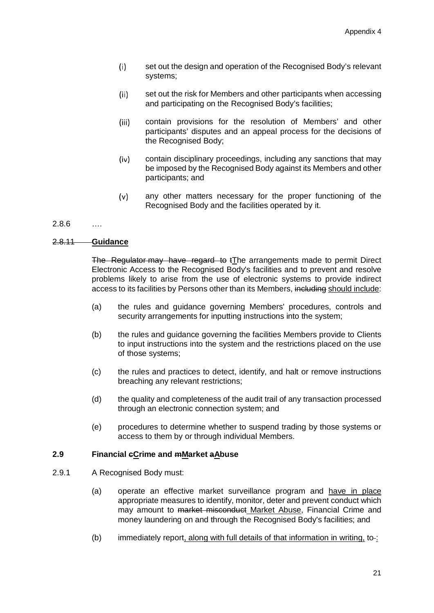- $(i)$ set out the design and operation of the Recognised Body's relevant systems;
- set out the risk for Members and other participants when accessing  $(ii)$ and participating on the Recognised Body's facilities;
- contain provisions for the resolution of Members' and other  $(iii)$ participants' disputes and an appeal process for the decisions of the Recognised Body;
- $(iv)$ contain disciplinary proceedings, including any sanctions that may be imposed by the Recognised Body against its Members and other participants; and
- $(v)$ any other matters necessary for the proper functioning of the Recognised Body and the facilities operated by it.

# 2.8.6 ….

#### 2.8.11 **Guidance**

The Regulator may have regard to tThe arrangements made to permit Direct Electronic Access to the Recognised Body's facilities and to prevent and resolve problems likely to arise from the use of electronic systems to provide indirect access to its facilities by Persons other than its Members, including should include:

- (a) the rules and guidance governing Members' procedures, controls and security arrangements for inputting instructions into the system;
- (b) the rules and guidance governing the facilities Members provide to Clients to input instructions into the system and the restrictions placed on the use of those systems;
- (c) the rules and practices to detect, identify, and halt or remove instructions breaching any relevant restrictions;
- (d) the quality and completeness of the audit trail of any transaction processed through an electronic connection system; and
- (e) procedures to determine whether to suspend trading by those systems or access to them by or through individual Members.

#### **2.9 Financial cCrime and mMarket aAbuse**

- 2.9.1 A Recognised Body must:
	- (a) operate an effective market surveillance program and have in place appropriate measures to identify, monitor, deter and prevent conduct which may amount to market misconduct Market Abuse, Financial Crime and money laundering on and through the Recognised Body's facilities; and
	- $(b)$  immediately report, along with full details of that information in writing, to-: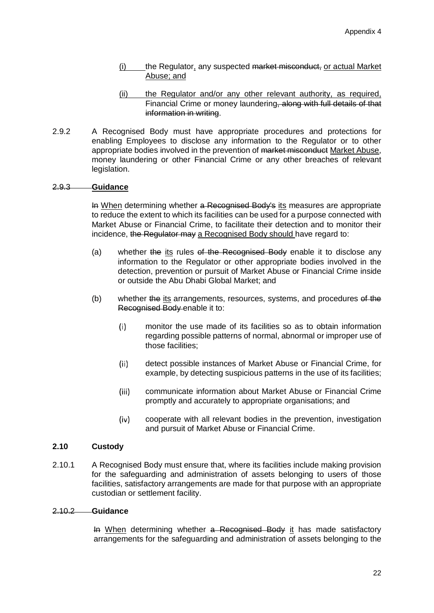- (i) the Regulator, any suspected market misconduct, or actual Market Abuse; and
- (ii) the Regulator and/or any other relevant authority, as required, Financial Crime or money laundering, along with full details of that information in writing.
- 2.9.2 A Recognised Body must have appropriate procedures and protections for enabling Employees to disclose any information to the Regulator or to other appropriate bodies involved in the prevention of market misconduct Market Abuse, money laundering or other Financial Crime or any other breaches of relevant legislation.

# 2.9.3 **Guidance**

In When determining whether a Recognised Body's its measures are appropriate to reduce the extent to which its facilities can be used for a purpose connected with Market Abuse or Financial Crime, to facilitate their detection and to monitor their incidence, the Regulator may a Recognised Body should have regard to:

- (a) whether the its rules of the Recognised Body enable it to disclose any information to the Regulator or other appropriate bodies involved in the detection, prevention or pursuit of Market Abuse or Financial Crime inside or outside the Abu Dhabi Global Market; and
- (b) whether the its arrangements, resources, systems, and procedures of the Recognised Body enable it to:
	- $(i)$ monitor the use made of its facilities so as to obtain information regarding possible patterns of normal, abnormal or improper use of those facilities;
	- $(ii)$ detect possible instances of Market Abuse or Financial Crime, for example, by detecting suspicious patterns in the use of its facilities;
	- $(iii)$ communicate information about Market Abuse or Financial Crime promptly and accurately to appropriate organisations; and
	- $(iv)$ cooperate with all relevant bodies in the prevention, investigation and pursuit of Market Abuse or Financial Crime.

## **2.10 Custody**

2.10.1 A Recognised Body must ensure that, where its facilities include making provision for the safeguarding and administration of assets belonging to users of those facilities, satisfactory arrangements are made for that purpose with an appropriate custodian or settlement facility.

#### 2.10.2 **Guidance**

In When determining whether a Recognised Body it has made satisfactory arrangements for the safeguarding and administration of assets belonging to the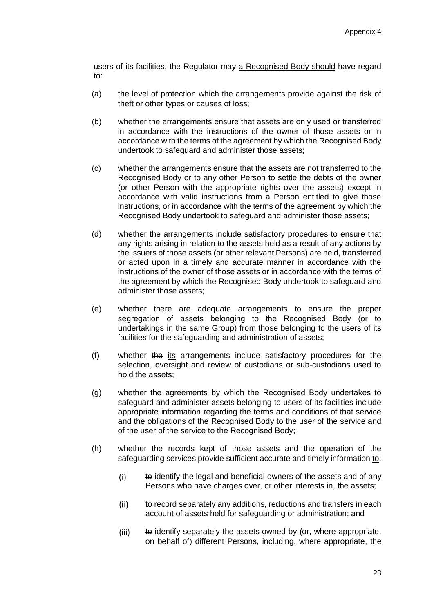users of its facilities, the Regulator may a Recognised Body should have regard to:

- (a) the level of protection which the arrangements provide against the risk of theft or other types or causes of loss;
- (b) whether the arrangements ensure that assets are only used or transferred in accordance with the instructions of the owner of those assets or in accordance with the terms of the agreement by which the Recognised Body undertook to safeguard and administer those assets;
- (c) whether the arrangements ensure that the assets are not transferred to the Recognised Body or to any other Person to settle the debts of the owner (or other Person with the appropriate rights over the assets) except in accordance with valid instructions from a Person entitled to give those instructions, or in accordance with the terms of the agreement by which the Recognised Body undertook to safeguard and administer those assets;
- (d) whether the arrangements include satisfactory procedures to ensure that any rights arising in relation to the assets held as a result of any actions by the issuers of those assets (or other relevant Persons) are held, transferred or acted upon in a timely and accurate manner in accordance with the instructions of the owner of those assets or in accordance with the terms of the agreement by which the Recognised Body undertook to safeguard and administer those assets;
- (e) whether there are adequate arrangements to ensure the proper segregation of assets belonging to the Recognised Body (or to undertakings in the same Group) from those belonging to the users of its facilities for the safeguarding and administration of assets;
- (f) whether the its arrangements include satisfactory procedures for the selection, oversight and review of custodians or sub-custodians used to hold the assets;
- (g) whether the agreements by which the Recognised Body undertakes to safeguard and administer assets belonging to users of its facilities include appropriate information regarding the terms and conditions of that service and the obligations of the Recognised Body to the user of the service and of the user of the service to the Recognised Body;
- (h) whether the records kept of those assets and the operation of the safeguarding services provide sufficient accurate and timely information to:
	- $(i)$ to identify the legal and beneficial owners of the assets and of any Persons who have charges over, or other interests in, the assets;
	- $(ii)$ to record separately any additions, reductions and transfers in each account of assets held for safeguarding or administration; and
	- to identify separately the assets owned by (or, where appropriate,  $(iii)$ on behalf of) different Persons, including, where appropriate, the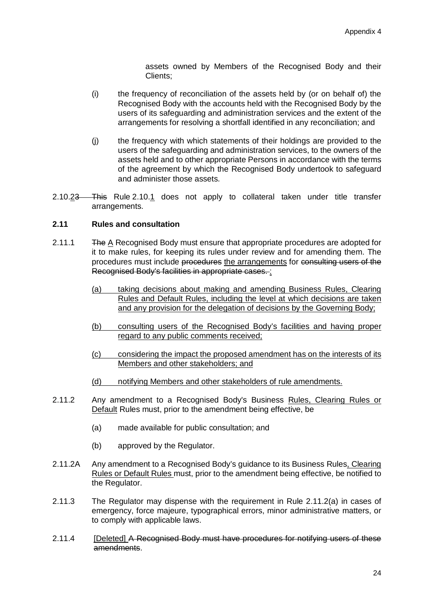assets owned by Members of the Recognised Body and their Clients;

- (i) the frequency of reconciliation of the assets held by (or on behalf of) the Recognised Body with the accounts held with the Recognised Body by the users of its safeguarding and administration services and the extent of the arrangements for resolving a shortfall identified in any reconciliation; and
- (j) the frequency with which statements of their holdings are provided to the users of the safeguarding and administration services, to the owners of the assets held and to other appropriate Persons in accordance with the terms of the agreement by which the Recognised Body undertook to safeguard and administer those assets.
- 2.10.23 This Rule 2.10.1 does not apply to collateral taken under title transfer arrangements.

# **2.11 Rules and consultation**

- 2.11.1 The A Recognised Body must ensure that appropriate procedures are adopted for it to make rules, for keeping its rules under review and for amending them. The procedures must include procedures the arrangements for consulting users of the Recognised Body's facilities in appropriate cases. :
	- (a) taking decisions about making and amending Business Rules, Clearing Rules and Default Rules, including the level at which decisions are taken and any provision for the delegation of decisions by the Governing Body;
	- (b) consulting users of the Recognised Body's facilities and having proper regard to any public comments received;
	- (c) considering the impact the proposed amendment has on the interests of its Members and other stakeholders; and
	- (d) notifying Members and other stakeholders of rule amendments.
- 2.11.2 Any amendment to a Recognised Body's Business Rules, Clearing Rules or Default Rules must, prior to the amendment being effective, be
	- (a) made available for public consultation; and
	- (b) approved by the Regulator.
- 2.11.2A Any amendment to a Recognised Body's guidance to its Business Rules, Clearing Rules or Default Rules must, prior to the amendment being effective, be notified to the Regulator.
- 2.11.3 The Regulator may dispense with the requirement in Rule 2.11.2(a) in cases of emergency, force majeure, typographical errors, minor administrative matters, or to comply with applicable laws.
- 2.11.4 [Deleted] A Recognised Body must have procedures for notifying users of these amendments.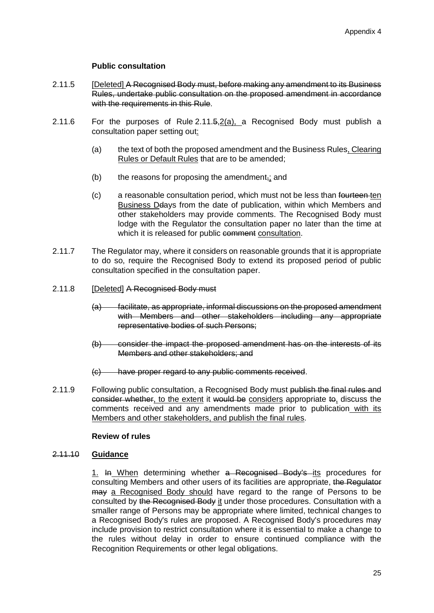# **Public consultation**

- 2.11.5 [Deleted] A Recognised Body must, before making any amendment to its Business Rules, undertake public consultation on the proposed amendment in accordance with the requirements in this Rule.
- 2.11.6 For the purposes of Rule 2.11.5,2(a), a Recognised Body must publish a consultation paper setting out:
	- (a) the text of both the proposed amendment and the Business Rules, Clearing Rules or Default Rules that are to be amended;
	- $(b)$  the reasons for proposing the amendment<sub>r</sub>; and
	- (c) a reasonable consultation period, which must not be less than fourteen ten Business Deays from the date of publication, within which Members and other stakeholders may provide comments. The Recognised Body must lodge with the Regulator the consultation paper no later than the time at which it is released for public comment consultation.
- 2.11.7 The Regulator may, where it considers on reasonable grounds that it is appropriate to do so, require the Recognised Body to extend its proposed period of public consultation specified in the consultation paper.
- 2.11.8 **[Deleted] A Recognised Body must** 
	- (a) facilitate, as appropriate, informal discussions on the proposed amendment with Members and other stakeholders including any appropriate representative bodies of such Persons;
	- (b) consider the impact the proposed amendment has on the interests of its Members and other stakeholders; and
	- (c) have proper regard to any public comments received.
- 2.11.9 Following public consultation, a Recognised Body must publish the final rules and consider whether, to the extent it would be considers appropriate to, discuss the comments received and any amendments made prior to publication with its Members and other stakeholders, and publish the final rules.

# **Review of rules**

# 2.11.10 **Guidance**

1. In When determining whether a Recognised Body's its procedures for consulting Members and other users of its facilities are appropriate, the Regulator may a Recognised Body should have regard to the range of Persons to be consulted by the Recognised Body it under those procedures. Consultation with a smaller range of Persons may be appropriate where limited, technical changes to a Recognised Body's rules are proposed. A Recognised Body's procedures may include provision to restrict consultation where it is essential to make a change to the rules without delay in order to ensure continued compliance with the Recognition Requirements or other legal obligations.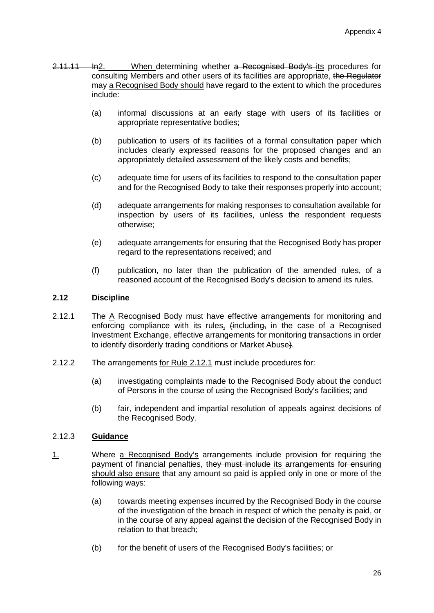- 2.11.11 In2. When determining whether a Recognised Body's its procedures for consulting Members and other users of its facilities are appropriate, the Regulator may a Recognised Body should have regard to the extent to which the procedures include:
	- (a) informal discussions at an early stage with users of its facilities or appropriate representative bodies;
	- (b) publication to users of its facilities of a formal consultation paper which includes clearly expressed reasons for the proposed changes and an appropriately detailed assessment of the likely costs and benefits;
	- (c) adequate time for users of its facilities to respond to the consultation paper and for the Recognised Body to take their responses properly into account;
	- (d) adequate arrangements for making responses to consultation available for inspection by users of its facilities, unless the respondent requests otherwise;
	- (e) adequate arrangements for ensuring that the Recognised Body has proper regard to the representations received; and
	- (f) publication, no later than the publication of the amended rules, of a reasoned account of the Recognised Body's decision to amend its rules.

# **2.12 Discipline**

- 2.12.1 The A Recognised Body must have effective arrangements for monitoring and enforcing compliance with its rules, (including, in the case of a Recognised Investment Exchange, effective arrangements for monitoring transactions in order to identify disorderly trading conditions or Market Abuse).
- 2.12.2 The arrangements for Rule 2.12.1 must include procedures for:
	- (a) investigating complaints made to the Recognised Body about the conduct of Persons in the course of using the Recognised Body's facilities; and
	- (b) fair, independent and impartial resolution of appeals against decisions of the Recognised Body.

# 2.12.3 **Guidance**

- 1. Where a Recognised Body's arrangements include provision for requiring the payment of financial penalties, they must include its arrangements for ensuring should also ensure that any amount so paid is applied only in one or more of the following ways:
	- (a) towards meeting expenses incurred by the Recognised Body in the course of the investigation of the breach in respect of which the penalty is paid, or in the course of any appeal against the decision of the Recognised Body in relation to that breach;
	- (b) for the benefit of users of the Recognised Body's facilities; or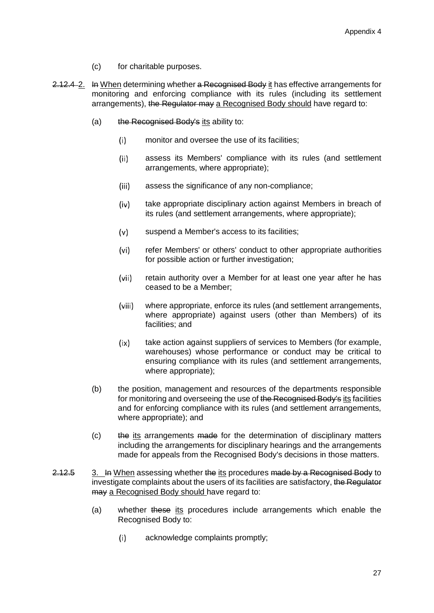- (c) for charitable purposes.
- 2.12.4 2. In When determining whether a Recognised Body it has effective arrangements for monitoring and enforcing compliance with its rules (including its settlement arrangements), the Regulator may a Recognised Body should have regard to:
	- (a) the Recognised Body's its ability to:
		- $(i)$ monitor and oversee the use of its facilities;
		- $(ii)$ assess its Members' compliance with its rules (and settlement arrangements, where appropriate);
		- $(iii)$ assess the significance of any non-compliance;
		- $(iv)$ take appropriate disciplinary action against Members in breach of its rules (and settlement arrangements, where appropriate);
		- $(v)$ suspend a Member's access to its facilities;
		- refer Members' or others' conduct to other appropriate authorities  $(vi)$ for possible action or further investigation;
		- (vii) retain authority over a Member for at least one year after he has ceased to be a Member;
		- (viii) where appropriate, enforce its rules (and settlement arrangements, where appropriate) against users (other than Members) of its facilities; and
		- take action against suppliers of services to Members (for example,  $(ix)$ warehouses) whose performance or conduct may be critical to ensuring compliance with its rules (and settlement arrangements, where appropriate);
	- (b) the position, management and resources of the departments responsible for monitoring and overseeing the use of the Recognised Body's its facilities and for enforcing compliance with its rules (and settlement arrangements, where appropriate); and
	- (c) the its arrangements made for the determination of disciplinary matters including the arrangements for disciplinary hearings and the arrangements made for appeals from the Recognised Body's decisions in those matters.
- 2.12.5 3. In When assessing whether the its procedures made by a Recognised Body to investigate complaints about the users of its facilities are satisfactory, the Regulator may a Recognised Body should have regard to:
	- (a) whether these its procedures include arrangements which enable the Recognised Body to:
		- $(i)$ acknowledge complaints promptly;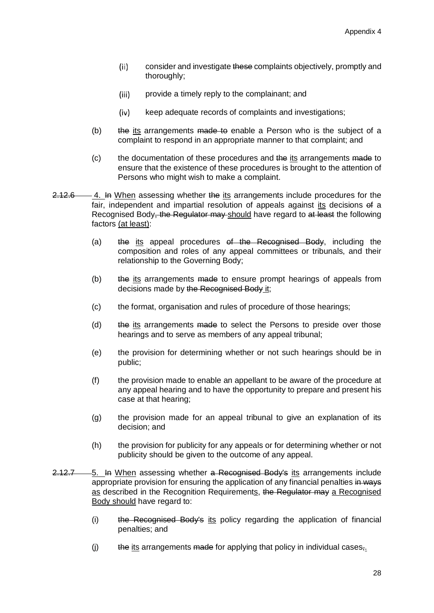- $(ii)$ consider and investigate these complaints objectively, promptly and thoroughly;
- provide a timely reply to the complainant; and  $(iii)$
- $(iv)$ keep adequate records of complaints and investigations;
- (b)  $\theta$  the its arrangements made to enable a Person who is the subject of a complaint to respond in an appropriate manner to that complaint; and
- (c) the documentation of these procedures and the its arrangements made to ensure that the existence of these procedures is brought to the attention of Persons who might wish to make a complaint.
- $2.12.6$  4. In When assessing whether the its arrangements include procedures for the fair, independent and impartial resolution of appeals against its decisions of a Recognised Body, the Regulator may should have regard to at least the following factors (at least):
	- (a) the its appeal procedures of the Recognised Body, including the composition and roles of any appeal committees or tribunals, and their relationship to the Governing Body;
	- (b) the its arrangements made to ensure prompt hearings of appeals from decisions made by the Recognised Body it;
	- (c) the format, organisation and rules of procedure of those hearings;
	- (d) the its arrangements made to select the Persons to preside over those hearings and to serve as members of any appeal tribunal;
	- (e) the provision for determining whether or not such hearings should be in public;
	- (f) the provision made to enable an appellant to be aware of the procedure at any appeal hearing and to have the opportunity to prepare and present his case at that hearing;
	- (g) the provision made for an appeal tribunal to give an explanation of its decision; and
	- (h) the provision for publicity for any appeals or for determining whether or not publicity should be given to the outcome of any appeal.
- 2.12.7 5. In When assessing whether a Recognised Body's its arrangements include appropriate provision for ensuring the application of any financial penalties in ways as described in the Recognition Requirements, the Regulator may a Recognised Body should have regard to:
	- (i) the Recognised Body's its policy regarding the application of financial penalties; and
	- $(i)$  the its arrangements made for applying that policy in individual cases,.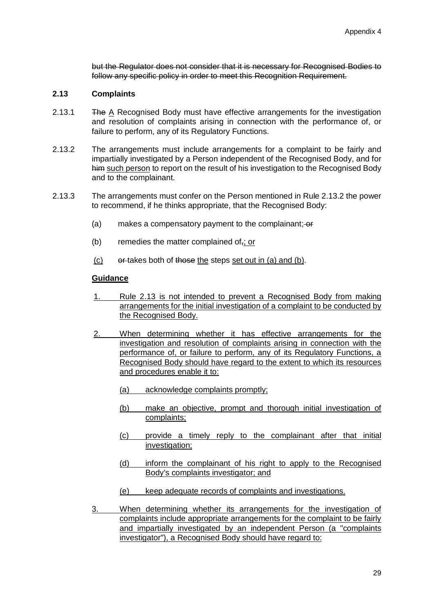but the Regulator does not consider that it is necessary for Recognised Bodies to follow any specific policy in order to meet this Recognition Requirement.

# **2.13 Complaints**

- 2.13.1 The A Recognised Body must have effective arrangements for the investigation and resolution of complaints arising in connection with the performance of, or failure to perform, any of its Regulatory Functions.
- 2.13.2 The arrangements must include arrangements for a complaint to be fairly and impartially investigated by a Person independent of the Recognised Body, and for him such person to report on the result of his investigation to the Recognised Body and to the complainant.
- 2.13.3 The arrangements must confer on the Person mentioned in Rule 2.13.2 the power to recommend, if he thinks appropriate, that the Recognised Body:
	- (a) makes a compensatory payment to the complainant;  $\overline{or}$
	- (b) remedies the matter complained of<sub> $\overline{z}$ </sub>; or
	- $(c)$  or takes both of those the steps set out in (a) and (b).

#### **Guidance**

- 1. Rule 2.13 is not intended to prevent a Recognised Body from making arrangements for the initial investigation of a complaint to be conducted by the Recognised Body.
- 2. When determining whether it has effective arrangements for the investigation and resolution of complaints arising in connection with the performance of, or failure to perform, any of its Regulatory Functions, a Recognised Body should have regard to the extent to which its resources and procedures enable it to:
	- (a) acknowledge complaints promptly;
	- (b) make an objective, prompt and thorough initial investigation of complaints;
	- (c) provide a timely reply to the complainant after that initial investigation:
	- (d) inform the complainant of his right to apply to the Recognised Body's complaints investigator; and
	- (e) keep adequate records of complaints and investigations.
- 3. When determining whether its arrangements for the investigation of complaints include appropriate arrangements for the complaint to be fairly and impartially investigated by an independent Person (a "complaints investigator"), a Recognised Body should have regard to: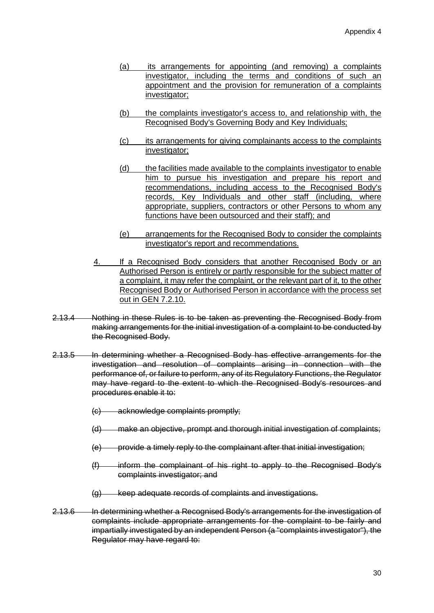- (a) its arrangements for appointing (and removing) a complaints investigator, including the terms and conditions of such an appointment and the provision for remuneration of a complaints investigator;
- (b) the complaints investigator's access to, and relationship with, the Recognised Body's Governing Body and Key Individuals;
- (c) its arrangements for giving complainants access to the complaints investigator;
- (d) the facilities made available to the complaints investigator to enable him to pursue his investigation and prepare his report and recommendations, including access to the Recognised Body's records, Key Individuals and other staff (including, where appropriate, suppliers, contractors or other Persons to whom any functions have been outsourced and their staff); and
- (e) arrangements for the Recognised Body to consider the complaints investigator's report and recommendations.
- 4. If a Recognised Body considers that another Recognised Body or an Authorised Person is entirely or partly responsible for the subject matter of a complaint, it may refer the complaint, or the relevant part of it, to the other Recognised Body or Authorised Person in accordance with the process set out in GEN 7.2.10.
- 2.13.4 Nothing in these Rules is to be taken as preventing the Recognised Body from making arrangements for the initial investigation of a complaint to be conducted by the Recognised Body.
- 2.13.5 In determining whether a Recognised Body has effective arrangements for the investigation and resolution of complaints arising in connection with the performance of, or failure to perform, any of its Regulatory Functions, the Regulator may have regard to the extent to which the Recognised Body's resources and procedures enable it to:
	- (c) acknowledge complaints promptly;
	- (d) make an objective, prompt and thorough initial investigation of complaints;
	- (e) provide a timely reply to the complainant after that initial investigation;
	- (f) inform the complainant of his right to apply to the Recognised Body's complaints investigator; and
	- (g) keep adequate records of complaints and investigations.
- 2.13.6 In determining whether a Recognised Body's arrangements for the investigation of complaints include appropriate arrangements for the complaint to be fairly and impartially investigated by an independent Person (a "complaints investigator"), the Regulator may have regard to: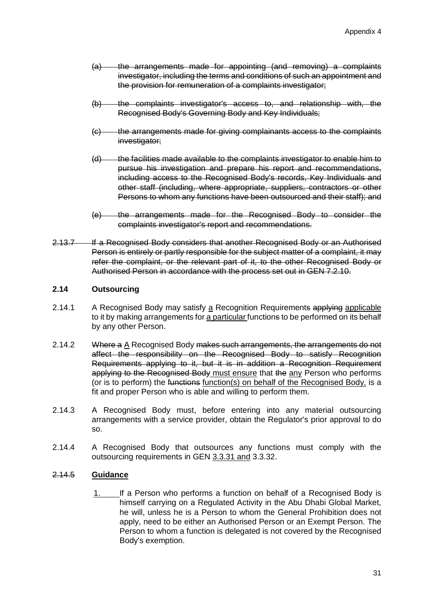- (a) the arrangements made for appointing (and removing) a complaints investigator, including the terms and conditions of such an appointment and the provision for remuneration of a complaints investigator;
- (b) the complaints investigator's access to, and relationship with, the Recognised Body's Governing Body and Key Individuals;
- (c) the arrangements made for giving complainants access to the complaints investigator:
- (d) the facilities made available to the complaints investigator to enable him to pursue his investigation and prepare his report and recommendations, including access to the Recognised Body's records, Key Individuals and other staff (including, where appropriate, suppliers, contractors or other Persons to whom any functions have been outsourced and their staff); and
- (e) the arrangements made for the Recognised Body to consider the complaints investigator's report and recommendations.
- 2.13.7 If a Recognised Body considers that another Recognised Body or an Authorised Person is entirely or partly responsible for the subject matter of a complaint, it may refer the complaint, or the relevant part of it, to the other Recognised Body or Authorised Person in accordance with the process set out in GEN 7.2.10.

# **2.14 Outsourcing**

- 2.14.1 A Recognised Body may satisfy a Recognition Requirements applying applicable to it by making arrangements for a particular functions to be performed on its behalf by any other Person.
- 2.14.2 Where a A Recognised Body makes such arrangements, the arrangements do not affect the responsibility on the Recognised Body to satisfy Recognition Requirements applying to it, but it is in addition a Recognition Requirement applying to the Recognised Body must ensure that the any Person who performs (or is to perform) the functions function(s) on behalf of the Recognised Body, is a fit and proper Person who is able and willing to perform them.
- 2.14.3 A Recognised Body must, before entering into any material outsourcing arrangements with a service provider, obtain the Regulator's prior approval to do so.
- 2.14.4 A Recognised Body that outsources any functions must comply with the outsourcing requirements in GEN 3.3.31 and 3.3.32.

# 2.14.5 **Guidance**

1. If a Person who performs a function on behalf of a Recognised Body is himself carrying on a Regulated Activity in the Abu Dhabi Global Market, he will, unless he is a Person to whom the General Prohibition does not apply, need to be either an Authorised Person or an Exempt Person. The Person to whom a function is delegated is not covered by the Recognised Body's exemption.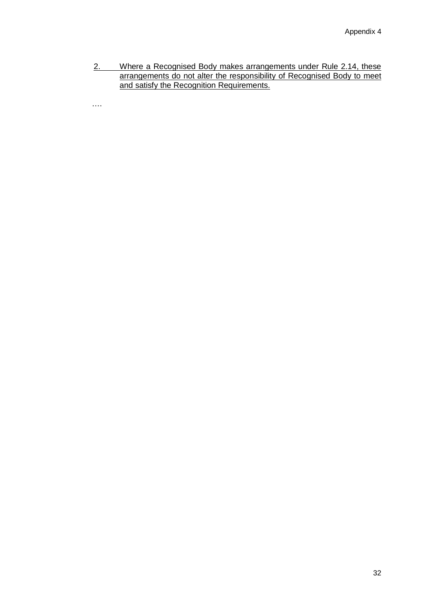2. Where a Recognised Body makes arrangements under Rule 2.14, these arrangements do not alter the responsibility of Recognised Body to meet and satisfy the Recognition Requirements.

….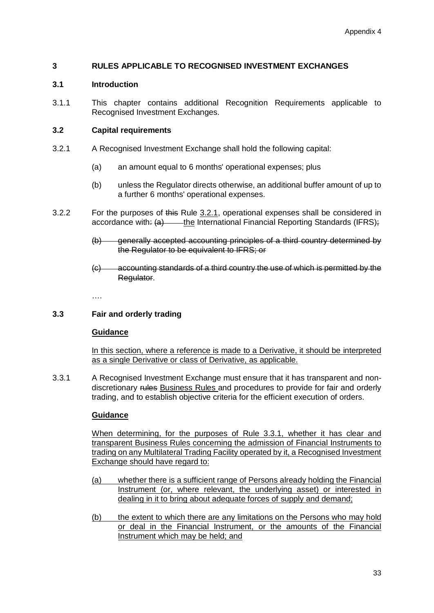# **3 RULES APPLICABLE TO RECOGNISED INVESTMENT EXCHANGES**

#### **3.1 Introduction**

3.1.1 This chapter contains additional Recognition Requirements applicable to Recognised Investment Exchanges.

#### **3.2 Capital requirements**

- 3.2.1 A Recognised Investment Exchange shall hold the following capital:
	- (a) an amount equal to 6 months' operational expenses; plus
	- (b) unless the Regulator directs otherwise, an additional buffer amount of up to a further 6 months' operational expenses.
- 3.2.2 For the purposes of this Rule 3.2.1, operational expenses shall be considered in accordance with:  $\left\{a\right\}$  - the International Financial Reporting Standards (IFRS);
	- (b) generally accepted accounting principles of a third country determined by the Regulator to be equivalent to IFRS; or
	- (c) accounting standards of a third country the use of which is permitted by the Regulator.

….

# **3.3 Fair and orderly trading**

#### **Guidance**

In this section, where a reference is made to a Derivative, it should be interpreted as a single Derivative or class of Derivative, as applicable.

3.3.1 A Recognised Investment Exchange must ensure that it has transparent and nondiscretionary rules Business Rules and procedures to provide for fair and orderly trading, and to establish objective criteria for the efficient execution of orders.

# **Guidance**

When determining, for the purposes of Rule 3.3.1, whether it has clear and transparent Business Rules concerning the admission of Financial Instruments to trading on any Multilateral Trading Facility operated by it, a Recognised Investment Exchange should have regard to:

- (a) whether there is a sufficient range of Persons already holding the Financial Instrument (or, where relevant, the underlying asset) or interested in dealing in it to bring about adequate forces of supply and demand;
- (b) the extent to which there are any limitations on the Persons who may hold or deal in the Financial Instrument, or the amounts of the Financial Instrument which may be held; and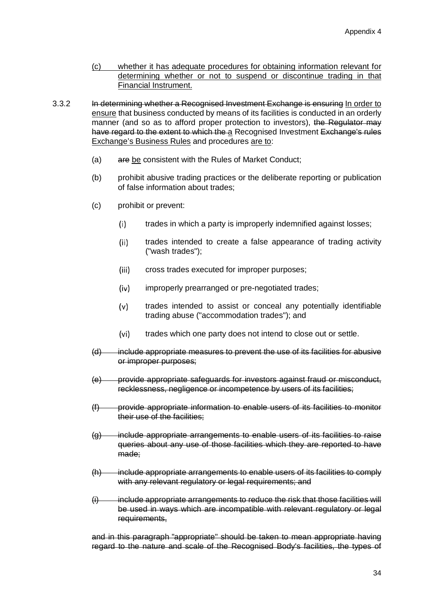- (c) whether it has adequate procedures for obtaining information relevant for determining whether or not to suspend or discontinue trading in that Financial Instrument.
- 3.3.2 In determining whether a Recognised Investment Exchange is ensuring In order to ensure that business conducted by means of its facilities is conducted in an orderly manner (and so as to afford proper protection to investors), the Regulator may have regard to the extent to which the a Recognised Investment Exchange's rules Exchange's Business Rules and procedures are to:
	- (a) are be consistent with the Rules of Market Conduct;
	- (b) prohibit abusive trading practices or the deliberate reporting or publication of false information about trades;
	- (c) prohibit or prevent:
		- trades in which a party is improperly indemnified against losses;  $(i)$
		- $(ii)$ trades intended to create a false appearance of trading activity ("wash trades");
		- $(iii)$ cross trades executed for improper purposes;
		- $(iv)$ improperly prearranged or pre-negotiated trades;
		- $(v)$ trades intended to assist or conceal any potentially identifiable trading abuse ("accommodation trades"); and
		- $(vi)$ trades which one party does not intend to close out or settle.
	- (d) include appropriate measures to prevent the use of its facilities for abusive or improper purposes;
	- (e) provide appropriate safeguards for investors against fraud or misconduct, recklessness, negligence or incompetence by users of its facilities;
	- (f) provide appropriate information to enable users of its facilities to monitor their use of the facilities;
	- (g) include appropriate arrangements to enable users of its facilities to raise queries about any use of those facilities which they are reported to have made;
	- (h) include appropriate arrangements to enable users of its facilities to comply with any relevant regulatory or legal requirements; and
	- (i) include appropriate arrangements to reduce the risk that those facilities will be used in ways which are incompatible with relevant regulatory or legal requirements,

and in this paragraph "appropriate" should be taken to mean appropriate having regard to the nature and scale of the Recognised Body's facilities, the types of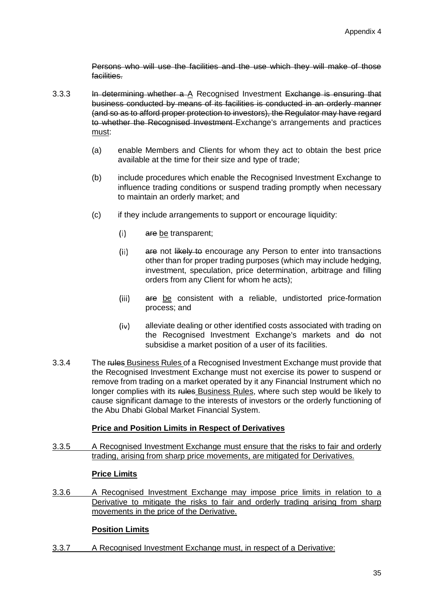Persons who will use the facilities and the use which they will make of those facilities.

- 3.3.3 In determining whether a A Recognised Investment Exchange is ensuring that business conducted by means of its facilities is conducted in an orderly manner (and so as to afford proper protection to investors), the Regulator may have regard to whether the Recognised Investment Exchange's arrangements and practices must:
	- (a) enable Members and Clients for whom they act to obtain the best price available at the time for their size and type of trade;
	- (b) include procedures which enable the Recognised Investment Exchange to influence trading conditions or suspend trading promptly when necessary to maintain an orderly market; and
	- (c) if they include arrangements to support or encourage liquidity:
		- $(i)$ are be transparent;
		- $(ii)$ are not likely to encourage any Person to enter into transactions other than for proper trading purposes (which may include hedging, investment, speculation, price determination, arbitrage and filling orders from any Client for whom he acts);
		- $(iii)$ are be consistent with a reliable, undistorted price-formation process; and
		- $(iv)$ alleviate dealing or other identified costs associated with trading on the Recognised Investment Exchange's markets and do not subsidise a market position of a user of its facilities.
- 3.3.4 The rules Business Rules of a Recognised Investment Exchange must provide that the Recognised Investment Exchange must not exercise its power to suspend or remove from trading on a market operated by it any Financial Instrument which no longer complies with its rules Business Rules, where such step would be likely to cause significant damage to the interests of investors or the orderly functioning of the Abu Dhabi Global Market Financial System.

# **Price and Position Limits in Respect of Derivatives**

3.3.5 A Recognised Investment Exchange must ensure that the risks to fair and orderly trading, arising from sharp price movements, are mitigated for Derivatives.

# **Price Limits**

3.3.6 A Recognised Investment Exchange may impose price limits in relation to a Derivative to mitigate the risks to fair and orderly trading arising from sharp movements in the price of the Derivative.

# **Position Limits**

3.3.7 A Recognised Investment Exchange must, in respect of a Derivative: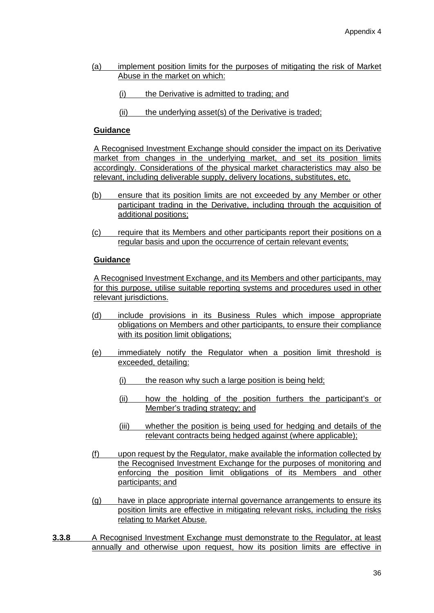- (a) implement position limits for the purposes of mitigating the risk of Market Abuse in the market on which:
	- (i) the Derivative is admitted to trading; and
	- (ii) the underlying asset(s) of the Derivative is traded;

## **Guidance**

A Recognised Investment Exchange should consider the impact on its Derivative market from changes in the underlying market, and set its position limits accordingly. Considerations of the physical market characteristics may also be relevant, including deliverable supply, delivery locations, substitutes, etc.

- (b) ensure that its position limits are not exceeded by any Member or other participant trading in the Derivative, including through the acquisition of additional positions;
- (c) require that its Members and other participants report their positions on a regular basis and upon the occurrence of certain relevant events;

### **Guidance**

A Recognised Investment Exchange, and its Members and other participants, may for this purpose, utilise suitable reporting systems and procedures used in other relevant jurisdictions.

- (d) include provisions in its Business Rules which impose appropriate obligations on Members and other participants, to ensure their compliance with its position limit obligations;
- (e) immediately notify the Regulator when a position limit threshold is exceeded, detailing:
	- (i) the reason why such a large position is being held;
	- (ii) how the holding of the position furthers the participant's or Member's trading strategy; and
	- (iii) whether the position is being used for hedging and details of the relevant contracts being hedged against (where applicable);
- (f) upon request by the Regulator, make available the information collected by the Recognised Investment Exchange for the purposes of monitoring and enforcing the position limit obligations of its Members and other participants; and
- (g) have in place appropriate internal governance arrangements to ensure its position limits are effective in mitigating relevant risks, including the risks relating to Market Abuse.
- **3.3.8** A Recognised Investment Exchange must demonstrate to the Regulator, at least annually and otherwise upon request, how its position limits are effective in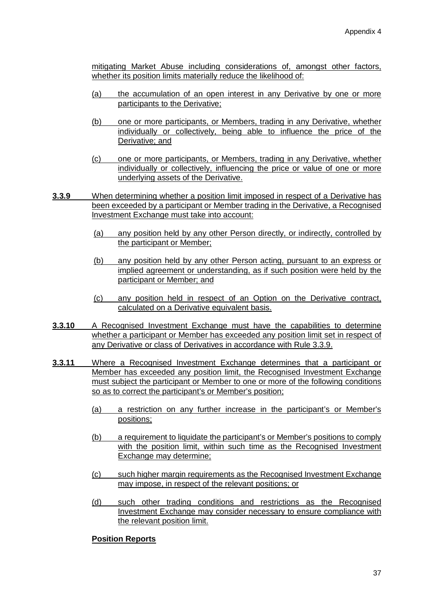mitigating Market Abuse including considerations of, amongst other factors, whether its position limits materially reduce the likelihood of:

- (a) the accumulation of an open interest in any Derivative by one or more participants to the Derivative;
- (b) one or more participants, or Members, trading in any Derivative, whether individually or collectively, being able to influence the price of the Derivative; and
- (c) one or more participants, or Members, trading in any Derivative, whether individually or collectively, influencing the price or value of one or more underlying assets of the Derivative.
- **3.3.9** When determining whether a position limit imposed in respect of a Derivative has been exceeded by a participant or Member trading in the Derivative, a Recognised Investment Exchange must take into account:
	- (a) any position held by any other Person directly, or indirectly, controlled by the participant or Member;
	- (b) any position held by any other Person acting, pursuant to an express or implied agreement or understanding, as if such position were held by the participant or Member; and
	- (c) any position held in respect of an Option on the Derivative contract, calculated on a Derivative equivalent basis.
- **3.3.10** A Recognised Investment Exchange must have the capabilities to determine whether a participant or Member has exceeded any position limit set in respect of any Derivative or class of Derivatives in accordance with Rule 3.3.9.
- **3.3.11** Where a Recognised Investment Exchange determines that a participant or Member has exceeded any position limit, the Recognised Investment Exchange must subject the participant or Member to one or more of the following conditions so as to correct the participant's or Member's position;
	- (a) a restriction on any further increase in the participant's or Member's positions;
	- (b) a requirement to liquidate the participant's or Member's positions to comply with the position limit, within such time as the Recognised Investment Exchange may determine;
	- (c) such higher margin requirements as the Recognised Investment Exchange may impose, in respect of the relevant positions; or
	- (d) such other trading conditions and restrictions as the Recognised Investment Exchange may consider necessary to ensure compliance with the relevant position limit.

### **Position Reports**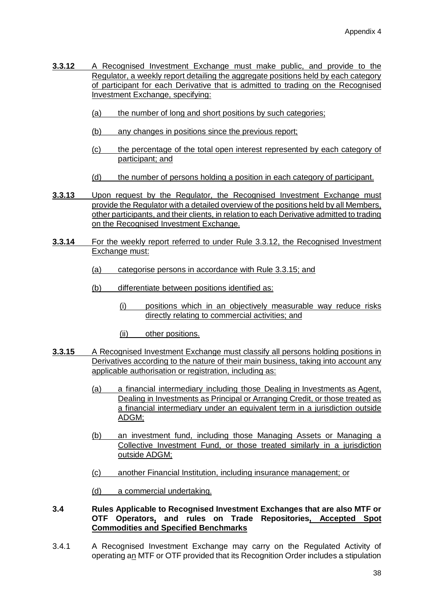- **3.3.12** A Recognised Investment Exchange must make public, and provide to the Regulator, a weekly report detailing the aggregate positions held by each category of participant for each Derivative that is admitted to trading on the Recognised Investment Exchange, specifying:
	- (a) the number of long and short positions by such categories;
	- (b) any changes in positions since the previous report;
	- (c) the percentage of the total open interest represented by each category of participant; and
	- (d) the number of persons holding a position in each category of participant.
- **3.3.13** Upon request by the Regulator, the Recognised Investment Exchange must provide the Regulator with a detailed overview of the positions held by all Members, other participants, and their clients, in relation to each Derivative admitted to trading on the Recognised Investment Exchange.
- **3.3.14** For the weekly report referred to under Rule 3.3.12, the Recognised Investment Exchange must:
	- (a) categorise persons in accordance with Rule 3.3.15; and
	- (b) differentiate between positions identified as:
		- (i) positions which in an objectively measurable way reduce risks directly relating to commercial activities; and
		- (ii) other positions.
- **3.3.15** A Recognised Investment Exchange must classify all persons holding positions in Derivatives according to the nature of their main business, taking into account any applicable authorisation or registration, including as:
	- (a) a financial intermediary including those Dealing in Investments as Agent, Dealing in Investments as Principal or Arranging Credit, or those treated as a financial intermediary under an equivalent term in a jurisdiction outside ADGM;
	- (b) an investment fund, including those Managing Assets or Managing a Collective Investment Fund, or those treated similarly in a jurisdiction outside ADGM;
	- (c) another Financial Institution, including insurance management; or
	- (d) a commercial undertaking.

#### **3.4 Rules Applicable to Recognised Investment Exchanges that are also MTF or OTF Operators, and rules on Trade Repositories, Accepted Spot Commodities and Specified Benchmarks**

3.4.1 A Recognised Investment Exchange may carry on the Regulated Activity of operating an MTF or OTF provided that its Recognition Order includes a stipulation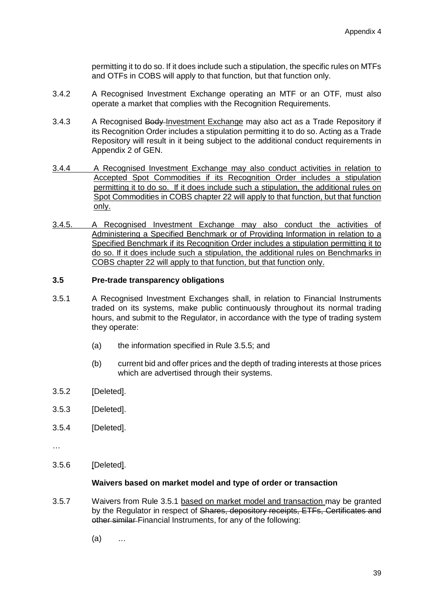permitting it to do so. If it does include such a stipulation, the specific rules on MTFs and OTFs in COBS will apply to that function, but that function only.

- 3.4.2 A Recognised Investment Exchange operating an MTF or an OTF, must also operate a market that complies with the Recognition Requirements.
- 3.4.3 A Recognised Body-Investment Exchange may also act as a Trade Repository if its Recognition Order includes a stipulation permitting it to do so. Acting as a Trade Repository will result in it being subject to the additional conduct requirements in Appendix 2 of GEN.
- 3.4.4 A Recognised Investment Exchange may also conduct activities in relation to Accepted Spot Commodities if its Recognition Order includes a stipulation permitting it to do so. If it does include such a stipulation, the additional rules on Spot Commodities in COBS chapter 22 will apply to that function, but that function only.
- 3.4.5. A Recognised Investment Exchange may also conduct the activities of Administering a Specified Benchmark or of Providing Information in relation to a Specified Benchmark if its Recognition Order includes a stipulation permitting it to do so. If it does include such a stipulation, the additional rules on Benchmarks in COBS chapter 22 will apply to that function, but that function only.

### **3.5 Pre-trade transparency obligations**

- 3.5.1 A Recognised Investment Exchanges shall, in relation to Financial Instruments traded on its systems, make public continuously throughout its normal trading hours, and submit to the Regulator, in accordance with the type of trading system they operate:
	- (a) the information specified in Rule 3.5.5; and
	- (b) current bid and offer prices and the depth of trading interests at those prices which are advertised through their systems.
- 3.5.2 [Deleted].
- 3.5.3 [Deleted].
- 3.5.4 [Deleted].
- …
- 3.5.6 [Deleted].

#### **Waivers based on market model and type of order or transaction**

- 3.5.7 Waivers from Rule 3.5.1 based on market model and transaction may be granted by the Regulator in respect of Shares, depository receipts, ETFs, Certificates and other similar Financial Instruments, for any of the following:
	- (a) …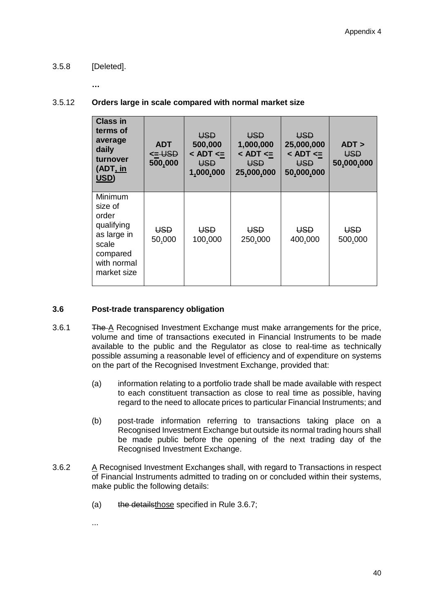# 3.5.8 [Deleted].

**…**

## 3.5.12 **Orders large in scale compared with normal market size**

| <b>Class in</b><br>terms of<br>average<br>daily<br>turnover<br>(ADT, in<br>USD)                             | <b>ADT</b><br>$< = \bigcup$<br>500,000 | <b>USD</b><br>500,000<br>$<$ ADT $<=$<br><b>USD</b><br>1,000,000 | <b>USD</b><br>1,000,000<br>$<$ ADT $<=$<br>USD<br>25,000,000 | <b>USD</b><br>25,000,000<br>$<$ ADT $<=$<br>USD<br>50,000,000 | ADT<br><b>USD</b><br>50,000,000 |
|-------------------------------------------------------------------------------------------------------------|----------------------------------------|------------------------------------------------------------------|--------------------------------------------------------------|---------------------------------------------------------------|---------------------------------|
| Minimum<br>size of<br>order<br>qualifying<br>as large in<br>scale<br>compared<br>with normal<br>market size | <b>USD</b><br>50,000                   | <b>USD</b><br>100,000                                            | <b>USD</b><br>250,000                                        | <b>USD</b><br>400,000                                         | <del>USD</del><br>500,000       |

### **3.6 Post-trade transparency obligation**

- 3.6.1 The A Recognised Investment Exchange must make arrangements for the price, volume and time of transactions executed in Financial Instruments to be made available to the public and the Regulator as close to real-time as technically possible assuming a reasonable level of efficiency and of expenditure on systems on the part of the Recognised Investment Exchange, provided that:
	- (a) information relating to a portfolio trade shall be made available with respect to each constituent transaction as close to real time as possible, having regard to the need to allocate prices to particular Financial Instruments; and
	- (b) post-trade information referring to transactions taking place on a Recognised Investment Exchange but outside its normal trading hours shall be made public before the opening of the next trading day of the Recognised Investment Exchange.
- 3.6.2 A Recognised Investment Exchanges shall, with regard to Transactions in respect of Financial Instruments admitted to trading on or concluded within their systems, make public the following details:
	- (a) the detailsthose specified in Rule 3.6.7;
	- ...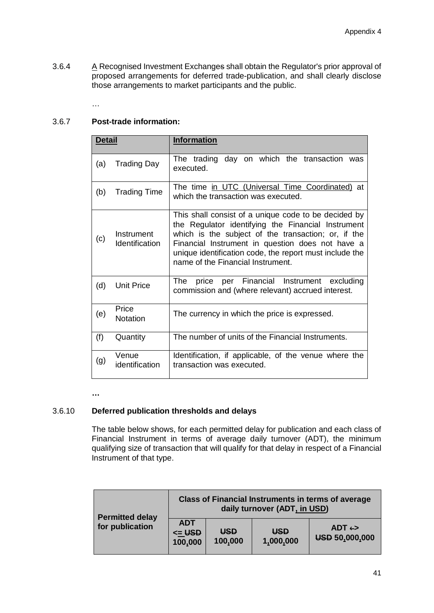3.6.4 A Recognised Investment Exchanges shall obtain the Regulator's prior approval of proposed arrangements for deferred trade-publication, and shall clearly disclose those arrangements to market participants and the public.

…

## 3.6.7 **Post-trade information:**

| <b>Detail</b> |                              | <b>Information</b>                                                                                                                                                                                                                                                                                                    |
|---------------|------------------------------|-----------------------------------------------------------------------------------------------------------------------------------------------------------------------------------------------------------------------------------------------------------------------------------------------------------------------|
| (a)           | <b>Trading Day</b>           | The trading day on which the transaction was<br>executed.                                                                                                                                                                                                                                                             |
| (b)           | <b>Trading Time</b>          | The time in UTC (Universal Time Coordinated) at<br>which the transaction was executed.                                                                                                                                                                                                                                |
| (c)           | Instrument<br>Identification | This shall consist of a unique code to be decided by<br>the Regulator identifying the Financial Instrument<br>which is the subject of the transaction; or, if the<br>Financial Instrument in question does not have a<br>unique identification code, the report must include the<br>name of the Financial Instrument. |
| (d)           | <b>Unit Price</b>            | The<br>price per Financial Instrument excluding<br>commission and (where relevant) accrued interest.                                                                                                                                                                                                                  |
| (e)           | Price<br><b>Notation</b>     | The currency in which the price is expressed.                                                                                                                                                                                                                                                                         |
| (f)           | Quantity                     | The number of units of the Financial Instruments.                                                                                                                                                                                                                                                                     |
| (g)           | Venue<br>identification      | Identification, if applicable, of the venue where the<br>transaction was executed.                                                                                                                                                                                                                                    |

**…**

## 3.6.10 **Deferred publication thresholds and delays**

The table below shows, for each permitted delay for publication and each class of Financial Instrument in terms of average daily turnover (ADT), the minimum qualifying size of transaction that will qualify for that delay in respect of a Financial Instrument of that type.

| <b>Permitted delay</b><br>for publication | <b>Class of Financial Instruments in terms of average</b><br>daily turnover (ADT, in USD) |                       |                         |                                         |
|-------------------------------------------|-------------------------------------------------------------------------------------------|-----------------------|-------------------------|-----------------------------------------|
|                                           | <b>ADT</b><br>$\leq$ USD<br>100,000                                                       | <b>USD</b><br>100,000 | <b>USD</b><br>1,000,000 | $ADT \leftrightarrow$<br>USD 50,000,000 |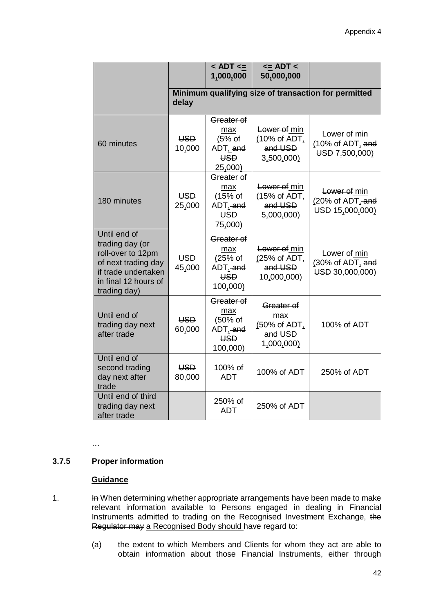|                                                                                                                                            |                      | $<$ ADT $<=$<br>1,000,000                                                      | $\leq$ ADT $\leq$<br>50,000,000                            |                                                     |
|--------------------------------------------------------------------------------------------------------------------------------------------|----------------------|--------------------------------------------------------------------------------|------------------------------------------------------------|-----------------------------------------------------|
|                                                                                                                                            | delay                |                                                                                | Minimum qualifying size of transaction for permitted       |                                                     |
| 60 minutes                                                                                                                                 | <b>USD</b><br>10,000 | Greater of<br>max<br>$(5%$ of<br>ADT <sub>L</sub> and<br><b>USD</b><br>25,000) | Lower of min<br>(10% of ADT,<br>and USD<br>3,500,000)      | Lower of min<br>(10% of ADT, and<br>USD 7,500,000)  |
| 180 minutes                                                                                                                                | <b>USD</b><br>25,000 | Greater of<br>max<br>$(15%$ of<br>ADT, and<br><b>USD</b><br>75,000)            | Lower of min<br>(15% of ADT,<br>and USD<br>5,000,000)      | Lower of min<br>(20% of ADT, and<br>USD 15,000,000) |
| Until end of<br>trading day (or<br>roll-over to 12pm<br>of next trading day<br>if trade undertaken<br>in final 12 hours of<br>trading day) | USD<br>45,000        | Greater of<br>max<br>(25% of<br>ADT, and<br><b>USD</b><br>100,000)             | Lower of min<br>(25% of ADT,<br>and USD<br>10,000,000)     | Lower of min<br>(30% of ADT, and<br>USD 30,000,000) |
| Until end of<br>trading day next<br>after trade                                                                                            | <b>USD</b><br>60,000 | Greater of<br>max<br>(50% of<br>ADT, and<br><b>USD</b><br>100,000)             | Greater of<br>max<br>(50% of ADT,<br>and USD<br>1,000,000) | 100% of ADT                                         |
| Until end of<br>second trading<br>day next after<br>trade                                                                                  | USD<br>80,000        | 100% of<br><b>ADT</b>                                                          | 100% of ADT                                                | 250% of ADT                                         |
| Until end of third<br>trading day next<br>after trade                                                                                      |                      | 250% of<br><b>ADT</b>                                                          | 250% of ADT                                                |                                                     |

# **3.7.5 Proper information**

…

### **Guidance**

- 1. **In When determining whether appropriate arrangements have been made to make** relevant information available to Persons engaged in dealing in Financial Instruments admitted to trading on the Recognised Investment Exchange, the Regulator may a Recognised Body should have regard to:
	- (a) the extent to which Members and Clients for whom they act are able to obtain information about those Financial Instruments, either through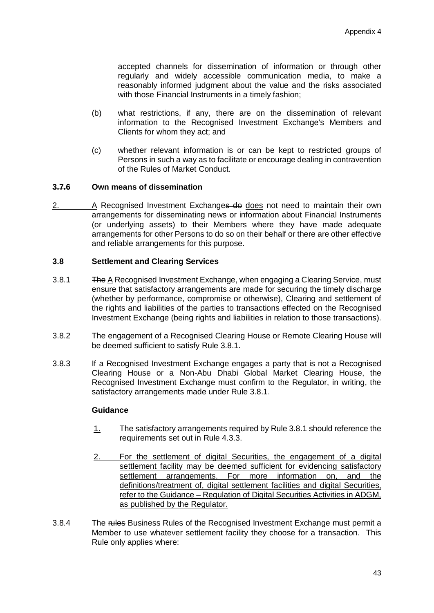accepted channels for dissemination of information or through other regularly and widely accessible communication media, to make a reasonably informed judgment about the value and the risks associated with those Financial Instruments in a timely fashion;

- (b) what restrictions, if any, there are on the dissemination of relevant information to the Recognised Investment Exchange's Members and Clients for whom they act; and
- (c) whether relevant information is or can be kept to restricted groups of Persons in such a way as to facilitate or encourage dealing in contravention of the Rules of Market Conduct.

### **3.7.6 Own means of dissemination**

2. A Recognised Investment Exchanges do does not need to maintain their own arrangements for disseminating news or information about Financial Instruments (or underlying assets) to their Members where they have made adequate arrangements for other Persons to do so on their behalf or there are other effective and reliable arrangements for this purpose.

#### **3.8 Settlement and Clearing Services**

- 3.8.1 The A Recognised Investment Exchange, when engaging a Clearing Service, must ensure that satisfactory arrangements are made for securing the timely discharge (whether by performance, compromise or otherwise), Clearing and settlement of the rights and liabilities of the parties to transactions effected on the Recognised Investment Exchange (being rights and liabilities in relation to those transactions).
- 3.8.2 The engagement of a Recognised Clearing House or Remote Clearing House will be deemed sufficient to satisfy Rule 3.8.1.
- 3.8.3 If a Recognised Investment Exchange engages a party that is not a Recognised Clearing House or a Non-Abu Dhabi Global Market Clearing House, the Recognised Investment Exchange must confirm to the Regulator, in writing, the satisfactory arrangements made under Rule 3.8.1.

#### **Guidance**

- 1. The satisfactory arrangements required by Rule 3.8.1 should reference the requirements set out in Rule 4.3.3.
- 2. For the settlement of digital Securities, the engagement of a digital settlement facility may be deemed sufficient for evidencing satisfactory settlement arrangements. For more information on, and the definitions/treatment of, digital settlement facilities and digital Securities, refer to the Guidance – Regulation of Digital Securities Activities in ADGM, as published by the Regulator.
- 3.8.4 The rules Business Rules of the Recognised Investment Exchange must permit a Member to use whatever settlement facility they choose for a transaction. This Rule only applies where: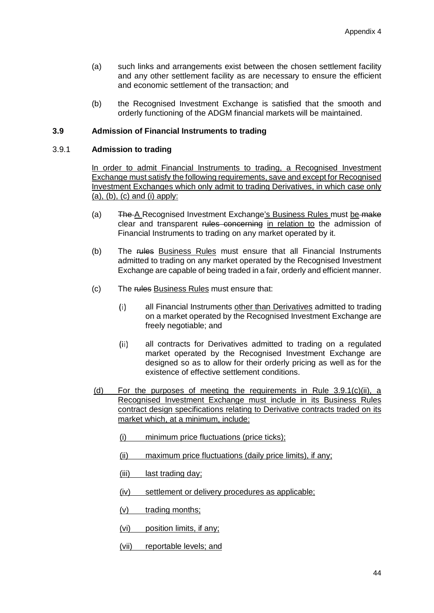- (a) such links and arrangements exist between the chosen settlement facility and any other settlement facility as are necessary to ensure the efficient and economic settlement of the transaction; and
- (b) the Recognised Investment Exchange is satisfied that the smooth and orderly functioning of the ADGM financial markets will be maintained.

#### **3.9 Admission of Financial Instruments to trading**

#### 3.9.1 **Admission to trading**

In order to admit Financial Instruments to trading, a Recognised Investment Exchange must satisfy the following requirements, save and except for Recognised Investment Exchanges which only admit to trading Derivatives, in which case only  $(a)$ ,  $(b)$ ,  $(c)$  and  $(i)$  apply:

- (a) The A Recognised Investment Exchange's Business Rules must be make clear and transparent rules concerning in relation to the admission of Financial Instruments to trading on any market operated by it.
- (b) The rules Business Rules must ensure that all Financial Instruments admitted to trading on any market operated by the Recognised Investment Exchange are capable of being traded in a fair, orderly and efficient manner.
- (c) The rules Business Rules must ensure that:
	- all Financial Instruments other than Derivatives admitted to trading  $(i)$ on a market operated by the Recognised Investment Exchange are freely negotiable; and
	- $(ii)$ all contracts for Derivatives admitted to trading on a regulated market operated by the Recognised Investment Exchange are designed so as to allow for their orderly pricing as well as for the existence of effective settlement conditions.
- (d) For the purposes of meeting the requirements in Rule 3.9.1(c)(ii), a Recognised Investment Exchange must include in its Business Rules contract design specifications relating to Derivative contracts traded on its market which, at a minimum, include:
	- (i) minimum price fluctuations (price ticks);
	- (ii) maximum price fluctuations (daily price limits), if any;
	- (iii) last trading day;
	- (iv) settlement or delivery procedures as applicable;
	- (v) trading months;
	- (vi) position limits, if any;
	- (vii) reportable levels; and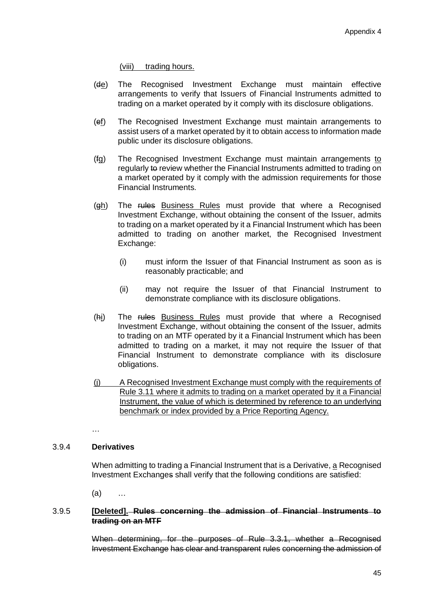(viii) trading hours.

- (de) The Recognised Investment Exchange must maintain effective arrangements to verify that Issuers of Financial Instruments admitted to trading on a market operated by it comply with its disclosure obligations.
- (ef) The Recognised Investment Exchange must maintain arrangements to assist users of a market operated by it to obtain access to information made public under its disclosure obligations.
- (fg) The Recognised Investment Exchange must maintain arrangements to regularly to review whether the Financial Instruments admitted to trading on a market operated by it comply with the admission requirements for those Financial Instruments.
- (gh) The rules Business Rules must provide that where a Recognised Investment Exchange, without obtaining the consent of the Issuer, admits to trading on a market operated by it a Financial Instrument which has been admitted to trading on another market, the Recognised Investment Exchange:
	- (i) must inform the Issuer of that Financial Instrument as soon as is reasonably practicable; and
	- (ii) may not require the Issuer of that Financial Instrument to demonstrate compliance with its disclosure obligations.
- (hi) The rules Business Rules must provide that where a Recognised Investment Exchange, without obtaining the consent of the Issuer, admits to trading on an MTF operated by it a Financial Instrument which has been admitted to trading on a market, it may not require the Issuer of that Financial Instrument to demonstrate compliance with its disclosure obligations.
- (j) A Recognised Investment Exchange must comply with the requirements of Rule 3.11 where it admits to trading on a market operated by it a Financial Instrument, the value of which is determined by reference to an underlying benchmark or index provided by a Price Reporting Agency.
- …

## 3.9.4 **Derivatives**

When admitting to trading a Financial Instrument that is a Derivative, a Recognised Investment Exchanges shall verify that the following conditions are satisfied:

(a) …

#### 3.9.5 **[Deleted]. Rules concerning the admission of Financial Instruments to trading on an MTF**

When determining, for the purposes of Rule 3.3.1, whether a Recognised Investment Exchange has clear and transparent rules concerning the admission of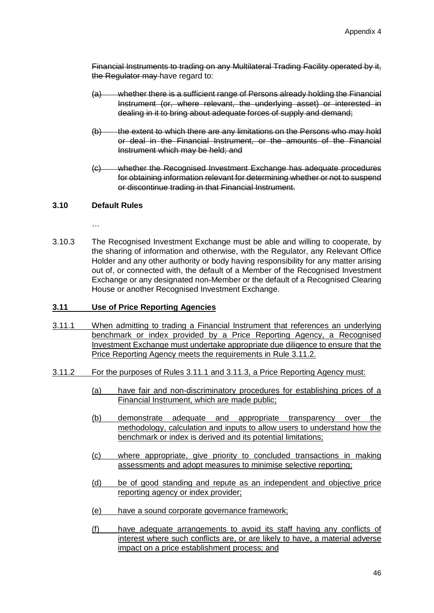Financial Instruments to trading on any Multilateral Trading Facility operated by it, the Regulator may have regard to:

- (a) whether there is a sufficient range of Persons already holding the Financial Instrument (or, where relevant, the underlying asset) or interested in dealing in it to bring about adequate forces of supply and demand;
- (b) the extent to which there are any limitations on the Persons who may hold or deal in the Financial Instrument, or the amounts of the Financial Instrument which may be held; and
- (c) whether the Recognised Investment Exchange has adequate procedures for obtaining information relevant for determining whether or not to suspend or discontinue trading in that Financial Instrument.

## **3.10 Default Rules**

…

3.10.3 The Recognised Investment Exchange must be able and willing to cooperate, by the sharing of information and otherwise, with the Regulator, any Relevant Office Holder and any other authority or body having responsibility for any matter arising out of, or connected with, the default of a Member of the Recognised Investment Exchange or any designated non-Member or the default of a Recognised Clearing House or another Recognised Investment Exchange.

## **3.11 Use of Price Reporting Agencies**

- 3.11.1 When admitting to trading a Financial Instrument that references an underlying benchmark or index provided by a Price Reporting Agency, a Recognised Investment Exchange must undertake appropriate due diligence to ensure that the Price Reporting Agency meets the requirements in Rule 3.11.2.
- 3.11.2 For the purposes of Rules 3.11.1 and 3.11.3, a Price Reporting Agency must:
	- (a) have fair and non-discriminatory procedures for establishing prices of a Financial Instrument, which are made public;
	- (b) demonstrate adequate and appropriate transparency over the methodology, calculation and inputs to allow users to understand how the benchmark or index is derived and its potential limitations;
	- (c) where appropriate, give priority to concluded transactions in making assessments and adopt measures to minimise selective reporting;
	- (d) be of good standing and repute as an independent and objective price reporting agency or index provider;
	- (e) have a sound corporate governance framework;
	- (f) have adequate arrangements to avoid its staff having any conflicts of interest where such conflicts are, or are likely to have, a material adverse impact on a price establishment process; and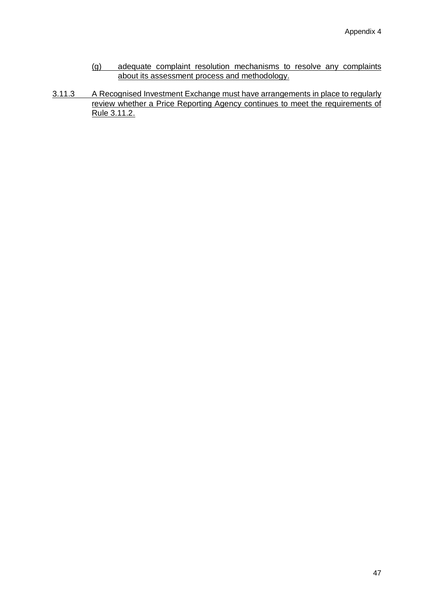- (g) adequate complaint resolution mechanisms to resolve any complaints about its assessment process and methodology.
- 3.11.3 A Recognised Investment Exchange must have arrangements in place to regularly review whether a Price Reporting Agency continues to meet the requirements of Rule 3.11.2.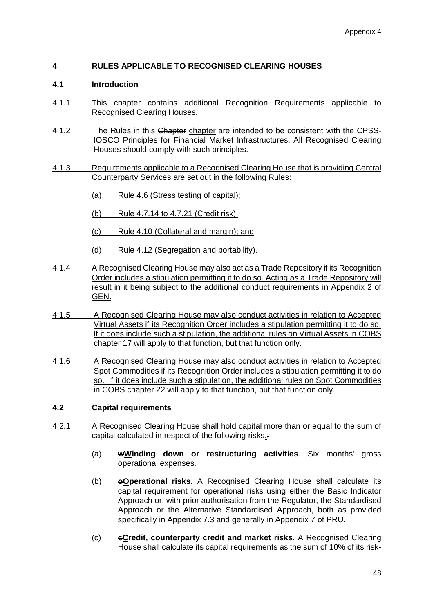## **4 RULES APPLICABLE TO RECOGNISED CLEARING HOUSES**

### **4.1 Introduction**

- 4.1.1 This chapter contains additional Recognition Requirements applicable to Recognised Clearing Houses.
- 4.1.2 The Rules in this Chapter chapter are intended to be consistent with the CPSS-IOSCO Principles for Financial Market Infrastructures. All Recognised Clearing Houses should comply with such principles.
- 4.1.3 Requirements applicable to a Recognised Clearing House that is providing Central Counterparty Services are set out in the following Rules:
	- (a) Rule 4.6 (Stress testing of capital);
	- (b) Rule 4.7.14 to 4.7.21 (Credit risk);
	- (c) Rule 4.10 (Collateral and margin); and
	- (d) Rule 4.12 (Segregation and portability).
- 4.1.4 A Recognised Clearing House may also act as a Trade Repository if its Recognition Order includes a stipulation permitting it to do so. Acting as a Trade Repository will result in it being subject to the additional conduct requirements in Appendix 2 of GEN.
- 4.1.5 A Recognised Clearing House may also conduct activities in relation to Accepted Virtual Assets if its Recognition Order includes a stipulation permitting it to do so. If it does include such a stipulation, the additional rules on Virtual Assets in COBS chapter 17 will apply to that function, but that function only.
- 4.1.6 A Recognised Clearing House may also conduct activities in relation to Accepted Spot Commodities if its Recognition Order includes a stipulation permitting it to do so. If it does include such a stipulation, the additional rules on Spot Commodities in COBS chapter 22 will apply to that function, but that function only.

### **4.2 Capital requirements**

- 4.2.1 A Recognised Clearing House shall hold capital more than or equal to the sum of capital calculated in respect of the following risks.:
	- (a) **wWinding down or restructuring activities**. Six months' gross operational expenses.
	- (b) **oOperational risks**. A Recognised Clearing House shall calculate its capital requirement for operational risks using either the Basic Indicator Approach or, with prior authorisation from the Regulator, the Standardised Approach or the Alternative Standardised Approach, both as provided specifically in Appendix 7.3 and generally in Appendix 7 of PRU.
	- (c) **cCredit, counterparty credit and market risks**. A Recognised Clearing House shall calculate its capital requirements as the sum of 10% of its risk-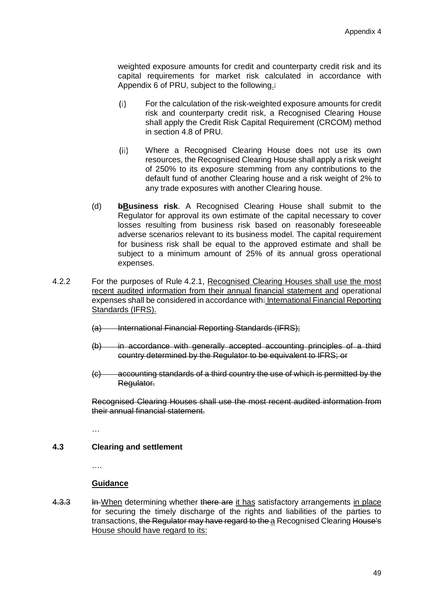weighted exposure amounts for credit and counterparty credit risk and its capital requirements for market risk calculated in accordance with Appendix 6 of PRU, subject to the following.:

- $(i)$ For the calculation of the risk-weighted exposure amounts for credit risk and counterparty credit risk, a Recognised Clearing House shall apply the Credit Risk Capital Requirement (CRCOM) method in section 4.8 of PRU.
- Where a Recognised Clearing House does not use its own  $(ii)$ resources, the Recognised Clearing House shall apply a risk weight of 250% to its exposure stemming from any contributions to the default fund of another Clearing house and a risk weight of 2% to any trade exposures with another Clearing house.
- (d) **bBusiness risk**. A Recognised Clearing House shall submit to the Regulator for approval its own estimate of the capital necessary to cover losses resulting from business risk based on reasonably foreseeable adverse scenarios relevant to its business model. The capital requirement for business risk shall be equal to the approved estimate and shall be subject to a minimum amount of 25% of its annual gross operational expenses.
- 4.2.2 For the purposes of Rule 4.2.1, Recognised Clearing Houses shall use the most recent audited information from their annual financial statement and operational expenses shall be considered in accordance with: International Financial Reporting Standards (IFRS).
	- (a) International Financial Reporting Standards (IFRS);
	- (b) in accordance with generally accepted accounting principles of a third country determined by the Regulator to be equivalent to IFRS; or
	- (c) accounting standards of a third country the use of which is permitted by the Regulator.

Recognised Clearing Houses shall use the most recent audited information from their annual financial statement.

…

### **4.3 Clearing and settlement**

….

#### **Guidance**

4.3.3 In When determining whether there are it has satisfactory arrangements in place for securing the timely discharge of the rights and liabilities of the parties to transactions, the Regulator may have regard to the a Recognised Clearing House's House should have regard to its: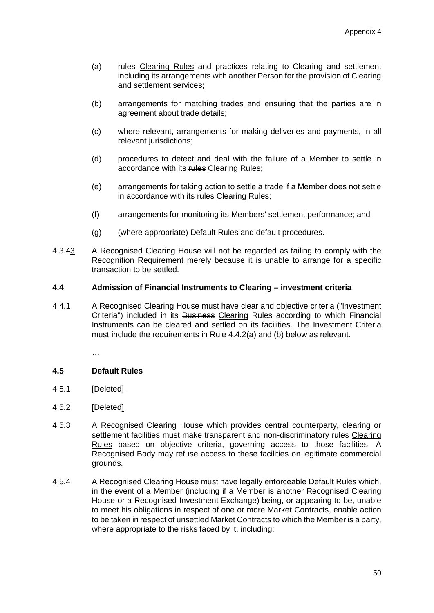- (a) rules Clearing Rules and practices relating to Clearing and settlement including its arrangements with another Person for the provision of Clearing and settlement services;
- (b) arrangements for matching trades and ensuring that the parties are in agreement about trade details;
- (c) where relevant, arrangements for making deliveries and payments, in all relevant jurisdictions:
- (d) procedures to detect and deal with the failure of a Member to settle in accordance with its rules Clearing Rules:
- (e) arrangements for taking action to settle a trade if a Member does not settle in accordance with its rules Clearing Rules;
- (f) arrangements for monitoring its Members' settlement performance; and
- (g) (where appropriate) Default Rules and default procedures.
- 4.3.43 A Recognised Clearing House will not be regarded as failing to comply with the Recognition Requirement merely because it is unable to arrange for a specific transaction to be settled.

### **4.4 Admission of Financial Instruments to Clearing – investment criteria**

4.4.1 A Recognised Clearing House must have clear and objective criteria ("Investment Criteria") included in its Business Clearing Rules according to which Financial Instruments can be cleared and settled on its facilities. The Investment Criteria must include the requirements in Rule 4.4.2(a) and (b) below as relevant.

…

### **4.5 Default Rules**

- 4.5.1 [Deleted].
- 4.5.2 [Deleted].
- 4.5.3 A Recognised Clearing House which provides central counterparty, clearing or settlement facilities must make transparent and non-discriminatory rules Clearing Rules based on objective criteria, governing access to those facilities. A Recognised Body may refuse access to these facilities on legitimate commercial grounds.
- 4.5.4 A Recognised Clearing House must have legally enforceable Default Rules which, in the event of a Member (including if a Member is another Recognised Clearing House or a Recognised Investment Exchange) being, or appearing to be, unable to meet his obligations in respect of one or more Market Contracts, enable action to be taken in respect of unsettled Market Contracts to which the Member is a party, where appropriate to the risks faced by it, including: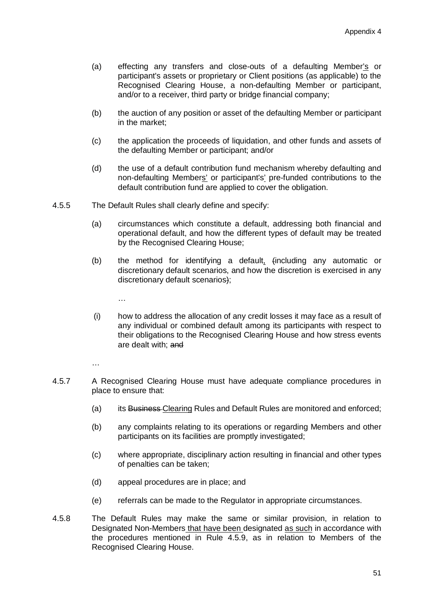- (a) effecting any transfers and close-outs of a defaulting Member's or participant's assets or proprietary or Client positions (as applicable) to the Recognised Clearing House, a non-defaulting Member or participant, and/or to a receiver, third party or bridge financial company;
- (b) the auction of any position or asset of the defaulting Member or participant in the market;
- (c) the application the proceeds of liquidation, and other funds and assets of the defaulting Member or participant; and/or
- (d) the use of a default contribution fund mechanism whereby defaulting and non-defaulting Members' or participant's' pre-funded contributions to the default contribution fund are applied to cover the obligation.
- 4.5.5 The Default Rules shall clearly define and specify:
	- (a) circumstances which constitute a default, addressing both financial and operational default, and how the different types of default may be treated by the Recognised Clearing House;
	- (b) the method for identifying a default, (including any automatic or discretionary default scenarios, and how the discretion is exercised in any discretionary default scenarios);
		- …
	- (i) how to address the allocation of any credit losses it may face as a result of any individual or combined default among its participants with respect to their obligations to the Recognised Clearing House and how stress events are dealt with; and

- 4.5.7 A Recognised Clearing House must have adequate compliance procedures in place to ensure that:
	- (a) its Business Clearing Rules and Default Rules are monitored and enforced;
	- (b) any complaints relating to its operations or regarding Members and other participants on its facilities are promptly investigated;
	- (c) where appropriate, disciplinary action resulting in financial and other types of penalties can be taken;
	- (d) appeal procedures are in place; and
	- (e) referrals can be made to the Regulator in appropriate circumstances.
- 4.5.8 The Default Rules may make the same or similar provision, in relation to Designated Non-Members that have been designated as such in accordance with the procedures mentioned in Rule 4.5.9, as in relation to Members of the Recognised Clearing House.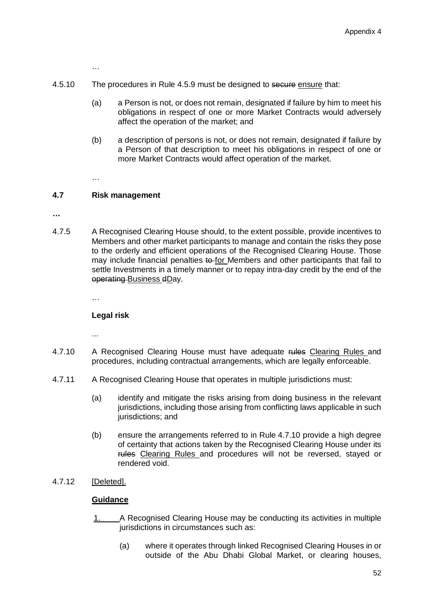- 4.5.10 The procedures in Rule 4.5.9 must be designed to secure ensure that:
	- (a) a Person is not, or does not remain, designated if failure by him to meet his obligations in respect of one or more Market Contracts would adversely affect the operation of the market; and
	- (b) a description of persons is not, or does not remain, designated if failure by a Person of that description to meet his obligations in respect of one or more Market Contracts would affect operation of the market.

…

#### **4.7 Risk management**

**…**

4.7.5 A Recognised Clearing House should, to the extent possible, provide incentives to Members and other market participants to manage and contain the risks they pose to the orderly and efficient operations of the Recognised Clearing House. Those may include financial penalties to for Members and other participants that fail to settle Investments in a timely manner or to repay intra-day credit by the end of the operating Business dDay.

…

### **Legal risk**

...

- 4.7.10 A Recognised Clearing House must have adequate rules Clearing Rules and procedures, including contractual arrangements, which are legally enforceable.
- 4.7.11 A Recognised Clearing House that operates in multiple jurisdictions must:
	- (a) identify and mitigate the risks arising from doing business in the relevant jurisdictions, including those arising from conflicting laws applicable in such jurisdictions; and
	- (b) ensure the arrangements referred to in Rule 4.7.10 provide a high degree of certainty that actions taken by the Recognised Clearing House under its rules Clearing Rules and procedures will not be reversed, stayed or rendered void.
- 4.7.12 [Deleted].

#### **Guidance**

- 1. A Recognised Clearing House may be conducting its activities in multiple jurisdictions in circumstances such as:
	- (a) where it operates through linked Recognised Clearing Houses in or outside of the Abu Dhabi Global Market, or clearing houses,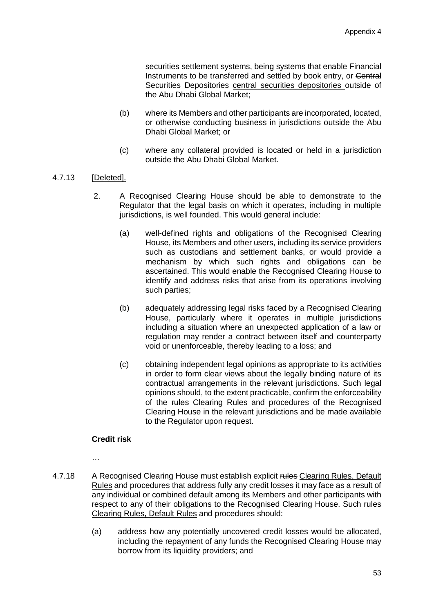securities settlement systems, being systems that enable Financial Instruments to be transferred and settled by book entry, or Central Securities Depositories central securities depositories outside of the Abu Dhabi Global Market;

- (b) where its Members and other participants are incorporated, located, or otherwise conducting business in jurisdictions outside the Abu Dhabi Global Market; or
- (c) where any collateral provided is located or held in a jurisdiction outside the Abu Dhabi Global Market.

### 4.7.13 [Deleted].

- 2. A Recognised Clearing House should be able to demonstrate to the Regulator that the legal basis on which it operates, including in multiple jurisdictions, is well founded. This would general include:
	- (a) well-defined rights and obligations of the Recognised Clearing House, its Members and other users, including its service providers such as custodians and settlement banks, or would provide a mechanism by which such rights and obligations can be ascertained. This would enable the Recognised Clearing House to identify and address risks that arise from its operations involving such parties;
	- (b) adequately addressing legal risks faced by a Recognised Clearing House, particularly where it operates in multiple jurisdictions including a situation where an unexpected application of a law or regulation may render a contract between itself and counterparty void or unenforceable, thereby leading to a loss; and
	- (c) obtaining independent legal opinions as appropriate to its activities in order to form clear views about the legally binding nature of its contractual arrangements in the relevant jurisdictions. Such legal opinions should, to the extent practicable, confirm the enforceability of the rules Clearing Rules and procedures of the Recognised Clearing House in the relevant jurisdictions and be made available to the Regulator upon request.

### **Credit risk**

…

- 4.7.18 A Recognised Clearing House must establish explicit rules Clearing Rules, Default Rules and procedures that address fully any credit losses it may face as a result of any individual or combined default among its Members and other participants with respect to any of their obligations to the Recognised Clearing House. Such rules Clearing Rules, Default Rules and procedures should:
	- (a) address how any potentially uncovered credit losses would be allocated, including the repayment of any funds the Recognised Clearing House may borrow from its liquidity providers; and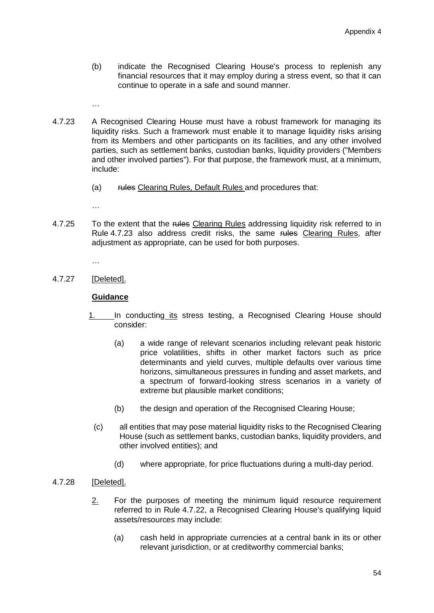- (b) indicate the Recognised Clearing House's process to replenish any financial resources that it may employ during a stress event, so that it can continue to operate in a safe and sound manner.
- …
- 4.7.23 A Recognised Clearing House must have a robust framework for managing its liquidity risks. Such a framework must enable it to manage liquidity risks arising from its Members and other participants on its facilities, and any other involved parties, such as settlement banks, custodian banks, liquidity providers ("Members and other involved parties"). For that purpose, the framework must, at a minimum, include:
	- (a) rules Clearing Rules, Default Rules and procedures that:

4.7.25 To the extent that the rules Clearing Rules addressing liquidity risk referred to in Rule 4.7.23 also address credit risks, the same rules Clearing Rules, after adjustment as appropriate, can be used for both purposes.

…

4.7.27 [Deleted].

## **Guidance**

- 1. In conducting its stress testing, a Recognised Clearing House should consider:
	- (a) a wide range of relevant scenarios including relevant peak historic price volatilities, shifts in other market factors such as price determinants and yield curves, multiple defaults over various time horizons, simultaneous pressures in funding and asset markets, and a spectrum of forward-looking stress scenarios in a variety of extreme but plausible market conditions;
	- (b) the design and operation of the Recognised Clearing House;
	- (c) all entities that may pose material liquidity risks to the Recognised Clearing House (such as settlement banks, custodian banks, liquidity providers, and other involved entities); and
		- (d) where appropriate, for price fluctuations during a multi-day period.

### 4.7.28 [Deleted].

- 2. For the purposes of meeting the minimum liquid resource requirement referred to in Rule 4.7.22, a Recognised Clearing House's qualifying liquid assets/resources may include:
	- (a) cash held in appropriate currencies at a central bank in its or other relevant jurisdiction, or at creditworthy commercial banks;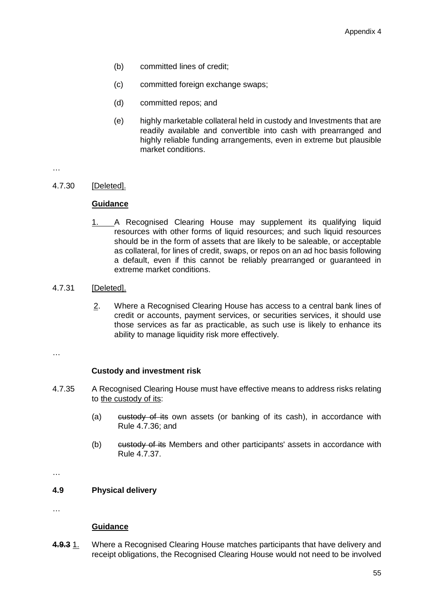- (b) committed lines of credit;
- (c) committed foreign exchange swaps;
- (d) committed repos; and
- (e) highly marketable collateral held in custody and Investments that are readily available and convertible into cash with prearranged and highly reliable funding arrangements, even in extreme but plausible market conditions.

4.7.30 [Deleted].

## **Guidance**

1. A Recognised Clearing House may supplement its qualifying liquid resources with other forms of liquid resources; and such liquid resources should be in the form of assets that are likely to be saleable, or acceptable as collateral, for lines of credit, swaps, or repos on an ad hoc basis following a default, even if this cannot be reliably prearranged or guaranteed in extreme market conditions.

## 4.7.31 [Deleted].

2. Where a Recognised Clearing House has access to a central bank lines of credit or accounts, payment services, or securities services, it should use those services as far as practicable, as such use is likely to enhance its ability to manage liquidity risk more effectively.

…

### **Custody and investment risk**

- 4.7.35 A Recognised Clearing House must have effective means to address risks relating to the custody of its:
	- (a) custody of its own assets (or banking of its cash), in accordance with Rule 4.7.36; and
	- (b) custody of its Members and other participants' assets in accordance with Rule 4.7.37.

…

### **4.9 Physical delivery**

…

### **Guidance**

**4.9.3** 1. Where a Recognised Clearing House matches participants that have delivery and receipt obligations, the Recognised Clearing House would not need to be involved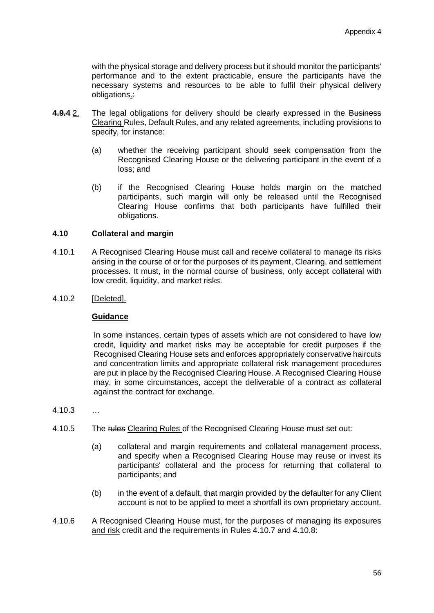with the physical storage and delivery process but it should monitor the participants' performance and to the extent practicable, ensure the participants have the necessary systems and resources to be able to fulfil their physical delivery obligations.:

- **4.9.4** 2. The legal obligations for delivery should be clearly expressed in the Business Clearing Rules, Default Rules, and any related agreements, including provisions to specify, for instance:
	- (a) whether the receiving participant should seek compensation from the Recognised Clearing House or the delivering participant in the event of a loss; and
	- (b) if the Recognised Clearing House holds margin on the matched participants, such margin will only be released until the Recognised Clearing House confirms that both participants have fulfilled their obligations.

### **4.10 Collateral and margin**

- 4.10.1 A Recognised Clearing House must call and receive collateral to manage its risks arising in the course of or for the purposes of its payment, Clearing, and settlement processes. It must, in the normal course of business, only accept collateral with low credit, liquidity, and market risks.
- 4.10.2 [Deleted].

### **Guidance**

In some instances, certain types of assets which are not considered to have low credit, liquidity and market risks may be acceptable for credit purposes if the Recognised Clearing House sets and enforces appropriately conservative haircuts and concentration limits and appropriate collateral risk management procedures are put in place by the Recognised Clearing House. A Recognised Clearing House may, in some circumstances, accept the deliverable of a contract as collateral against the contract for exchange.

- 4.10.3 …
- 4.10.5 The rules Clearing Rules of the Recognised Clearing House must set out:
	- (a) collateral and margin requirements and collateral management process, and specify when a Recognised Clearing House may reuse or invest its participants' collateral and the process for returning that collateral to participants; and
	- (b) in the event of a default, that margin provided by the defaulter for any Client account is not to be applied to meet a shortfall its own proprietary account.
- 4.10.6 A Recognised Clearing House must, for the purposes of managing its exposures and risk credit and the requirements in Rules 4.10.7 and 4.10.8: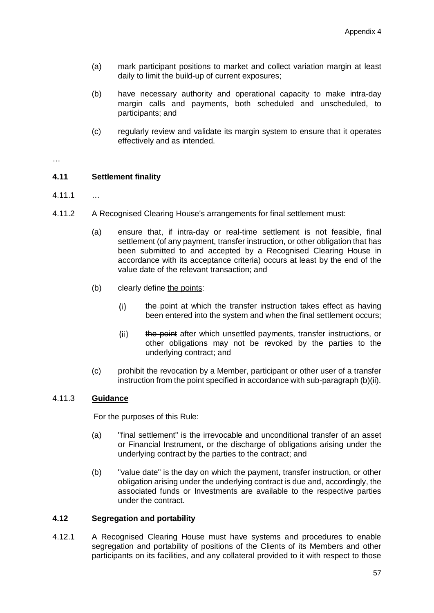- (a) mark participant positions to market and collect variation margin at least daily to limit the build-up of current exposures;
- (b) have necessary authority and operational capacity to make intra-day margin calls and payments, both scheduled and unscheduled, to participants; and
- (c) regularly review and validate its margin system to ensure that it operates effectively and as intended.

### **4.11 Settlement finality**

- 4.11.1 …
- 4.11.2 A Recognised Clearing House's arrangements for final settlement must:
	- (a) ensure that, if intra-day or real-time settlement is not feasible, final settlement (of any payment, transfer instruction, or other obligation that has been submitted to and accepted by a Recognised Clearing House in accordance with its acceptance criteria) occurs at least by the end of the value date of the relevant transaction; and
	- (b) clearly define the points:
		- $(i)$ the point at which the transfer instruction takes effect as having been entered into the system and when the final settlement occurs;
		- $(ii)$ the point after which unsettled payments, transfer instructions, or other obligations may not be revoked by the parties to the underlying contract; and
	- (c) prohibit the revocation by a Member, participant or other user of a transfer instruction from the point specified in accordance with sub-paragraph (b)(ii).

### 4.11.3 **Guidance**

For the purposes of this Rule:

- (a) "final settlement" is the irrevocable and unconditional transfer of an asset or Financial Instrument, or the discharge of obligations arising under the underlying contract by the parties to the contract; and
- (b) "value date" is the day on which the payment, transfer instruction, or other obligation arising under the underlying contract is due and, accordingly, the associated funds or Investments are available to the respective parties under the contract.

### **4.12 Segregation and portability**

4.12.1 A Recognised Clearing House must have systems and procedures to enable segregation and portability of positions of the Clients of its Members and other participants on its facilities, and any collateral provided to it with respect to those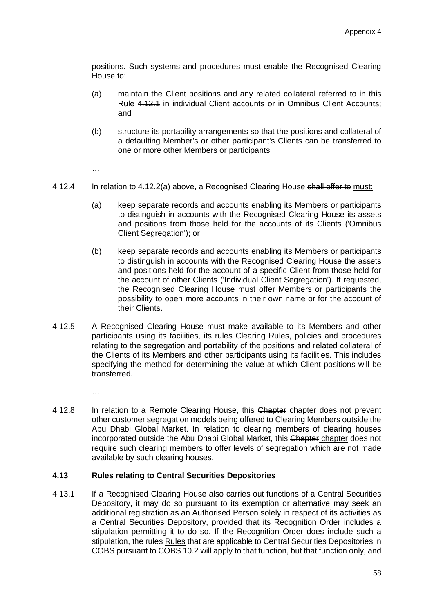positions. Such systems and procedures must enable the Recognised Clearing House to:

- (a) maintain the Client positions and any related collateral referred to in this Rule 4.12.1 in individual Client accounts or in Omnibus Client Accounts; and
- (b) structure its portability arrangements so that the positions and collateral of a defaulting Member's or other participant's Clients can be transferred to one or more other Members or participants.

…

- 4.12.4 In relation to 4.12.2(a) above, a Recognised Clearing House shall offer to must:
	- (a) keep separate records and accounts enabling its Members or participants to distinguish in accounts with the Recognised Clearing House its assets and positions from those held for the accounts of its Clients ('Omnibus Client Segregation'); or
	- (b) keep separate records and accounts enabling its Members or participants to distinguish in accounts with the Recognised Clearing House the assets and positions held for the account of a specific Client from those held for the account of other Clients ('Individual Client Segregation'). If requested, the Recognised Clearing House must offer Members or participants the possibility to open more accounts in their own name or for the account of their Clients.
- 4.12.5 A Recognised Clearing House must make available to its Members and other participants using its facilities, its rules Clearing Rules, policies and procedures relating to the segregation and portability of the positions and related collateral of the Clients of its Members and other participants using its facilities. This includes specifying the method for determining the value at which Client positions will be transferred.

…

4.12.8 In relation to a Remote Clearing House, this Chapter chapter does not prevent other customer segregation models being offered to Clearing Members outside the Abu Dhabi Global Market. In relation to clearing members of clearing houses incorporated outside the Abu Dhabi Global Market, this Chapter chapter does not require such clearing members to offer levels of segregation which are not made available by such clearing houses.

### **4.13 Rules relating to Central Securities Depositories**

4.13.1 If a Recognised Clearing House also carries out functions of a Central Securities Depository, it may do so pursuant to its exemption or alternative may seek an additional registration as an Authorised Person solely in respect of its activities as a Central Securities Depository, provided that its Recognition Order includes a stipulation permitting it to do so. If the Recognition Order does include such a stipulation, the rules Rules that are applicable to Central Securities Depositories in COBS pursuant to COBS 10.2 will apply to that function, but that function only, and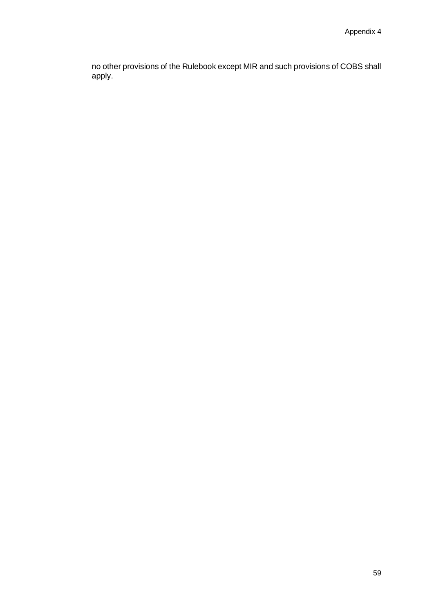no other provisions of the Rulebook except MIR and such provisions of COBS shall apply.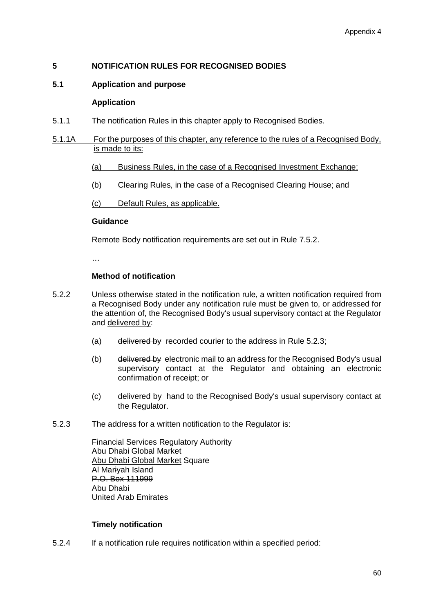## **5 NOTIFICATION RULES FOR RECOGNISED BODIES**

### **5.1 Application and purpose**

#### **Application**

- 5.1.1 The notification Rules in this chapter apply to Recognised Bodies.
- 5.1.1A For the purposes of this chapter, any reference to the rules of a Recognised Body, is made to its:
	- (a) Business Rules, in the case of a Recognised Investment Exchange;
	- (b) Clearing Rules, in the case of a Recognised Clearing House; and

(c) Default Rules, as applicable.

#### **Guidance**

Remote Body notification requirements are set out in Rule 7.5.2.

…

#### **Method of notification**

- 5.2.2 Unless otherwise stated in the notification rule, a written notification required from a Recognised Body under any notification rule must be given to, or addressed for the attention of, the Recognised Body's usual supervisory contact at the Regulator and delivered by:
	- (a) delivered by recorded courier to the address in Rule 5.2.3;
	- (b) delivered by electronic mail to an address for the Recognised Body's usual supervisory contact at the Regulator and obtaining an electronic confirmation of receipt; or
	- (c) delivered by hand to the Recognised Body's usual supervisory contact at the Regulator.
- 5.2.3 The address for a written notification to the Regulator is:

Financial Services Regulatory Authority Abu Dhabi Global Market Abu Dhabi Global Market Square Al Mariyah Island P.O. Box 111999 Abu Dhabi United Arab Emirates

### **Timely notification**

5.2.4 If a notification rule requires notification within a specified period: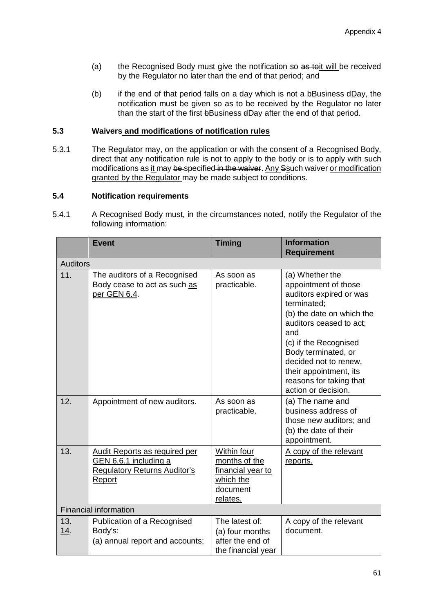- (a) the Recognised Body must give the notification so as toit will be received by the Regulator no later than the end of that period; and
- (b) if the end of that period falls on a day which is not a bBusiness dDay, the notification must be given so as to be received by the Regulator no later than the start of the first bBusiness dDay after the end of that period.

### **5.3 Waivers and modifications of notification rules**

5.3.1 The Regulator may, on the application or with the consent of a Recognised Body, direct that any notification rule is not to apply to the body or is to apply with such modifications as it may be specified in the waiver. Any Ssuch waiver or modification granted by the Regulator may be made subject to conditions.

### **5.4 Notification requirements**

5.4.1 A Recognised Body must, in the circumstances noted, notify the Regulator of the following information:

|                    | <b>Event</b>                                                                                            | <b>Timing</b>                                                                          | <b>Information</b><br><b>Requirement</b>                                                                                                                                                                                                                                                              |  |  |  |  |
|--------------------|---------------------------------------------------------------------------------------------------------|----------------------------------------------------------------------------------------|-------------------------------------------------------------------------------------------------------------------------------------------------------------------------------------------------------------------------------------------------------------------------------------------------------|--|--|--|--|
|                    | <b>Auditors</b>                                                                                         |                                                                                        |                                                                                                                                                                                                                                                                                                       |  |  |  |  |
| 11.                | The auditors of a Recognised<br>Body cease to act as such as<br>per GEN 6.4.                            | As soon as<br>practicable.                                                             | (a) Whether the<br>appointment of those<br>auditors expired or was<br>terminated;<br>(b) the date on which the<br>auditors ceased to act;<br>and<br>(c) if the Recognised<br>Body terminated, or<br>decided not to renew,<br>their appointment, its<br>reasons for taking that<br>action or decision. |  |  |  |  |
| 12.                | Appointment of new auditors.                                                                            | As soon as<br>practicable.                                                             | (a) The name and<br>business address of<br>those new auditors; and<br>(b) the date of their<br>appointment.                                                                                                                                                                                           |  |  |  |  |
| 13.                | Audit Reports as required per<br>GEN 6.6.1 including a<br><b>Regulatory Returns Auditor's</b><br>Report | Within four<br>months of the<br>financial year to<br>which the<br>document<br>relates. | A copy of the relevant<br>reports.                                                                                                                                                                                                                                                                    |  |  |  |  |
|                    | <b>Financial information</b>                                                                            |                                                                                        |                                                                                                                                                                                                                                                                                                       |  |  |  |  |
| 43.<br><u>14</u> . | Publication of a Recognised<br>Body's:<br>(a) annual report and accounts;                               | The latest of:<br>(a) four months<br>after the end of<br>the financial year            | A copy of the relevant<br>document.                                                                                                                                                                                                                                                                   |  |  |  |  |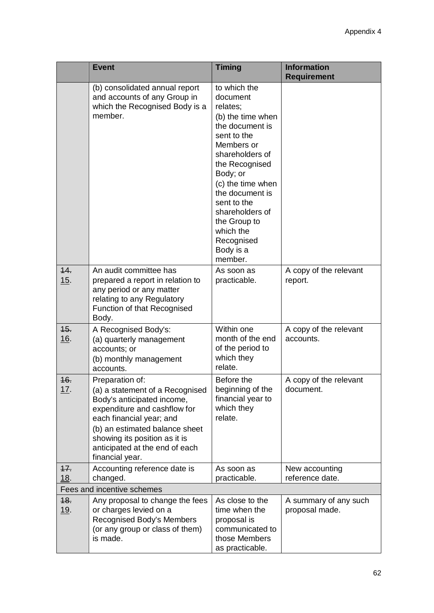|                    | <b>Event</b>                                                                                                                                                                                                                                                         | <b>Timing</b>                                                                                                                                                                                                                                                                                           | <b>Information</b><br><b>Requirement</b> |
|--------------------|----------------------------------------------------------------------------------------------------------------------------------------------------------------------------------------------------------------------------------------------------------------------|---------------------------------------------------------------------------------------------------------------------------------------------------------------------------------------------------------------------------------------------------------------------------------------------------------|------------------------------------------|
|                    | (b) consolidated annual report<br>and accounts of any Group in<br>which the Recognised Body is a<br>member.                                                                                                                                                          | to which the<br>document<br>relates;<br>(b) the time when<br>the document is<br>sent to the<br>Members or<br>shareholders of<br>the Recognised<br>Body; or<br>(c) the time when<br>the document is<br>sent to the<br>shareholders of<br>the Group to<br>which the<br>Recognised<br>Body is a<br>member. |                                          |
| 44.<br>15.         | An audit committee has<br>prepared a report in relation to<br>any period or any matter<br>relating to any Regulatory<br>Function of that Recognised<br>Body.                                                                                                         | As soon as<br>practicable.                                                                                                                                                                                                                                                                              | A copy of the relevant<br>report.        |
| 45.<br>16.         | A Recognised Body's:<br>(a) quarterly management<br>accounts; or<br>(b) monthly management<br>accounts.                                                                                                                                                              | Within one<br>month of the end<br>of the period to<br>which they<br>relate.                                                                                                                                                                                                                             | A copy of the relevant<br>accounts.      |
| 16.<br><u> 17.</u> | Preparation of:<br>(a) a statement of a Recognised<br>Body's anticipated income,<br>expenditure and cashflow for<br>each financial year; and<br>(b) an estimated balance sheet<br>showing its position as it is<br>anticipated at the end of each<br>financial year. | Before the<br>beginning of the<br>financial year to<br>which they<br>relate.                                                                                                                                                                                                                            | A copy of the relevant<br>document.      |
| 17.<br>18.         | Accounting reference date is<br>changed.                                                                                                                                                                                                                             | As soon as<br>practicable.                                                                                                                                                                                                                                                                              | New accounting<br>reference date.        |
|                    | Fees and incentive schemes                                                                                                                                                                                                                                           |                                                                                                                                                                                                                                                                                                         |                                          |
| 48.<br><u>19</u> . | Any proposal to change the fees<br>or charges levied on a<br>Recognised Body's Members<br>(or any group or class of them)<br>is made.                                                                                                                                | As close to the<br>time when the<br>proposal is<br>communicated to<br>those Members<br>as practicable.                                                                                                                                                                                                  | A summary of any such<br>proposal made.  |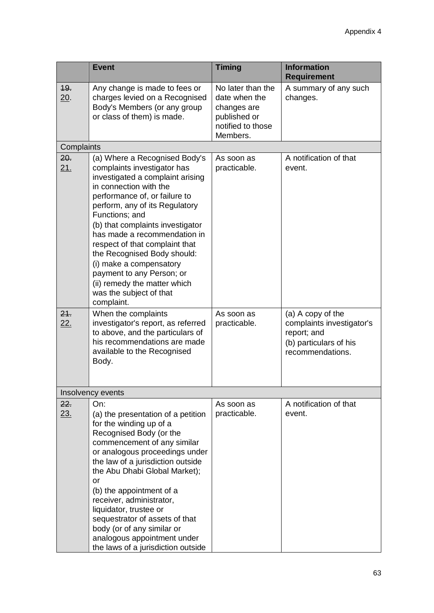|                   | <b>Event</b>                                                                                                                                                                                                                                                                                                                                                                                                                                                                          | <b>Timing</b>                                                                                      | <b>Information</b><br><b>Requirement</b>                                                                    |
|-------------------|---------------------------------------------------------------------------------------------------------------------------------------------------------------------------------------------------------------------------------------------------------------------------------------------------------------------------------------------------------------------------------------------------------------------------------------------------------------------------------------|----------------------------------------------------------------------------------------------------|-------------------------------------------------------------------------------------------------------------|
| <b>19.</b><br>20. | Any change is made to fees or<br>charges levied on a Recognised<br>Body's Members (or any group<br>or class of them) is made.                                                                                                                                                                                                                                                                                                                                                         | No later than the<br>date when the<br>changes are<br>published or<br>notified to those<br>Members. | A summary of any such<br>changes.                                                                           |
| Complaints        |                                                                                                                                                                                                                                                                                                                                                                                                                                                                                       |                                                                                                    |                                                                                                             |
| 20.<br><u>21.</u> | (a) Where a Recognised Body's<br>complaints investigator has<br>investigated a complaint arising<br>in connection with the<br>performance of, or failure to<br>perform, any of its Regulatory<br>Functions; and<br>(b) that complaints investigator<br>has made a recommendation in<br>respect of that complaint that<br>the Recognised Body should:<br>(i) make a compensatory<br>payment to any Person; or<br>(ii) remedy the matter which<br>was the subject of that<br>complaint. | As soon as<br>practicable.                                                                         | A notification of that<br>event.                                                                            |
| 24.<br><u>22.</u> | When the complaints<br>investigator's report, as referred<br>to above, and the particulars of<br>his recommendations are made<br>available to the Recognised<br>Body.                                                                                                                                                                                                                                                                                                                 | As soon as<br>practicable.                                                                         | (a) A copy of the<br>complaints investigator's<br>report; and<br>(b) particulars of his<br>recommendations. |
|                   | Insolvency events                                                                                                                                                                                                                                                                                                                                                                                                                                                                     |                                                                                                    |                                                                                                             |
| 22.<br><u>23.</u> | On:<br>(a) the presentation of a petition<br>for the winding up of a<br>Recognised Body (or the<br>commencement of any similar<br>or analogous proceedings under<br>the law of a jurisdiction outside<br>the Abu Dhabi Global Market);<br>or<br>(b) the appointment of a<br>receiver, administrator,<br>liquidator, trustee or<br>sequestrator of assets of that<br>body (or of any similar or<br>analogous appointment under<br>the laws of a jurisdiction outside                   | As soon as<br>practicable.                                                                         | A notification of that<br>event.                                                                            |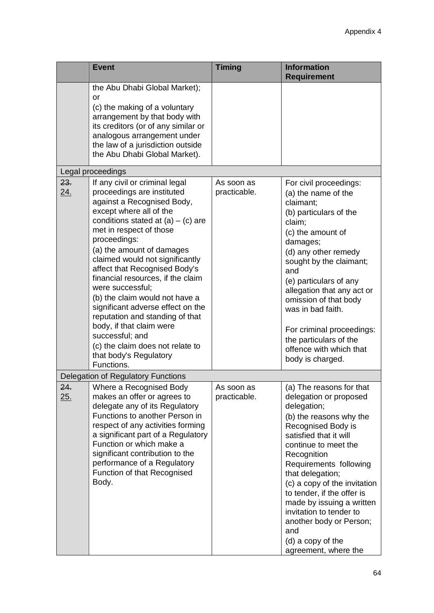|                   | <b>Event</b>                                                                                                                                                                                                                                                                                                                                                                                                                                                                                                                                                                                            | <b>Timing</b>              | <b>Information</b><br><b>Requirement</b>                                                                                                                                                                                                                                                                                                                                                                                               |
|-------------------|---------------------------------------------------------------------------------------------------------------------------------------------------------------------------------------------------------------------------------------------------------------------------------------------------------------------------------------------------------------------------------------------------------------------------------------------------------------------------------------------------------------------------------------------------------------------------------------------------------|----------------------------|----------------------------------------------------------------------------------------------------------------------------------------------------------------------------------------------------------------------------------------------------------------------------------------------------------------------------------------------------------------------------------------------------------------------------------------|
|                   | the Abu Dhabi Global Market);<br>or<br>(c) the making of a voluntary<br>arrangement by that body with<br>its creditors (or of any similar or<br>analogous arrangement under<br>the law of a jurisdiction outside<br>the Abu Dhabi Global Market).                                                                                                                                                                                                                                                                                                                                                       |                            |                                                                                                                                                                                                                                                                                                                                                                                                                                        |
|                   | Legal proceedings                                                                                                                                                                                                                                                                                                                                                                                                                                                                                                                                                                                       |                            |                                                                                                                                                                                                                                                                                                                                                                                                                                        |
| 23.<br><u>24.</u> | If any civil or criminal legal<br>proceedings are instituted<br>against a Recognised Body,<br>except where all of the<br>conditions stated at $(a) - (c)$ are<br>met in respect of those<br>proceedings:<br>(a) the amount of damages<br>claimed would not significantly<br>affect that Recognised Body's<br>financial resources, if the claim<br>were successful;<br>(b) the claim would not have a<br>significant adverse effect on the<br>reputation and standing of that<br>body, if that claim were<br>successful; and<br>(c) the claim does not relate to<br>that body's Regulatory<br>Functions. | As soon as<br>practicable. | For civil proceedings:<br>(a) the name of the<br>claimant;<br>(b) particulars of the<br>claim;<br>(c) the amount of<br>damages;<br>(d) any other remedy<br>sought by the claimant;<br>and<br>(e) particulars of any<br>allegation that any act or<br>omission of that body<br>was in bad faith.<br>For criminal proceedings:<br>the particulars of the<br>offence with which that<br>body is charged.                                  |
|                   | Delegation of Regulatory Functions                                                                                                                                                                                                                                                                                                                                                                                                                                                                                                                                                                      |                            |                                                                                                                                                                                                                                                                                                                                                                                                                                        |
| 24.<br>25.        | Where a Recognised Body<br>makes an offer or agrees to<br>delegate any of its Regulatory<br>Functions to another Person in<br>respect of any activities forming<br>a significant part of a Regulatory<br>Function or which make a<br>significant contribution to the<br>performance of a Regulatory<br>Function of that Recognised<br>Body.                                                                                                                                                                                                                                                             | As soon as<br>practicable. | (a) The reasons for that<br>delegation or proposed<br>delegation;<br>(b) the reasons why the<br>Recognised Body is<br>satisfied that it will<br>continue to meet the<br>Recognition<br>Requirements following<br>that delegation;<br>(c) a copy of the invitation<br>to tender, if the offer is<br>made by issuing a written<br>invitation to tender to<br>another body or Person;<br>and<br>(d) a copy of the<br>agreement, where the |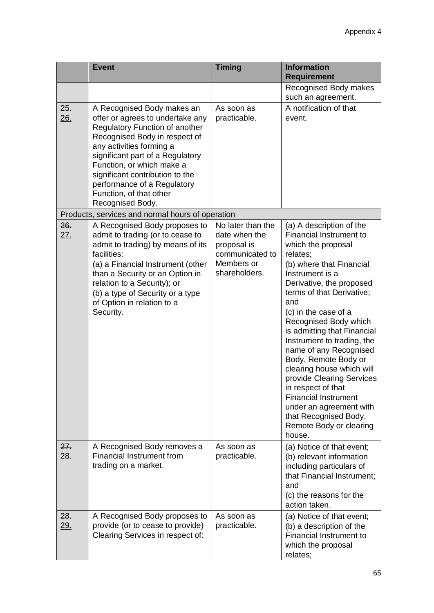|                   | <b>Event</b>                                                                                                                                                                                                                                                                                                                                           | <b>Timing</b>                                                                                       | <b>Information</b><br><b>Requirement</b>                                                                                                                                                                                                                                                                                                                                                                                                                                                                                                                                     |
|-------------------|--------------------------------------------------------------------------------------------------------------------------------------------------------------------------------------------------------------------------------------------------------------------------------------------------------------------------------------------------------|-----------------------------------------------------------------------------------------------------|------------------------------------------------------------------------------------------------------------------------------------------------------------------------------------------------------------------------------------------------------------------------------------------------------------------------------------------------------------------------------------------------------------------------------------------------------------------------------------------------------------------------------------------------------------------------------|
|                   |                                                                                                                                                                                                                                                                                                                                                        |                                                                                                     | Recognised Body makes<br>such an agreement.                                                                                                                                                                                                                                                                                                                                                                                                                                                                                                                                  |
| 25.<br>26.        | A Recognised Body makes an<br>offer or agrees to undertake any<br><b>Regulatory Function of another</b><br>Recognised Body in respect of<br>any activities forming a<br>significant part of a Regulatory<br>Function, or which make a<br>significant contribution to the<br>performance of a Regulatory<br>Function, of that other<br>Recognised Body. | As soon as<br>practicable.                                                                          | A notification of that<br>event.                                                                                                                                                                                                                                                                                                                                                                                                                                                                                                                                             |
|                   | Products, services and normal hours of operation                                                                                                                                                                                                                                                                                                       |                                                                                                     |                                                                                                                                                                                                                                                                                                                                                                                                                                                                                                                                                                              |
| 26.<br><u>27.</u> | A Recognised Body proposes to<br>admit to trading (or to cease to<br>admit to trading) by means of its<br>facilities:<br>(a) a Financial Instrument (other<br>than a Security or an Option in<br>relation to a Security); or<br>(b) a type of Security or a type<br>of Option in relation to a<br>Security.                                            | No later than the<br>date when the<br>proposal is<br>communicated to<br>Members or<br>shareholders. | (a) A description of the<br>Financial Instrument to<br>which the proposal<br>relates;<br>(b) where that Financial<br>Instrument is a<br>Derivative, the proposed<br>terms of that Derivative;<br>and<br>(c) in the case of a<br>Recognised Body which<br>is admitting that Financial<br>Instrument to trading, the<br>name of any Recognised<br>Body, Remote Body or<br>clearing house which will<br>provide Clearing Services<br>in respect of that<br><b>Financial Instrument</b><br>under an agreement with<br>that Recognised Body,<br>Remote Body or clearing<br>house. |
| 27.<br>28.        | A Recognised Body removes a<br><b>Financial Instrument from</b><br>trading on a market.                                                                                                                                                                                                                                                                | As soon as<br>practicable.                                                                          | (a) Notice of that event;<br>(b) relevant information<br>including particulars of<br>that Financial Instrument;<br>and<br>(c) the reasons for the<br>action taken.                                                                                                                                                                                                                                                                                                                                                                                                           |
| 28.<br>29.        | A Recognised Body proposes to<br>provide (or to cease to provide)<br>Clearing Services in respect of:                                                                                                                                                                                                                                                  | As soon as<br>practicable.                                                                          | (a) Notice of that event;<br>(b) a description of the<br>Financial Instrument to<br>which the proposal<br>relates;                                                                                                                                                                                                                                                                                                                                                                                                                                                           |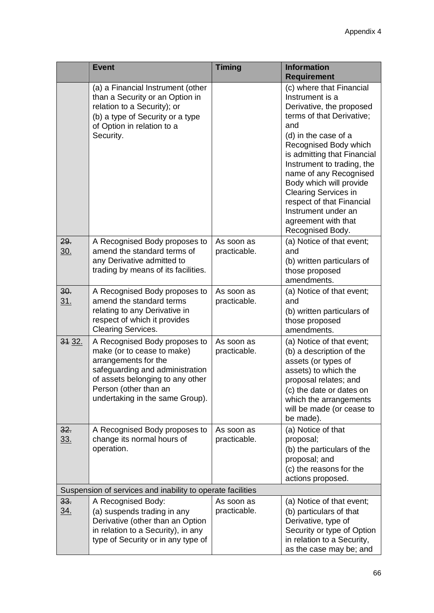|                   | <b>Event</b>                                                                                                                                                                                                           | <b>Timing</b>              | <b>Information</b><br><b>Requirement</b>                                                                                                                                                                                                                                                                                                                                                                     |
|-------------------|------------------------------------------------------------------------------------------------------------------------------------------------------------------------------------------------------------------------|----------------------------|--------------------------------------------------------------------------------------------------------------------------------------------------------------------------------------------------------------------------------------------------------------------------------------------------------------------------------------------------------------------------------------------------------------|
|                   | (a) a Financial Instrument (other<br>than a Security or an Option in<br>relation to a Security); or<br>(b) a type of Security or a type<br>of Option in relation to a<br>Security.                                     |                            | (c) where that Financial<br>Instrument is a<br>Derivative, the proposed<br>terms of that Derivative;<br>and<br>(d) in the case of a<br>Recognised Body which<br>is admitting that Financial<br>Instrument to trading, the<br>name of any Recognised<br>Body which will provide<br><b>Clearing Services in</b><br>respect of that Financial<br>Instrument under an<br>agreement with that<br>Recognised Body. |
| 29.<br>30.        | A Recognised Body proposes to<br>amend the standard terms of<br>any Derivative admitted to<br>trading by means of its facilities.                                                                                      | As soon as<br>practicable. | (a) Notice of that event;<br>and<br>(b) written particulars of<br>those proposed<br>amendments.                                                                                                                                                                                                                                                                                                              |
| 30.<br><u>31.</u> | A Recognised Body proposes to<br>amend the standard terms<br>relating to any Derivative in<br>respect of which it provides<br><b>Clearing Services.</b>                                                                | As soon as<br>practicable. | (a) Notice of that event;<br>and<br>(b) written particulars of<br>those proposed<br>amendments.                                                                                                                                                                                                                                                                                                              |
| 31 32.            | A Recognised Body proposes to<br>make (or to cease to make)<br>arrangements for the<br>safeguarding and administration<br>of assets belonging to any other<br>Person (other than an<br>undertaking in the same Group). | As soon as<br>practicable. | (a) Notice of that event;<br>(b) a description of the<br>assets (or types of<br>assets) to which the<br>proposal relates; and<br>(c) the date or dates on<br>which the arrangements<br>will be made (or cease to<br>be made).                                                                                                                                                                                |
| 32.<br>33.        | A Recognised Body proposes to<br>change its normal hours of<br>operation.                                                                                                                                              | As soon as<br>practicable. | (a) Notice of that<br>proposal;<br>(b) the particulars of the<br>proposal; and<br>(c) the reasons for the<br>actions proposed.                                                                                                                                                                                                                                                                               |
|                   | Suspension of services and inability to operate facilities                                                                                                                                                             |                            |                                                                                                                                                                                                                                                                                                                                                                                                              |
| 33.<br><u>34.</u> | A Recognised Body:<br>(a) suspends trading in any<br>Derivative (other than an Option<br>in relation to a Security), in any<br>type of Security or in any type of                                                      | As soon as<br>practicable. | (a) Notice of that event;<br>(b) particulars of that<br>Derivative, type of<br>Security or type of Option<br>in relation to a Security,<br>as the case may be; and                                                                                                                                                                                                                                           |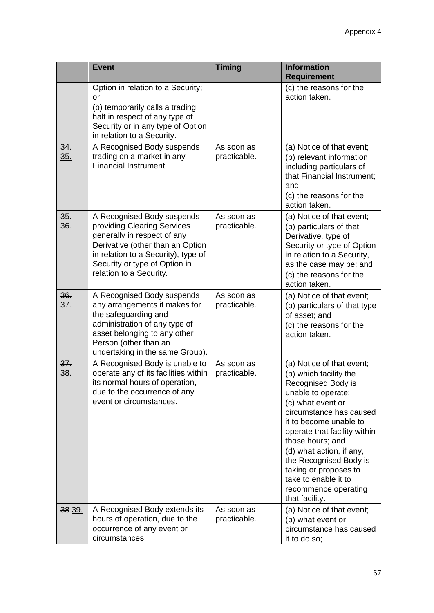|                   | <b>Event</b>                                                                                                                                                                                                                    | <b>Timing</b>              | <b>Information</b><br><b>Requirement</b>                                                                                                                                                                                                                                                                                                                                       |
|-------------------|---------------------------------------------------------------------------------------------------------------------------------------------------------------------------------------------------------------------------------|----------------------------|--------------------------------------------------------------------------------------------------------------------------------------------------------------------------------------------------------------------------------------------------------------------------------------------------------------------------------------------------------------------------------|
|                   | Option in relation to a Security;<br>or<br>(b) temporarily calls a trading<br>halt in respect of any type of<br>Security or in any type of Option<br>in relation to a Security.                                                 |                            | (c) the reasons for the<br>action taken.                                                                                                                                                                                                                                                                                                                                       |
| 34.<br><u>35.</u> | A Recognised Body suspends<br>trading on a market in any<br>Financial Instrument.                                                                                                                                               | As soon as<br>practicable. | (a) Notice of that event;<br>(b) relevant information<br>including particulars of<br>that Financial Instrument;<br>and<br>(c) the reasons for the<br>action taken.                                                                                                                                                                                                             |
| 35.<br><u>36.</u> | A Recognised Body suspends<br>providing Clearing Services<br>generally in respect of any<br>Derivative (other than an Option<br>in relation to a Security), type of<br>Security or type of Option in<br>relation to a Security. | As soon as<br>practicable. | (a) Notice of that event;<br>(b) particulars of that<br>Derivative, type of<br>Security or type of Option<br>in relation to a Security,<br>as the case may be; and<br>(c) the reasons for the<br>action taken.                                                                                                                                                                 |
| 36.<br><u>37.</u> | A Recognised Body suspends<br>any arrangements it makes for<br>the safeguarding and<br>administration of any type of<br>asset belonging to any other<br>Person (other than an<br>undertaking in the same Group).                | As soon as<br>practicable. | (a) Notice of that event;<br>(b) particulars of that type<br>of asset; and<br>(c) the reasons for the<br>action taken.                                                                                                                                                                                                                                                         |
| 37.<br>38.        | A Recognised Body is unable to<br>operate any of its facilities within<br>its normal hours of operation,<br>due to the occurrence of any<br>event or circumstances.                                                             | As soon as<br>practicable. | (a) Notice of that event;<br>(b) which facility the<br>Recognised Body is<br>unable to operate;<br>(c) what event or<br>circumstance has caused<br>it to become unable to<br>operate that facility within<br>those hours; and<br>(d) what action, if any,<br>the Recognised Body is<br>taking or proposes to<br>take to enable it to<br>recommence operating<br>that facility. |
| 38 39.            | A Recognised Body extends its<br>hours of operation, due to the<br>occurrence of any event or<br>circumstances.                                                                                                                 | As soon as<br>practicable. | (a) Notice of that event;<br>(b) what event or<br>circumstance has caused<br>it to do so;                                                                                                                                                                                                                                                                                      |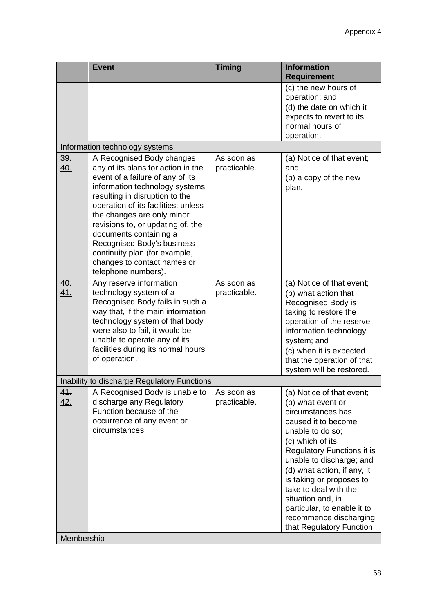|            | <b>Event</b>                                                                                                                                                                                                                                                                                                                                                                                                                     | <b>Timing</b>              | <b>Information</b><br><b>Requirement</b>                                                                                                                                                                                                                                                                                                                                                    |
|------------|----------------------------------------------------------------------------------------------------------------------------------------------------------------------------------------------------------------------------------------------------------------------------------------------------------------------------------------------------------------------------------------------------------------------------------|----------------------------|---------------------------------------------------------------------------------------------------------------------------------------------------------------------------------------------------------------------------------------------------------------------------------------------------------------------------------------------------------------------------------------------|
|            |                                                                                                                                                                                                                                                                                                                                                                                                                                  |                            | (c) the new hours of<br>operation; and<br>(d) the date on which it<br>expects to revert to its<br>normal hours of<br>operation.                                                                                                                                                                                                                                                             |
|            | Information technology systems                                                                                                                                                                                                                                                                                                                                                                                                   |                            |                                                                                                                                                                                                                                                                                                                                                                                             |
| 39.<br>40. | A Recognised Body changes<br>any of its plans for action in the<br>event of a failure of any of its<br>information technology systems<br>resulting in disruption to the<br>operation of its facilities; unless<br>the changes are only minor<br>revisions to, or updating of, the<br>documents containing a<br>Recognised Body's business<br>continuity plan (for example,<br>changes to contact names or<br>telephone numbers). | As soon as<br>practicable. | (a) Notice of that event;<br>and<br>(b) a copy of the new<br>plan.                                                                                                                                                                                                                                                                                                                          |
| 40.<br>41. | Any reserve information<br>technology system of a<br>Recognised Body fails in such a<br>way that, if the main information<br>technology system of that body<br>were also to fail, it would be<br>unable to operate any of its<br>facilities during its normal hours<br>of operation.                                                                                                                                             | As soon as<br>practicable. | (a) Notice of that event;<br>(b) what action that<br>Recognised Body is<br>taking to restore the<br>operation of the reserve<br>information technology<br>system; and<br>(c) when it is expected<br>that the operation of that<br>system will be restored.                                                                                                                                  |
|            | Inability to discharge Regulatory Functions                                                                                                                                                                                                                                                                                                                                                                                      |                            |                                                                                                                                                                                                                                                                                                                                                                                             |
| 41.<br>42. | A Recognised Body is unable to<br>discharge any Regulatory<br>Function because of the<br>occurrence of any event or<br>circumstances.                                                                                                                                                                                                                                                                                            | As soon as<br>practicable. | (a) Notice of that event;<br>(b) what event or<br>circumstances has<br>caused it to become<br>unable to do so;<br>(c) which of its<br>Regulatory Functions it is<br>unable to discharge; and<br>(d) what action, if any, it<br>is taking or proposes to<br>take to deal with the<br>situation and, in<br>particular, to enable it to<br>recommence discharging<br>that Regulatory Function. |
| Membership |                                                                                                                                                                                                                                                                                                                                                                                                                                  |                            |                                                                                                                                                                                                                                                                                                                                                                                             |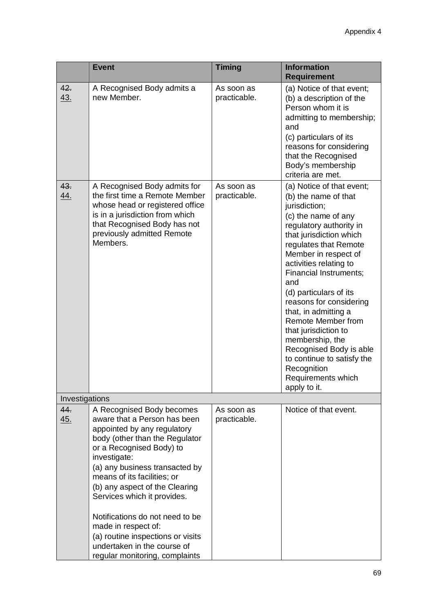|                   | <b>Event</b>                                                                                                                                                                                                                                                                                                                                                                                                                                                             | <b>Timing</b>              | <b>Information</b><br><b>Requirement</b>                                                                                                                                                                                                                                                                                                                                                                                                                                                                                       |
|-------------------|--------------------------------------------------------------------------------------------------------------------------------------------------------------------------------------------------------------------------------------------------------------------------------------------------------------------------------------------------------------------------------------------------------------------------------------------------------------------------|----------------------------|--------------------------------------------------------------------------------------------------------------------------------------------------------------------------------------------------------------------------------------------------------------------------------------------------------------------------------------------------------------------------------------------------------------------------------------------------------------------------------------------------------------------------------|
| 42.<br><u>43.</u> | A Recognised Body admits a<br>new Member.                                                                                                                                                                                                                                                                                                                                                                                                                                | As soon as<br>practicable. | (a) Notice of that event;<br>(b) a description of the<br>Person whom it is<br>admitting to membership;<br>and<br>(c) particulars of its<br>reasons for considering<br>that the Recognised<br>Body's membership<br>criteria are met.                                                                                                                                                                                                                                                                                            |
| 43.<br><u>44.</u> | A Recognised Body admits for<br>the first time a Remote Member<br>whose head or registered office<br>is in a jurisdiction from which<br>that Recognised Body has not<br>previously admitted Remote<br>Members.                                                                                                                                                                                                                                                           | As soon as<br>practicable. | (a) Notice of that event;<br>(b) the name of that<br>jurisdiction;<br>(c) the name of any<br>regulatory authority in<br>that jurisdiction which<br>regulates that Remote<br>Member in respect of<br>activities relating to<br><b>Financial Instruments;</b><br>and<br>(d) particulars of its<br>reasons for considering<br>that, in admitting a<br>Remote Member from<br>that jurisdiction to<br>membership, the<br>Recognised Body is able<br>to continue to satisfy the<br>Recognition<br>Requirements which<br>apply to it. |
| Investigations    |                                                                                                                                                                                                                                                                                                                                                                                                                                                                          |                            |                                                                                                                                                                                                                                                                                                                                                                                                                                                                                                                                |
| 44.<br>45.        | A Recognised Body becomes<br>aware that a Person has been<br>appointed by any regulatory<br>body (other than the Regulator<br>or a Recognised Body) to<br>investigate:<br>(a) any business transacted by<br>means of its facilities; or<br>(b) any aspect of the Clearing<br>Services which it provides.<br>Notifications do not need to be<br>made in respect of:<br>(a) routine inspections or visits<br>undertaken in the course of<br>regular monitoring, complaints | As soon as<br>practicable. | Notice of that event.                                                                                                                                                                                                                                                                                                                                                                                                                                                                                                          |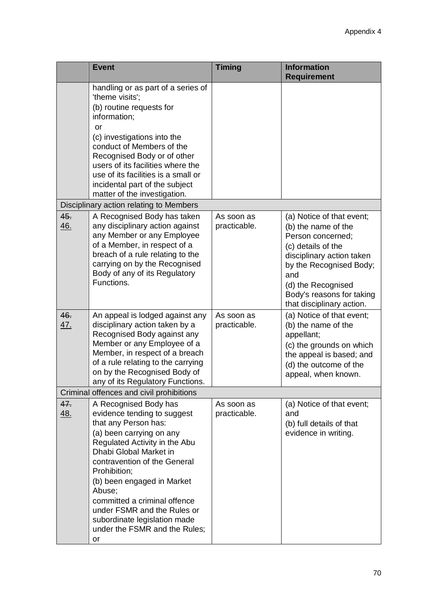|                   | <b>Event</b>                                                                                                                                                                                                                                                                                                                                                                                      | <b>Timing</b>              | <b>Information</b><br><b>Requirement</b>                                                                                                                                                                                                   |
|-------------------|---------------------------------------------------------------------------------------------------------------------------------------------------------------------------------------------------------------------------------------------------------------------------------------------------------------------------------------------------------------------------------------------------|----------------------------|--------------------------------------------------------------------------------------------------------------------------------------------------------------------------------------------------------------------------------------------|
|                   | handling or as part of a series of<br>'theme visits';<br>(b) routine requests for<br>information;<br>or<br>(c) investigations into the<br>conduct of Members of the<br>Recognised Body or of other<br>users of its facilities where the<br>use of its facilities is a small or<br>incidental part of the subject<br>matter of the investigation.                                                  |                            |                                                                                                                                                                                                                                            |
|                   | Disciplinary action relating to Members                                                                                                                                                                                                                                                                                                                                                           |                            |                                                                                                                                                                                                                                            |
| 45.<br>46.        | A Recognised Body has taken<br>any disciplinary action against<br>any Member or any Employee<br>of a Member, in respect of a<br>breach of a rule relating to the<br>carrying on by the Recognised<br>Body of any of its Regulatory<br>Functions.                                                                                                                                                  | As soon as<br>practicable. | (a) Notice of that event;<br>(b) the name of the<br>Person concerned;<br>(c) details of the<br>disciplinary action taken<br>by the Recognised Body;<br>and<br>(d) the Recognised<br>Body's reasons for taking<br>that disciplinary action. |
| 46.<br>47.        | An appeal is lodged against any<br>disciplinary action taken by a<br>Recognised Body against any<br>Member or any Employee of a<br>Member, in respect of a breach<br>of a rule relating to the carrying<br>on by the Recognised Body of<br>any of its Regulatory Functions.                                                                                                                       | As soon as<br>practicable. | (a) Notice of that event;<br>(b) the name of the<br>appellant;<br>(c) the grounds on which<br>the appeal is based; and<br>(d) the outcome of the<br>appeal, when known.                                                                    |
|                   | Criminal offences and civil prohibitions                                                                                                                                                                                                                                                                                                                                                          |                            |                                                                                                                                                                                                                                            |
| 47.<br><u>48.</u> | A Recognised Body has<br>evidence tending to suggest<br>that any Person has:<br>(a) been carrying on any<br>Regulated Activity in the Abu<br>Dhabi Global Market in<br>contravention of the General<br>Prohibition;<br>(b) been engaged in Market<br>Abuse;<br>committed a criminal offence<br>under FSMR and the Rules or<br>subordinate legislation made<br>under the FSMR and the Rules;<br>or | As soon as<br>practicable. | (a) Notice of that event;<br>and<br>(b) full details of that<br>evidence in writing.                                                                                                                                                       |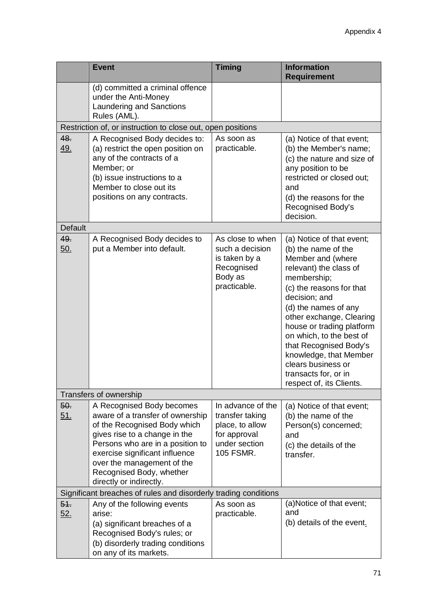|                                                                 | <b>Event</b>                                                                                                                                                                                                                                                                              | <b>Timing</b>                                                                                         | <b>Information</b><br><b>Requirement</b>                                                                                                                                                                                                                                                                                                                                                               |  |  |  |
|-----------------------------------------------------------------|-------------------------------------------------------------------------------------------------------------------------------------------------------------------------------------------------------------------------------------------------------------------------------------------|-------------------------------------------------------------------------------------------------------|--------------------------------------------------------------------------------------------------------------------------------------------------------------------------------------------------------------------------------------------------------------------------------------------------------------------------------------------------------------------------------------------------------|--|--|--|
|                                                                 | (d) committed a criminal offence<br>under the Anti-Money<br><b>Laundering and Sanctions</b><br>Rules (AML).                                                                                                                                                                               |                                                                                                       |                                                                                                                                                                                                                                                                                                                                                                                                        |  |  |  |
|                                                                 | Restriction of, or instruction to close out, open positions                                                                                                                                                                                                                               |                                                                                                       |                                                                                                                                                                                                                                                                                                                                                                                                        |  |  |  |
| 48.<br>49.                                                      | A Recognised Body decides to:<br>(a) restrict the open position on<br>any of the contracts of a<br>Member; or<br>(b) issue instructions to a<br>Member to close out its<br>positions on any contracts.                                                                                    | As soon as<br>practicable.                                                                            | (a) Notice of that event;<br>(b) the Member's name;<br>(c) the nature and size of<br>any position to be<br>restricted or closed out;<br>and<br>(d) the reasons for the<br><b>Recognised Body's</b><br>decision.                                                                                                                                                                                        |  |  |  |
| Default                                                         |                                                                                                                                                                                                                                                                                           |                                                                                                       |                                                                                                                                                                                                                                                                                                                                                                                                        |  |  |  |
| 49.<br>50.                                                      | A Recognised Body decides to<br>put a Member into default.                                                                                                                                                                                                                                | As close to when<br>such a decision<br>is taken by a<br>Recognised<br>Body as<br>practicable.         | (a) Notice of that event;<br>(b) the name of the<br>Member and (where<br>relevant) the class of<br>membership;<br>(c) the reasons for that<br>decision; and<br>(d) the names of any<br>other exchange, Clearing<br>house or trading platform<br>on which, to the best of<br>that Recognised Body's<br>knowledge, that Member<br>clears business or<br>transacts for, or in<br>respect of, its Clients. |  |  |  |
|                                                                 | Transfers of ownership                                                                                                                                                                                                                                                                    |                                                                                                       |                                                                                                                                                                                                                                                                                                                                                                                                        |  |  |  |
| 50.<br><u>51.</u>                                               | A Recognised Body becomes<br>aware of a transfer of ownership<br>of the Recognised Body which<br>gives rise to a change in the<br>Persons who are in a position to<br>exercise significant influence<br>over the management of the<br>Recognised Body, whether<br>directly or indirectly. | In advance of the<br>transfer taking<br>place, to allow<br>for approval<br>under section<br>105 FSMR. | (a) Notice of that event;<br>(b) the name of the<br>Person(s) concerned;<br>and<br>(c) the details of the<br>transfer.                                                                                                                                                                                                                                                                                 |  |  |  |
| Significant breaches of rules and disorderly trading conditions |                                                                                                                                                                                                                                                                                           |                                                                                                       |                                                                                                                                                                                                                                                                                                                                                                                                        |  |  |  |
| 54.<br>52.                                                      | Any of the following events<br>arise:<br>(a) significant breaches of a<br>Recognised Body's rules; or<br>(b) disorderly trading conditions<br>on any of its markets.                                                                                                                      | As soon as<br>practicable.                                                                            | (a) Notice of that event;<br>and<br>(b) details of the event.                                                                                                                                                                                                                                                                                                                                          |  |  |  |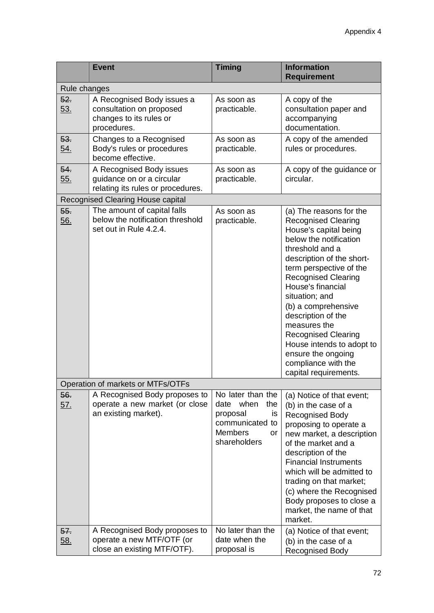|                                   | <b>Event</b>                                                                                     | <b>Timing</b>                                                                                                                           | <b>Information</b><br><b>Requirement</b>                                                                                                                                                                                                                                                                                                                                                                                                               |  |  |
|-----------------------------------|--------------------------------------------------------------------------------------------------|-----------------------------------------------------------------------------------------------------------------------------------------|--------------------------------------------------------------------------------------------------------------------------------------------------------------------------------------------------------------------------------------------------------------------------------------------------------------------------------------------------------------------------------------------------------------------------------------------------------|--|--|
| Rule changes                      |                                                                                                  |                                                                                                                                         |                                                                                                                                                                                                                                                                                                                                                                                                                                                        |  |  |
| 52.<br><u>53.</u>                 | A Recognised Body issues a<br>consultation on proposed<br>changes to its rules or<br>procedures. | As soon as<br>practicable.                                                                                                              | A copy of the<br>consultation paper and<br>accompanying<br>documentation.                                                                                                                                                                                                                                                                                                                                                                              |  |  |
| 53.<br><u>54.</u>                 | Changes to a Recognised<br>Body's rules or procedures<br>become effective.                       | As soon as<br>practicable.                                                                                                              | A copy of the amended<br>rules or procedures.                                                                                                                                                                                                                                                                                                                                                                                                          |  |  |
| 54.<br><u>55.</u>                 | A Recognised Body issues<br>guidance on or a circular<br>relating its rules or procedures.       | As soon as<br>practicable.                                                                                                              | A copy of the guidance or<br>circular.                                                                                                                                                                                                                                                                                                                                                                                                                 |  |  |
|                                   | <b>Recognised Clearing House capital</b>                                                         |                                                                                                                                         |                                                                                                                                                                                                                                                                                                                                                                                                                                                        |  |  |
| 55.<br>56.                        | The amount of capital falls<br>below the notification threshold<br>set out in Rule 4.2.4.        | As soon as<br>practicable.                                                                                                              | (a) The reasons for the<br><b>Recognised Clearing</b><br>House's capital being<br>below the notification<br>threshold and a<br>description of the short-<br>term perspective of the<br><b>Recognised Clearing</b><br>House's financial<br>situation; and<br>(b) a comprehensive<br>description of the<br>measures the<br><b>Recognised Clearing</b><br>House intends to adopt to<br>ensure the ongoing<br>compliance with the<br>capital requirements. |  |  |
| Operation of markets or MTFs/OTFs |                                                                                                  |                                                                                                                                         |                                                                                                                                                                                                                                                                                                                                                                                                                                                        |  |  |
| 56.<br><u>57.</u>                 | A Recognised Body proposes to<br>operate a new market (or close<br>an existing market).          | No later than the<br>date when<br>the<br>proposal<br>is<br>communicated to<br><b>Members</b><br>or<br>shareholders<br>No later than the | (a) Notice of that event;<br>(b) in the case of a<br><b>Recognised Body</b><br>proposing to operate a<br>new market, a description<br>of the market and a<br>description of the<br><b>Financial Instruments</b><br>which will be admitted to<br>trading on that market;<br>(c) where the Recognised<br>Body proposes to close a<br>market, the name of that<br>market.                                                                                 |  |  |
| 57.<br><u>58.</u>                 | A Recognised Body proposes to<br>operate a new MTF/OTF (or<br>close an existing MTF/OTF).        | date when the<br>proposal is                                                                                                            | (a) Notice of that event;<br>(b) in the case of a<br><b>Recognised Body</b>                                                                                                                                                                                                                                                                                                                                                                            |  |  |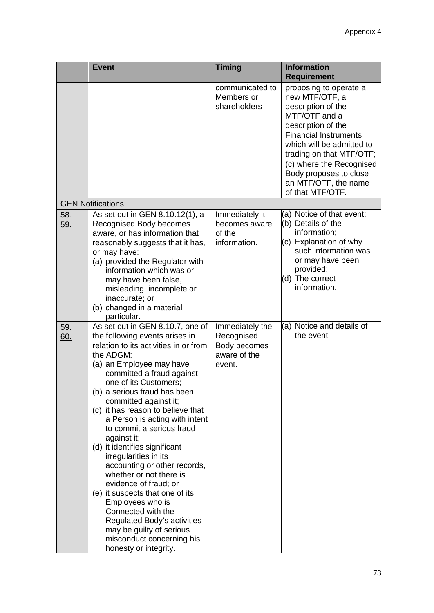|            | <b>Event</b>                                                                                                                                                                                                                                                                                                                                                                                                                                                                                                                                                                                                                                                                                                                       | <b>Timing</b>                                                           | <b>Information</b><br><b>Requirement</b>                                                                                                                                                                                                                                                         |
|------------|------------------------------------------------------------------------------------------------------------------------------------------------------------------------------------------------------------------------------------------------------------------------------------------------------------------------------------------------------------------------------------------------------------------------------------------------------------------------------------------------------------------------------------------------------------------------------------------------------------------------------------------------------------------------------------------------------------------------------------|-------------------------------------------------------------------------|--------------------------------------------------------------------------------------------------------------------------------------------------------------------------------------------------------------------------------------------------------------------------------------------------|
|            |                                                                                                                                                                                                                                                                                                                                                                                                                                                                                                                                                                                                                                                                                                                                    | communicated to<br>Members or<br>shareholders                           | proposing to operate a<br>new MTF/OTF, a<br>description of the<br>MTF/OTF and a<br>description of the<br><b>Financial Instruments</b><br>which will be admitted to<br>trading on that MTF/OTF;<br>(c) where the Recognised<br>Body proposes to close<br>an MTF/OTF, the name<br>of that MTF/OTF. |
|            | <b>GEN Notifications</b>                                                                                                                                                                                                                                                                                                                                                                                                                                                                                                                                                                                                                                                                                                           |                                                                         |                                                                                                                                                                                                                                                                                                  |
| 58.<br>59. | As set out in GEN 8.10.12(1), a<br>Recognised Body becomes<br>aware, or has information that<br>reasonably suggests that it has,<br>or may have:<br>(a) provided the Regulator with<br>information which was or<br>may have been false,<br>misleading, incomplete or<br>inaccurate; or<br>(b) changed in a material<br>particular.                                                                                                                                                                                                                                                                                                                                                                                                 | Immediately it<br>becomes aware<br>of the<br>information.               | (a) Notice of that event;<br>(b) Details of the<br>information;<br>(c) Explanation of why<br>such information was<br>or may have been<br>provided;<br>(d) The correct<br>information.                                                                                                            |
| 59.<br>60. | As set out in GEN 8.10.7, one of<br>the following events arises in<br>relation to its activities in or from<br>the ADGM:<br>(a) an Employee may have<br>committed a fraud against<br>one of its Customers;<br>(b) a serious fraud has been<br>committed against it;<br>(c) it has reason to believe that<br>a Person is acting with intent<br>to commit a serious fraud<br>against it;<br>(d) it identifies significant<br>irregularities in its<br>accounting or other records,<br>whether or not there is<br>evidence of fraud; or<br>(e) it suspects that one of its<br>Employees who is<br>Connected with the<br>Regulated Body's activities<br>may be guilty of serious<br>misconduct concerning his<br>honesty or integrity. | Immediately the<br>Recognised<br>Body becomes<br>aware of the<br>event. | (a) Notice and details of<br>the event.                                                                                                                                                                                                                                                          |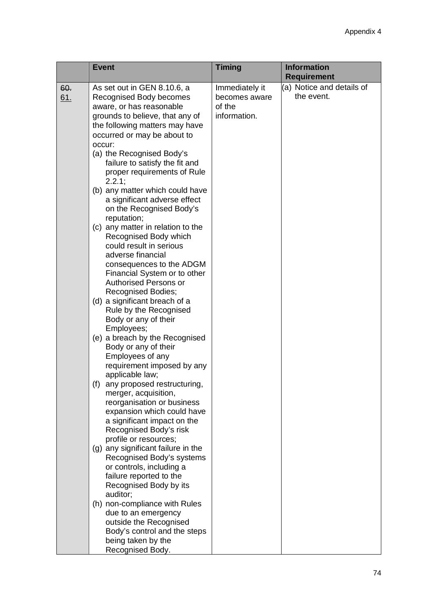|            | <b>Event</b>                                                                                                                                                                                                                                                                                                                                                                                                                                                                                                                                                                                                                                                                                                                                                                                                                                                                                                                                                                                                                                                                                                                                                                                                                                                                                                                                                                                                                          | <b>Timing</b>                                             | <b>Information</b><br><b>Requirement</b> |
|------------|---------------------------------------------------------------------------------------------------------------------------------------------------------------------------------------------------------------------------------------------------------------------------------------------------------------------------------------------------------------------------------------------------------------------------------------------------------------------------------------------------------------------------------------------------------------------------------------------------------------------------------------------------------------------------------------------------------------------------------------------------------------------------------------------------------------------------------------------------------------------------------------------------------------------------------------------------------------------------------------------------------------------------------------------------------------------------------------------------------------------------------------------------------------------------------------------------------------------------------------------------------------------------------------------------------------------------------------------------------------------------------------------------------------------------------------|-----------------------------------------------------------|------------------------------------------|
| 60.<br>61. | As set out in GEN 8.10.6, a<br>Recognised Body becomes<br>aware, or has reasonable<br>grounds to believe, that any of<br>the following matters may have<br>occurred or may be about to<br>occur:<br>(a) the Recognised Body's<br>failure to satisfy the fit and<br>proper requirements of Rule<br>2.2.1;<br>(b) any matter which could have<br>a significant adverse effect<br>on the Recognised Body's<br>reputation;<br>(c) any matter in relation to the<br>Recognised Body which<br>could result in serious<br>adverse financial<br>consequences to the ADGM<br>Financial System or to other<br><b>Authorised Persons or</b><br><b>Recognised Bodies;</b><br>(d) a significant breach of a<br>Rule by the Recognised<br>Body or any of their<br>Employees;<br>(e) a breach by the Recognised<br>Body or any of their<br>Employees of any<br>requirement imposed by any<br>applicable law;<br>(f)<br>any proposed restructuring,<br>merger, acquisition,<br>reorganisation or business<br>expansion which could have<br>a significant impact on the<br>Recognised Body's risk<br>profile or resources;<br>(g) any significant failure in the<br>Recognised Body's systems<br>or controls, including a<br>failure reported to the<br>Recognised Body by its<br>auditor;<br>(h) non-compliance with Rules<br>due to an emergency<br>outside the Recognised<br>Body's control and the steps<br>being taken by the<br>Recognised Body. | Immediately it<br>becomes aware<br>of the<br>information. | (a) Notice and details of<br>the event.  |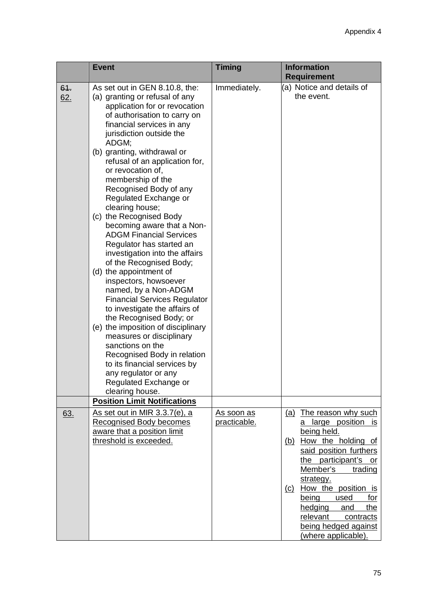|            | <b>Event</b>                                                                                                                                                                                                                                                                                                                                                                                                                                                                                                                                                                                                                                                                                                                                                                                                                                                                                                                                                                    | <b>Timing</b>                      | <b>Information</b><br><b>Requirement</b>                                                                                                                                                                                                                                                                                                                            |
|------------|---------------------------------------------------------------------------------------------------------------------------------------------------------------------------------------------------------------------------------------------------------------------------------------------------------------------------------------------------------------------------------------------------------------------------------------------------------------------------------------------------------------------------------------------------------------------------------------------------------------------------------------------------------------------------------------------------------------------------------------------------------------------------------------------------------------------------------------------------------------------------------------------------------------------------------------------------------------------------------|------------------------------------|---------------------------------------------------------------------------------------------------------------------------------------------------------------------------------------------------------------------------------------------------------------------------------------------------------------------------------------------------------------------|
| 64.<br>62. | As set out in GEN 8.10.8, the:<br>(a) granting or refusal of any<br>application for or revocation<br>of authorisation to carry on<br>financial services in any<br>jurisdiction outside the<br>ADGM;<br>(b) granting, withdrawal or<br>refusal of an application for,<br>or revocation of,<br>membership of the<br>Recognised Body of any<br>Regulated Exchange or<br>clearing house;<br>(c) the Recognised Body<br>becoming aware that a Non-<br><b>ADGM Financial Services</b><br>Regulator has started an<br>investigation into the affairs<br>of the Recognised Body;<br>(d) the appointment of<br>inspectors, howsoever<br>named, by a Non-ADGM<br><b>Financial Services Regulator</b><br>to investigate the affairs of<br>the Recognised Body; or<br>(e) the imposition of disciplinary<br>measures or disciplinary<br>sanctions on the<br>Recognised Body in relation<br>to its financial services by<br>any regulator or any<br>Regulated Exchange or<br>clearing house. | Immediately.                       | (a) Notice and details of<br>the event.                                                                                                                                                                                                                                                                                                                             |
|            | <b>Position Limit Notifications</b>                                                                                                                                                                                                                                                                                                                                                                                                                                                                                                                                                                                                                                                                                                                                                                                                                                                                                                                                             |                                    |                                                                                                                                                                                                                                                                                                                                                                     |
| 63.        | As set out in MIR $3.3.7(e)$ , a<br><b>Recognised Body becomes</b><br>aware that a position limit<br>threshold is exceeded.                                                                                                                                                                                                                                                                                                                                                                                                                                                                                                                                                                                                                                                                                                                                                                                                                                                     | <u>As soon as </u><br>practicable. | The reason why such<br><u>(a)</u><br>large position<br>is.<br>a<br>being held.<br>How the holding of<br><u>(b)</u><br>said position furthers<br>the participant's or<br>Member's<br>trading<br>strategy.<br>How the position is<br><u>(c)</u><br>used<br>being<br>for<br>hedging<br>the<br>and<br>relevant contracts<br>being hedged against<br>(where applicable). |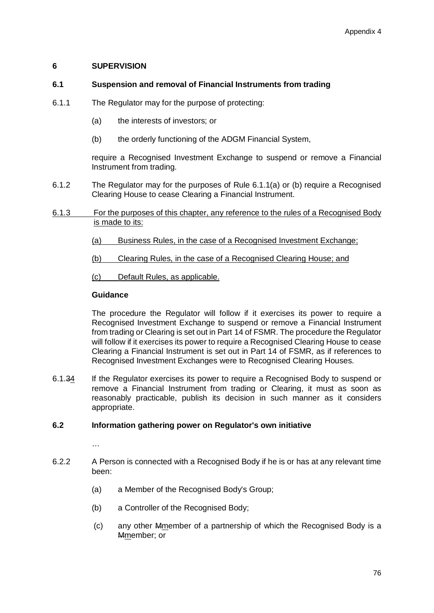## **6 SUPERVISION**

# **6.1 Suspension and removal of Financial Instruments from trading**

- 6.1.1 The Regulator may for the purpose of protecting:
	- (a) the interests of investors; or
	- (b) the orderly functioning of the ADGM Financial System,

require a Recognised Investment Exchange to suspend or remove a Financial Instrument from trading.

- 6.1.2 The Regulator may for the purposes of Rule 6.1.1(a) or (b) require a Recognised Clearing House to cease Clearing a Financial Instrument.
- 6.1.3 For the purposes of this chapter, any reference to the rules of a Recognised Body is made to its:
	- (a) Business Rules, in the case of a Recognised Investment Exchange;
	- (b) Clearing Rules, in the case of a Recognised Clearing House; and
	- (c) Default Rules, as applicable.

# **Guidance**

The procedure the Regulator will follow if it exercises its power to require a Recognised Investment Exchange to suspend or remove a Financial Instrument from trading or Clearing is set out in Part 14 of FSMR. The procedure the Regulator will follow if it exercises its power to require a Recognised Clearing House to cease Clearing a Financial Instrument is set out in Part 14 of FSMR, as if references to Recognised Investment Exchanges were to Recognised Clearing Houses.

6.1.34 If the Regulator exercises its power to require a Recognised Body to suspend or remove a Financial Instrument from trading or Clearing, it must as soon as reasonably practicable, publish its decision in such manner as it considers appropriate.

## **6.2 Information gathering power on Regulator's own initiative**

- 6.2.2 A Person is connected with a Recognised Body if he is or has at any relevant time been:
	- (a) a Member of the Recognised Body's Group;
	- (b) a Controller of the Recognised Body;
	- (c) any other Mmember of a partnership of which the Recognised Body is a Mmember; or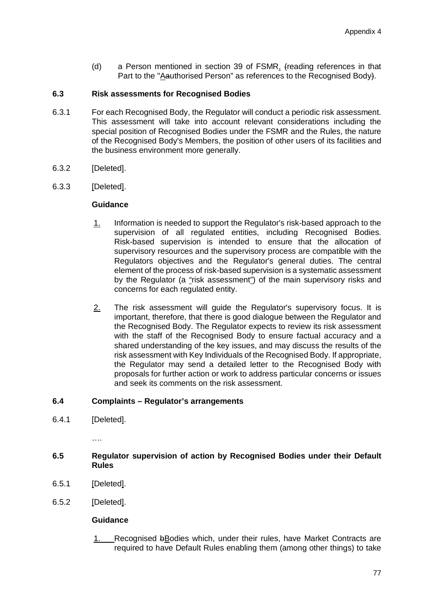(d) a Person mentioned in section 39 of FSMR, (reading references in that Part to the "Aauthorised Person" as references to the Recognised Body).

## **6.3 Risk assessments for Recognised Bodies**

- 6.3.1 For each Recognised Body, the Regulator will conduct a periodic risk assessment. This assessment will take into account relevant considerations including the special position of Recognised Bodies under the FSMR and the Rules, the nature of the Recognised Body's Members, the position of other users of its facilities and the business environment more generally.
- 6.3.2 [Deleted].
- 6.3.3 [Deleted].

## **Guidance**

- 1. Information is needed to support the Regulator's risk-based approach to the supervision of all regulated entities, including Recognised Bodies. Risk-based supervision is intended to ensure that the allocation of supervisory resources and the supervisory process are compatible with the Regulators objectives and the Regulator's general duties. The central element of the process of risk-based supervision is a systematic assessment by the Regulator (a "risk assessment") of the main supervisory risks and concerns for each regulated entity.
- 2. The risk assessment will guide the Regulator's supervisory focus. It is important, therefore, that there is good dialogue between the Regulator and the Recognised Body. The Regulator expects to review its risk assessment with the staff of the Recognised Body to ensure factual accuracy and a shared understanding of the key issues, and may discuss the results of the risk assessment with Key Individuals of the Recognised Body. If appropriate, the Regulator may send a detailed letter to the Recognised Body with proposals for further action or work to address particular concerns or issues and seek its comments on the risk assessment.

## **6.4 Complaints – Regulator's arrangements**

6.4.1 [Deleted].

….

# **6.5 Regulator supervision of action by Recognised Bodies under their Default Rules**

- 6.5.1 [Deleted].
- 6.5.2 [Deleted].

## **Guidance**

1. Recognised bBodies which, under their rules, have Market Contracts are required to have Default Rules enabling them (among other things) to take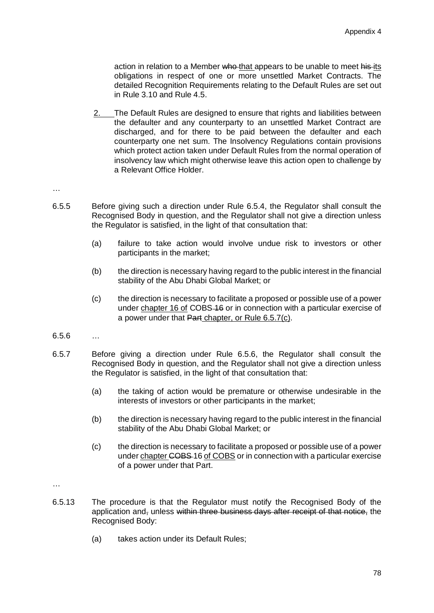action in relation to a Member who that appears to be unable to meet his its obligations in respect of one or more unsettled Market Contracts. The detailed Recognition Requirements relating to the Default Rules are set out in Rule 3.10 and Rule 4.5.

- 2. The Default Rules are designed to ensure that rights and liabilities between the defaulter and any counterparty to an unsettled Market Contract are discharged, and for there to be paid between the defaulter and each counterparty one net sum. The Insolvency Regulations contain provisions which protect action taken under Default Rules from the normal operation of insolvency law which might otherwise leave this action open to challenge by a Relevant Office Holder.
- …
- 6.5.5 Before giving such a direction under Rule 6.5.4, the Regulator shall consult the Recognised Body in question, and the Regulator shall not give a direction unless the Regulator is satisfied, in the light of that consultation that:
	- (a) failure to take action would involve undue risk to investors or other participants in the market;
	- (b) the direction is necessary having regard to the public interest in the financial stability of the Abu Dhabi Global Market; or
	- (c) the direction is necessary to facilitate a proposed or possible use of a power under chapter 16 of COBS-16 or in connection with a particular exercise of a power under that Part chapter, or Rule 6.5.7(c).
- 6.5.6 …
- 6.5.7 Before giving a direction under Rule 6.5.6, the Regulator shall consult the Recognised Body in question, and the Regulator shall not give a direction unless the Regulator is satisfied, in the light of that consultation that:
	- (a) the taking of action would be premature or otherwise undesirable in the interests of investors or other participants in the market;
	- (b) the direction is necessary having regard to the public interest in the financial stability of the Abu Dhabi Global Market; or
	- (c) the direction is necessary to facilitate a proposed or possible use of a power under chapter COBS 16 of COBS or in connection with a particular exercise of a power under that Part.
- …
- 6.5.13 The procedure is that the Regulator must notify the Recognised Body of the application and, unless within three business days after receipt of that notice, the Recognised Body:
	- (a) takes action under its Default Rules;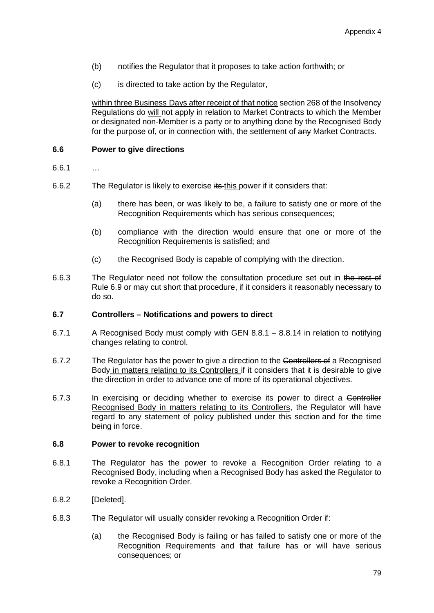- (b) notifies the Regulator that it proposes to take action forthwith; or
- (c) is directed to take action by the Regulator,

within three Business Days after receipt of that notice section 268 of the Insolvency Regulations do will not apply in relation to Market Contracts to which the Member or designated non-Member is a party or to anything done by the Recognised Body for the purpose of, or in connection with, the settlement of any Market Contracts.

## **6.6 Power to give directions**

- 6.6.1 …
- 6.6.2 The Regulator is likely to exercise its this power if it considers that:
	- (a) there has been, or was likely to be, a failure to satisfy one or more of the Recognition Requirements which has serious consequences;
	- (b) compliance with the direction would ensure that one or more of the Recognition Requirements is satisfied; and
	- (c) the Recognised Body is capable of complying with the direction.
- 6.6.3 The Regulator need not follow the consultation procedure set out in the rest of Rule 6.9 or may cut short that procedure, if it considers it reasonably necessary to do so.

### **6.7 Controllers – Notifications and powers to direct**

- 6.7.1 A Recognised Body must comply with GEN 8.8.1 8.8.14 in relation to notifying changes relating to control.
- 6.7.2 The Regulator has the power to give a direction to the Controllers of a Recognised Body in matters relating to its Controllers if it considers that it is desirable to give the direction in order to advance one of more of its operational objectives.
- 6.7.3 In exercising or deciding whether to exercise its power to direct a Controller Recognised Body in matters relating to its Controllers, the Regulator will have regard to any statement of policy published under this section and for the time being in force.

#### **6.8 Power to revoke recognition**

- 6.8.1 The Regulator has the power to revoke a Recognition Order relating to a Recognised Body, including when a Recognised Body has asked the Regulator to revoke a Recognition Order.
- 6.8.2 [Deleted].
- 6.8.3 The Regulator will usually consider revoking a Recognition Order if:
	- (a) the Recognised Body is failing or has failed to satisfy one or more of the Recognition Requirements and that failure has or will have serious consequences; or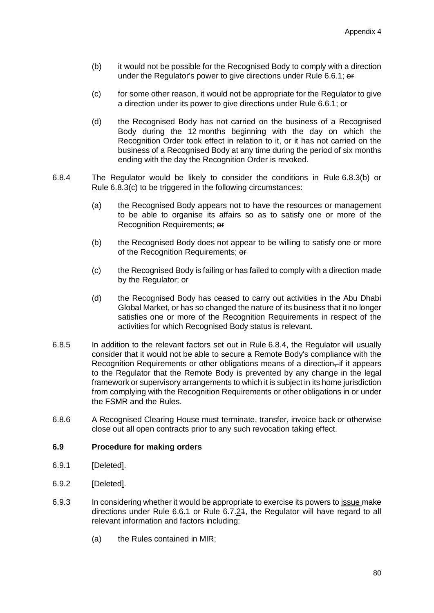- (b) it would not be possible for the Recognised Body to comply with a direction under the Regulator's power to give directions under Rule 6.6.1; or
- (c) for some other reason, it would not be appropriate for the Regulator to give a direction under its power to give directions under Rule 6.6.1; or
- (d) the Recognised Body has not carried on the business of a Recognised Body during the 12 months beginning with the day on which the Recognition Order took effect in relation to it, or it has not carried on the business of a Recognised Body at any time during the period of six months ending with the day the Recognition Order is revoked.
- 6.8.4 The Regulator would be likely to consider the conditions in Rule 6.8.3(b) or Rule 6.8.3(c) to be triggered in the following circumstances:
	- (a) the Recognised Body appears not to have the resources or management to be able to organise its affairs so as to satisfy one or more of the Recognition Requirements; or
	- (b) the Recognised Body does not appear to be willing to satisfy one or more of the Recognition Requirements; or
	- (c) the Recognised Body is failing or has failed to comply with a direction made by the Regulator; or
	- (d) the Recognised Body has ceased to carry out activities in the Abu Dhabi Global Market, or has so changed the nature of its business that it no longer satisfies one or more of the Recognition Requirements in respect of the activities for which Recognised Body status is relevant.
- 6.8.5 In addition to the relevant factors set out in Rule 6.8.4, the Regulator will usually consider that it would not be able to secure a Remote Body's compliance with the Recognition Requirements or other obligations means of a direction–if it appears to the Regulator that the Remote Body is prevented by any change in the legal framework or supervisory arrangements to which it is subject in its home jurisdiction from complying with the Recognition Requirements or other obligations in or under the FSMR and the Rules.
- 6.8.6 A Recognised Clearing House must terminate, transfer, invoice back or otherwise close out all open contracts prior to any such revocation taking effect.

#### **6.9 Procedure for making orders**

- 6.9.1 [Deleted].
- 6.9.2 [Deleted].
- 6.9.3 In considering whether it would be appropriate to exercise its powers to issue make directions under Rule 6.6.1 or Rule 6.7.24, the Regulator will have regard to all relevant information and factors including:
	- (a) the Rules contained in MIR;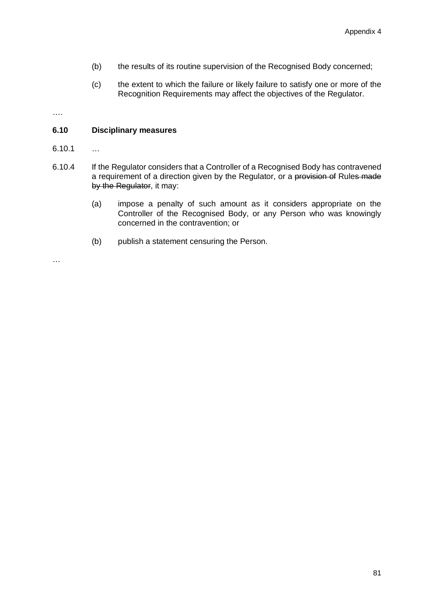- (b) the results of its routine supervision of the Recognised Body concerned;
- (c) the extent to which the failure or likely failure to satisfy one or more of the Recognition Requirements may affect the objectives of the Regulator.

….

## **6.10 Disciplinary measures**

- $6.10.1$  …
- 6.10.4 If the Regulator considers that a Controller of a Recognised Body has contravened a requirement of a direction given by the Regulator, or a provision of Rules made by the Regulator, it may:
	- (a) impose a penalty of such amount as it considers appropriate on the Controller of the Recognised Body, or any Person who was knowingly concerned in the contravention; or
	- (b) publish a statement censuring the Person.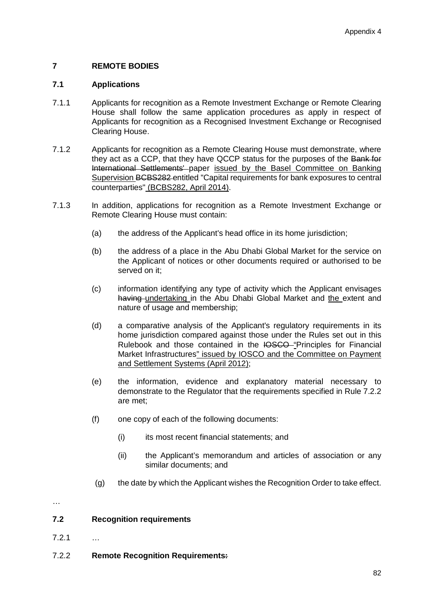# **7 REMOTE BODIES**

#### **7.1 Applications**

- 7.1.1 Applicants for recognition as a Remote Investment Exchange or Remote Clearing House shall follow the same application procedures as apply in respect of Applicants for recognition as a Recognised Investment Exchange or Recognised Clearing House.
- 7.1.2 Applicants for recognition as a Remote Clearing House must demonstrate, where they act as a CCP, that they have QCCP status for the purposes of the Bank for International Settlements' paper issued by the Basel Committee on Banking Supervision BCBS282 entitled "Capital requirements for bank exposures to central counterparties" (BCBS282, April 2014).
- 7.1.3 In addition, applications for recognition as a Remote Investment Exchange or Remote Clearing House must contain:
	- (a) the address of the Applicant's head office in its home jurisdiction;
	- (b) the address of a place in the Abu Dhabi Global Market for the service on the Applicant of notices or other documents required or authorised to be served on it;
	- (c) information identifying any type of activity which the Applicant envisages having undertaking in the Abu Dhabi Global Market and the extent and nature of usage and membership;
	- (d) a comparative analysis of the Applicant's regulatory requirements in its home jurisdiction compared against those under the Rules set out in this Rulebook and those contained in the IOSCO "Principles for Financial Market Infrastructures" issued by IOSCO and the Committee on Payment and Settlement Systems (April 2012);
	- (e) the information, evidence and explanatory material necessary to demonstrate to the Regulator that the requirements specified in Rule 7.2.2 are met;
	- (f) one copy of each of the following documents:
		- (i) its most recent financial statements; and
		- (ii) the Applicant's memorandum and articles of association or any similar documents; and
	- (g) the date by which the Applicant wishes the Recognition Order to take effect.

…

## **7.2 Recognition requirements**

- 7.2.1 …
- 7.2.2 **Remote Recognition Requirements:**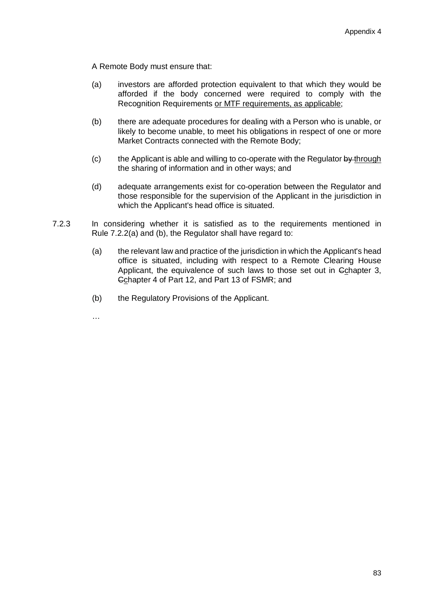A Remote Body must ensure that:

- (a) investors are afforded protection equivalent to that which they would be afforded if the body concerned were required to comply with the Recognition Requirements or MTF requirements, as applicable;
- (b) there are adequate procedures for dealing with a Person who is unable, or likely to become unable, to meet his obligations in respect of one or more Market Contracts connected with the Remote Body;
- (c) the Applicant is able and willing to co-operate with the Regulator  $by$ -through the sharing of information and in other ways; and
- (d) adequate arrangements exist for co-operation between the Regulator and those responsible for the supervision of the Applicant in the jurisdiction in which the Applicant's head office is situated.
- 7.2.3 In considering whether it is satisfied as to the requirements mentioned in Rule 7.2.2(a) and (b), the Regulator shall have regard to:
	- (a) the relevant law and practice of the jurisdiction in which the Applicant's head office is situated, including with respect to a Remote Clearing House Applicant, the equivalence of such laws to those set out in Cchapter 3, Cchapter 4 of Part 12, and Part 13 of FSMR; and
	- (b) the Regulatory Provisions of the Applicant.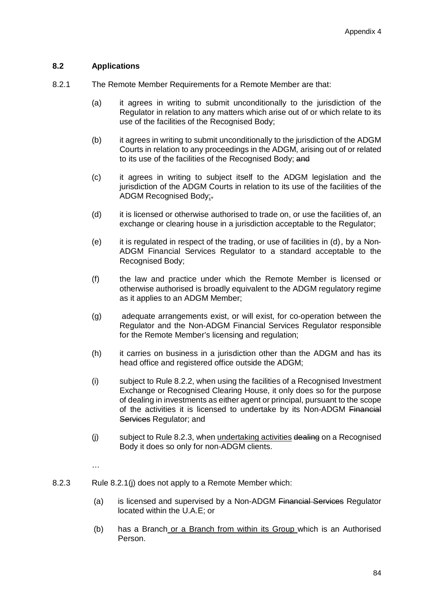## **8.2 Applications**

- 8.2.1 The Remote Member Requirements for a Remote Member are that:
	- (a) it agrees in writing to submit unconditionally to the jurisdiction of the Regulator in relation to any matters which arise out of or which relate to its use of the facilities of the Recognised Body;
	- (b) it agrees in writing to submit unconditionally to the jurisdiction of the ADGM Courts in relation to any proceedings in the ADGM, arising out of or related to its use of the facilities of the Recognised Body; and
	- (c) it agrees in writing to subject itself to the ADGM legislation and the jurisdiction of the ADGM Courts in relation to its use of the facilities of the ADGM Recognised Body:
	- (d) it is licensed or otherwise authorised to trade on, or use the facilities of, an exchange or clearing house in a jurisdiction acceptable to the Regulator;
	- (e) it is regulated in respect of the trading, or use of facilities in (d), by a Non‐ ADGM Financial Services Regulator to a standard acceptable to the Recognised Body;
	- (f) the law and practice under which the Remote Member is licensed or otherwise authorised is broadly equivalent to the ADGM regulatory regime as it applies to an ADGM Member;
	- (g) adequate arrangements exist, or will exist, for co‐operation between the Regulator and the Non‐ADGM Financial Services Regulator responsible for the Remote Member's licensing and regulation;
	- (h) it carries on business in a jurisdiction other than the ADGM and has its head office and registered office outside the ADGM;
	- (i) subject to Rule 8.2.2, when using the facilities of a Recognised Investment Exchange or Recognised Clearing House, it only does so for the purpose of dealing in investments as either agent or principal, pursuant to the scope of the activities it is licensed to undertake by its Non-ADGM Financial Services Regulator; and
	- (j) subject to Rule 8.2.3, when undertaking activities dealing on a Recognised Body it does so only for non‐ADGM clients.

- 8.2.3 Rule 8.2.1(j) does not apply to a Remote Member which:
	- (a) is licensed and supervised by a Non-ADGM Financial Services Regulator located within the U.A.E; or
	- (b) has a Branch or a Branch from within its Group which is an Authorised Person.